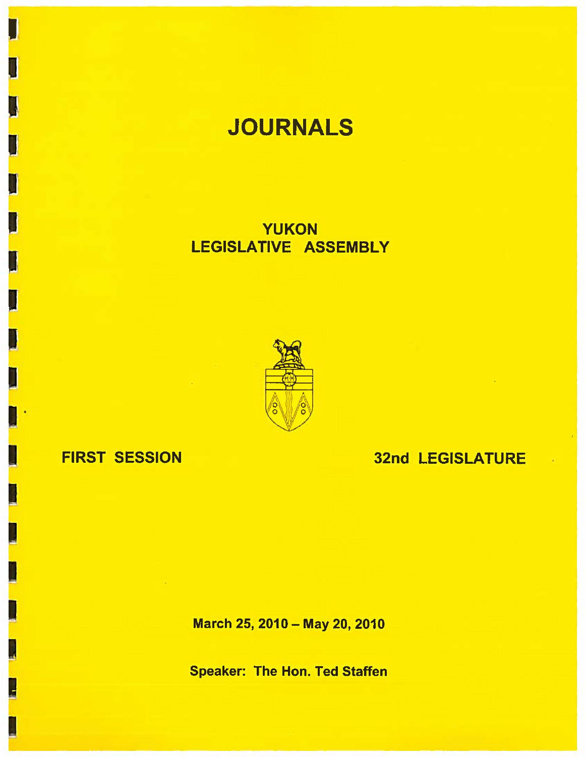# **JOURNALS**

YUKON LEGISLATIVE ASSEMBLY



## FIRST SESSION

I

I

I

I

32nd LEGISLATURE

March 25, 2010 - May 20, 2010

Speaker: The Hon. Ted Staffen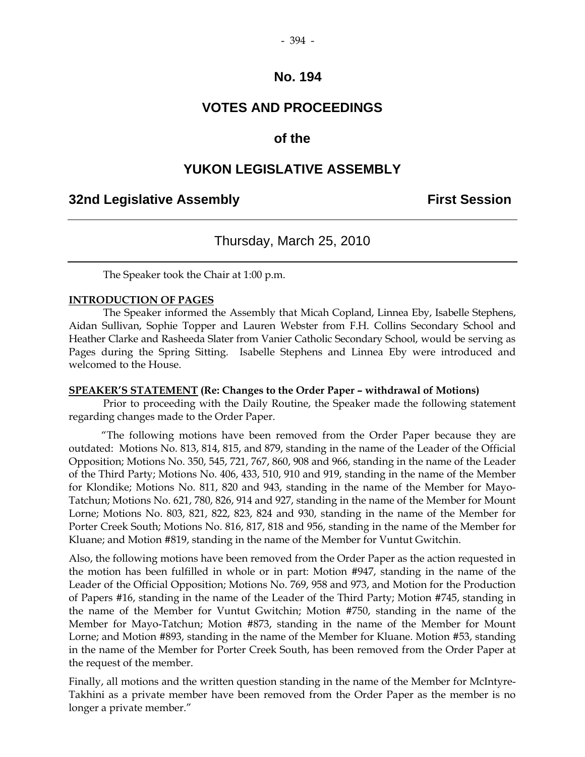## **VOTES AND PROCEEDINGS**

#### **of the**

#### **YUKON LEGISLATIVE ASSEMBLY**

#### **32nd Legislative Assembly First Session**

### Thursday, March 25, 2010

The Speaker took the Chair at 1:00 p.m.

#### **INTRODUCTION OF PAGES**

 The Speaker informed the Assembly that Micah Copland, Linnea Eby, Isabelle Stephens, Aidan Sullivan, Sophie Topper and Lauren Webster from F.H. Collins Secondary School and Heather Clarke and Rasheeda Slater from Vanier Catholic Secondary School, would be serving as Pages during the Spring Sitting. Isabelle Stephens and Linnea Eby were introduced and welcomed to the House.

#### **SPEAKER'S STATEMENT (Re: Changes to the Order Paper – withdrawal of Motions)**

 Prior to proceeding with the Daily Routine, the Speaker made the following statement regarding changes made to the Order Paper.

 "The following motions have been removed from the Order Paper because they are outdated: Motions No. 813, 814, 815, and 879, standing in the name of the Leader of the Official Opposition; Motions No. 350, 545, 721, 767, 860, 908 and 966, standing in the name of the Leader of the Third Party; Motions No. 406, 433, 510, 910 and 919, standing in the name of the Member for Klondike; Motions No. 811, 820 and 943, standing in the name of the Member for Mayo-Tatchun; Motions No. 621, 780, 826, 914 and 927, standing in the name of the Member for Mount Lorne; Motions No. 803, 821, 822, 823, 824 and 930, standing in the name of the Member for Porter Creek South; Motions No. 816, 817, 818 and 956, standing in the name of the Member for Kluane; and Motion #819, standing in the name of the Member for Vuntut Gwitchin.

Also, the following motions have been removed from the Order Paper as the action requested in the motion has been fulfilled in whole or in part: Motion #947, standing in the name of the Leader of the Official Opposition; Motions No. 769, 958 and 973, and Motion for the Production of Papers #16, standing in the name of the Leader of the Third Party; Motion #745, standing in the name of the Member for Vuntut Gwitchin; Motion #750, standing in the name of the Member for Mayo-Tatchun; Motion #873, standing in the name of the Member for Mount Lorne; and Motion #893, standing in the name of the Member for Kluane. Motion #53, standing in the name of the Member for Porter Creek South, has been removed from the Order Paper at the request of the member.

Finally, all motions and the written question standing in the name of the Member for McIntyre-Takhini as a private member have been removed from the Order Paper as the member is no longer a private member."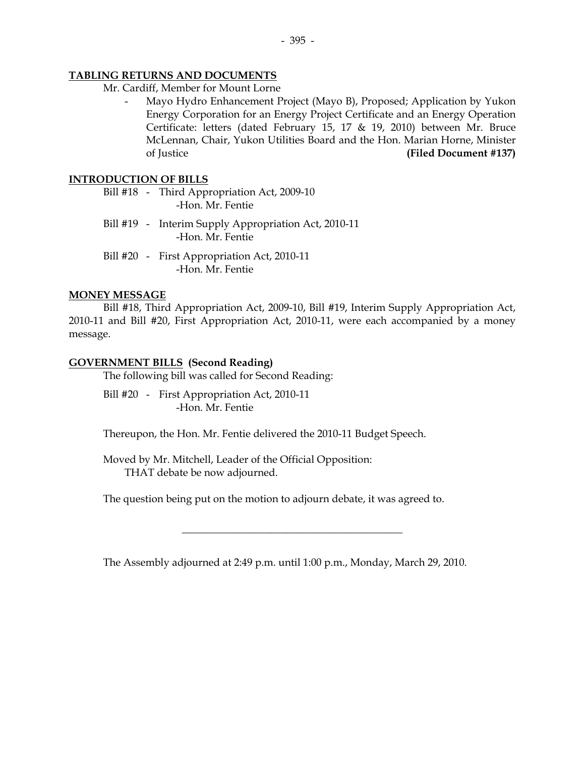#### **TABLING RETURNS AND DOCUMENTS**

- Mr. Cardiff, Member for Mount Lorne
	- Mayo Hydro Enhancement Project (Mayo B), Proposed; Application by Yukon Energy Corporation for an Energy Project Certificate and an Energy Operation Certificate: letters (dated February 15, 17 & 19, 2010) between Mr. Bruce McLennan, Chair, Yukon Utilities Board and the Hon. Marian Horne, Minister of Justice **(Filed Document #137)**

#### **INTRODUCTION OF BILLS**

- Bill #18 Third Appropriation Act, 2009-10 -Hon. Mr. Fentie
- Bill #19 Interim Supply Appropriation Act, 2010-11 -Hon. Mr. Fentie
- Bill #20 First Appropriation Act, 2010-11 -Hon. Mr. Fentie

#### **MONEY MESSAGE**

 Bill #18, Third Appropriation Act, 2009-10, Bill #19, Interim Supply Appropriation Act, 2010-11 and Bill #20, First Appropriation Act, 2010-11, were each accompanied by a money message.

#### **GOVERNMENT BILLS (Second Reading)**

The following bill was called for Second Reading:

 Bill #20 - First Appropriation Act, 2010-11 -Hon. Mr. Fentie

Thereupon, the Hon. Mr. Fentie delivered the 2010-11 Budget Speech.

 Moved by Mr. Mitchell, Leader of the Official Opposition: THAT debate be now adjourned.

The question being put on the motion to adjourn debate, it was agreed to.

The Assembly adjourned at 2:49 p.m. until 1:00 p.m., Monday, March 29, 2010.

 $\overline{\phantom{a}}$  , and the set of the set of the set of the set of the set of the set of the set of the set of the set of the set of the set of the set of the set of the set of the set of the set of the set of the set of the s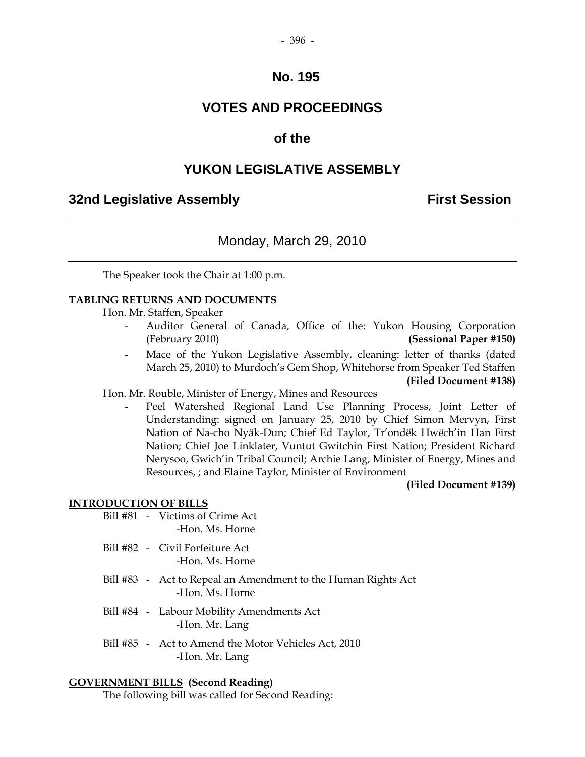## **VOTES AND PROCEEDINGS**

## **of the**

## **YUKON LEGISLATIVE ASSEMBLY**

## **32nd Legislative Assembly First Session**

## Monday, March 29, 2010

The Speaker took the Chair at 1:00 p.m.

#### **TABLING RETURNS AND DOCUMENTS**

Hon. Mr. Staffen, Speaker

- Auditor General of Canada, Office of the: Yukon Housing Corporation (February 2010) **(Sessional Paper #150)**
- Mace of the Yukon Legislative Assembly, cleaning: letter of thanks (dated March 25, 2010) to Murdoch's Gem Shop, Whitehorse from Speaker Ted Staffen **(Filed Document #138)**

#### Hon. Mr. Rouble, Minister of Energy, Mines and Resources

Peel Watershed Regional Land Use Planning Process, Joint Letter of Understanding: signed on January 25, 2010 by Chief Simon Mervyn, First Nation of Na-cho Nyäk-Dun; Chief Ed Taylor, Tr'ondëk Hwëch'in Han First Nation; Chief Joe Linklater, Vuntut Gwitchin First Nation; President Richard Nerysoo, Gwich'in Tribal Council; Archie Lang, Minister of Energy, Mines and Resources, ; and Elaine Taylor, Minister of Environment

#### **(Filed Document #139)**

#### **INTRODUCTION OF BILLS**

- Bill #81 Victims of Crime Act -Hon. Ms. Horne
- Bill #82 Civil Forfeiture Act -Hon. Ms. Horne
- Bill #83 Act to Repeal an Amendment to the Human Rights Act -Hon. Ms. Horne
- Bill #84 Labour Mobility Amendments Act -Hon. Mr. Lang
- Bill #85 Act to Amend the Motor Vehicles Act, 2010 -Hon. Mr. Lang

#### **GOVERNMENT BILLS (Second Reading)**

The following bill was called for Second Reading: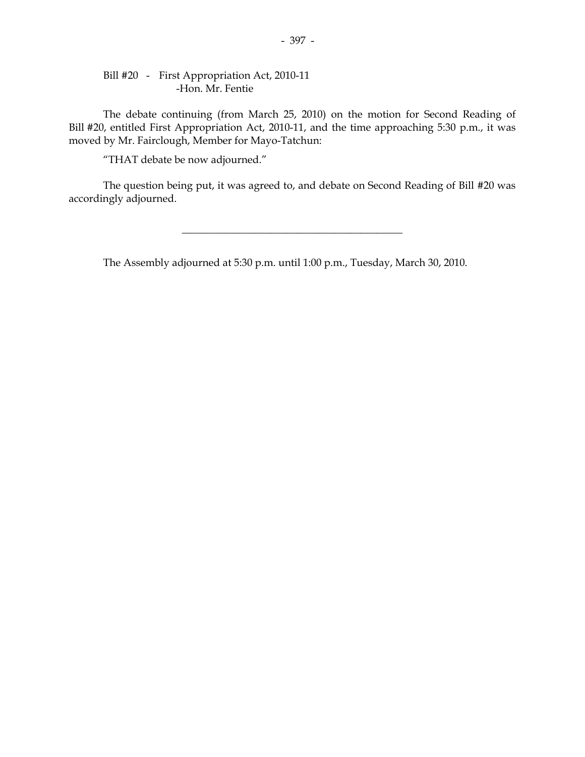#### Bill #20 - First Appropriation Act, 2010-11 -Hon. Mr. Fentie

 The debate continuing (from March 25, 2010) on the motion for Second Reading of Bill #20, entitled First Appropriation Act, 2010-11, and the time approaching 5:30 p.m., it was moved by Mr. Fairclough, Member for Mayo-Tatchun:

"THAT debate be now adjourned."

 The question being put, it was agreed to, and debate on Second Reading of Bill #20 was accordingly adjourned.

\_\_\_\_\_\_\_\_\_\_\_\_\_\_\_\_\_\_\_\_\_\_\_\_\_\_\_\_\_\_\_\_\_\_\_\_\_\_\_\_\_\_

The Assembly adjourned at 5:30 p.m. until 1:00 p.m., Tuesday, March 30, 2010.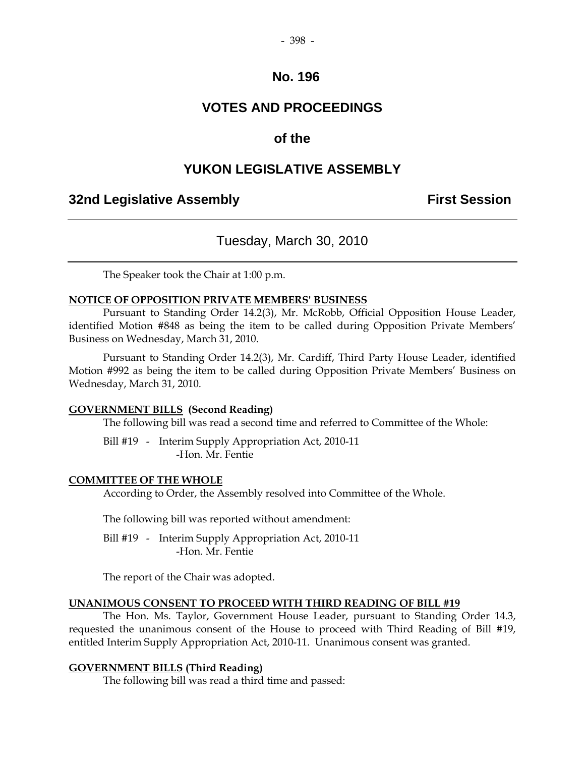## **VOTES AND PROCEEDINGS**

### **of the**

## **YUKON LEGISLATIVE ASSEMBLY**

## **32nd Legislative Assembly First Session**

### Tuesday, March 30, 2010

The Speaker took the Chair at 1:00 p.m.

#### **NOTICE OF OPPOSITION PRIVATE MEMBERS' BUSINESS**

 Pursuant to Standing Order 14.2(3), Mr. McRobb, Official Opposition House Leader, identified Motion #848 as being the item to be called during Opposition Private Members' Business on Wednesday, March 31, 2010.

 Pursuant to Standing Order 14.2(3), Mr. Cardiff, Third Party House Leader, identified Motion #992 as being the item to be called during Opposition Private Members' Business on Wednesday, March 31, 2010.

#### **GOVERNMENT BILLS (Second Reading)**

The following bill was read a second time and referred to Committee of the Whole:

 Bill #19 - Interim Supply Appropriation Act, 2010-11 -Hon. Mr. Fentie

#### **COMMITTEE OF THE WHOLE**

According to Order, the Assembly resolved into Committee of the Whole.

The following bill was reported without amendment:

 Bill #19 - Interim Supply Appropriation Act, 2010-11 -Hon. Mr. Fentie

The report of the Chair was adopted.

#### **UNANIMOUS CONSENT TO PROCEED WITH THIRD READING OF BILL #19**

 The Hon. Ms. Taylor, Government House Leader, pursuant to Standing Order 14.3, requested the unanimous consent of the House to proceed with Third Reading of Bill #19, entitled Interim Supply Appropriation Act, 2010-11. Unanimous consent was granted.

#### **GOVERNMENT BILLS (Third Reading)**

The following bill was read a third time and passed: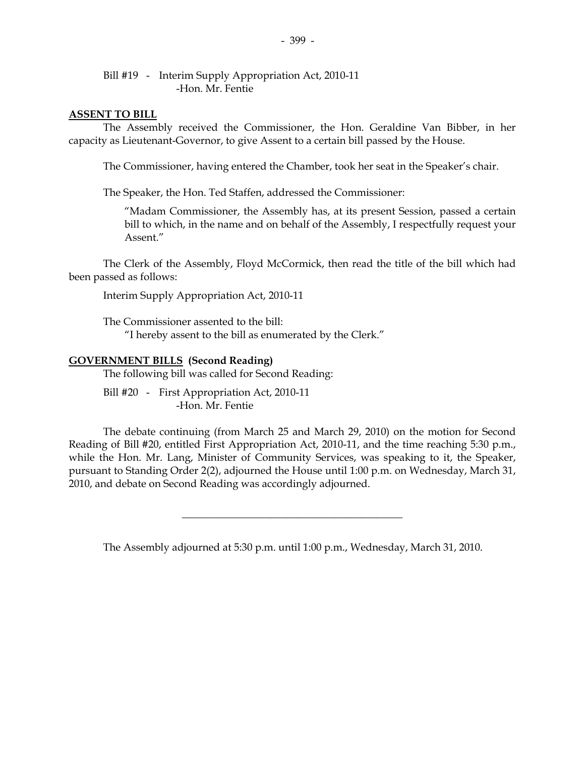Bill #19 - Interim Supply Appropriation Act, 2010-11 -Hon. Mr. Fentie

#### **ASSENT TO BILL**

 The Assembly received the Commissioner, the Hon. Geraldine Van Bibber, in her capacity as Lieutenant-Governor, to give Assent to a certain bill passed by the House.

The Commissioner, having entered the Chamber, took her seat in the Speaker's chair.

The Speaker, the Hon. Ted Staffen, addressed the Commissioner:

"Madam Commissioner, the Assembly has, at its present Session, passed a certain bill to which, in the name and on behalf of the Assembly, I respectfully request your Assent."

 The Clerk of the Assembly, Floyd McCormick, then read the title of the bill which had been passed as follows:

Interim Supply Appropriation Act, 2010-11

 The Commissioner assented to the bill: "I hereby assent to the bill as enumerated by the Clerk."

#### **GOVERNMENT BILLS (Second Reading)**

The following bill was called for Second Reading:

Bill #20 - First Appropriation Act, 2010-11 -Hon. Mr. Fentie

 The debate continuing (from March 25 and March 29, 2010) on the motion for Second Reading of Bill #20, entitled First Appropriation Act, 2010-11, and the time reaching 5:30 p.m., while the Hon. Mr. Lang, Minister of Community Services, was speaking to it, the Speaker, pursuant to Standing Order 2(2), adjourned the House until 1:00 p.m. on Wednesday, March 31, 2010, and debate on Second Reading was accordingly adjourned.

The Assembly adjourned at 5:30 p.m. until 1:00 p.m., Wednesday, March 31, 2010.

\_\_\_\_\_\_\_\_\_\_\_\_\_\_\_\_\_\_\_\_\_\_\_\_\_\_\_\_\_\_\_\_\_\_\_\_\_\_\_\_\_\_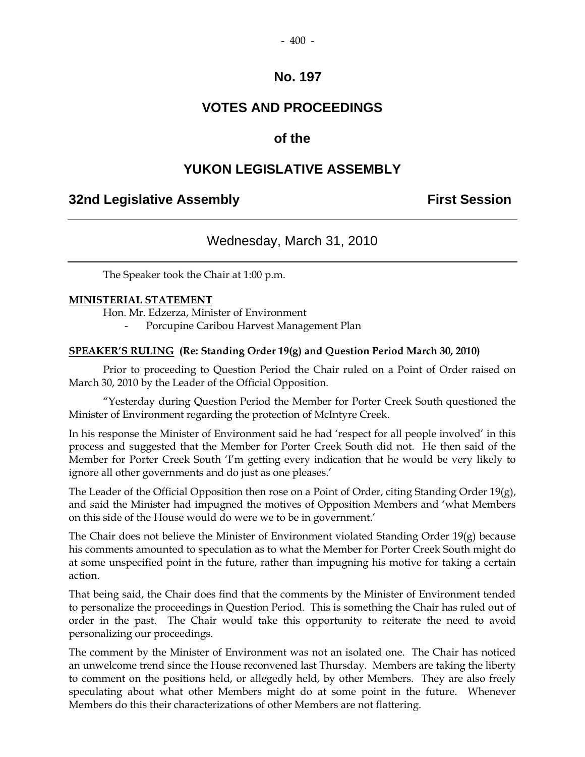## **VOTES AND PROCEEDINGS**

## **of the**

## **YUKON LEGISLATIVE ASSEMBLY**

## **32nd Legislative Assembly The Contract Session**

## Wednesday, March 31, 2010

The Speaker took the Chair at 1:00 p.m.

#### **MINISTERIAL STATEMENT**

Hon. Mr. Edzerza, Minister of Environment

Porcupine Caribou Harvest Management Plan

#### **SPEAKER'S RULING (Re: Standing Order 19(g) and Question Period March 30, 2010)**

Prior to proceeding to Question Period the Chair ruled on a Point of Order raised on March 30, 2010 by the Leader of the Official Opposition.

"Yesterday during Question Period the Member for Porter Creek South questioned the Minister of Environment regarding the protection of McIntyre Creek.

In his response the Minister of Environment said he had 'respect for all people involved' in this process and suggested that the Member for Porter Creek South did not. He then said of the Member for Porter Creek South 'I'm getting every indication that he would be very likely to ignore all other governments and do just as one pleases.'

The Leader of the Official Opposition then rose on a Point of Order, citing Standing Order  $19(g)$ , and said the Minister had impugned the motives of Opposition Members and 'what Members on this side of the House would do were we to be in government.'

The Chair does not believe the Minister of Environment violated Standing Order 19(g) because his comments amounted to speculation as to what the Member for Porter Creek South might do at some unspecified point in the future, rather than impugning his motive for taking a certain action.

That being said, the Chair does find that the comments by the Minister of Environment tended to personalize the proceedings in Question Period. This is something the Chair has ruled out of order in the past. The Chair would take this opportunity to reiterate the need to avoid personalizing our proceedings.

The comment by the Minister of Environment was not an isolated one. The Chair has noticed an unwelcome trend since the House reconvened last Thursday. Members are taking the liberty to comment on the positions held, or allegedly held, by other Members. They are also freely speculating about what other Members might do at some point in the future. Whenever Members do this their characterizations of other Members are not flattering.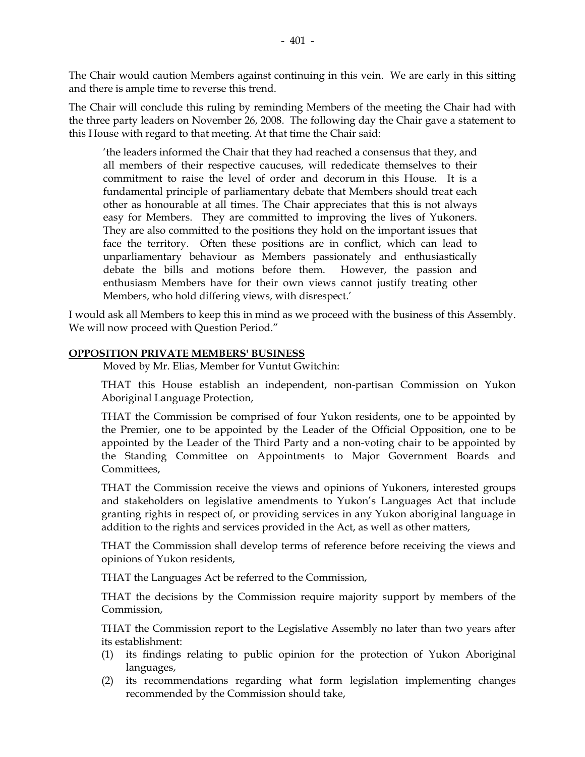The Chair would caution Members against continuing in this vein. We are early in this sitting and there is ample time to reverse this trend.

The Chair will conclude this ruling by reminding Members of the meeting the Chair had with the three party leaders on November 26, 2008. The following day the Chair gave a statement to this House with regard to that meeting. At that time the Chair said:

'the leaders informed the Chair that they had reached a consensus that they, and all members of their respective caucuses, will rededicate themselves to their commitment to raise the level of order and decorum in this House. It is a fundamental principle of parliamentary debate that Members should treat each other as honourable at all times. The Chair appreciates that this is not always easy for Members. They are committed to improving the lives of Yukoners. They are also committed to the positions they hold on the important issues that face the territory. Often these positions are in conflict, which can lead to unparliamentary behaviour as Members passionately and enthusiastically debate the bills and motions before them. However, the passion and enthusiasm Members have for their own views cannot justify treating other Members, who hold differing views, with disrespect.'

I would ask all Members to keep this in mind as we proceed with the business of this Assembly. We will now proceed with Question Period."

#### **OPPOSITION PRIVATE MEMBERS' BUSINESS**

Moved by Mr. Elias, Member for Vuntut Gwitchin:

 THAT this House establish an independent, non-partisan Commission on Yukon Aboriginal Language Protection,

 THAT the Commission be comprised of four Yukon residents, one to be appointed by the Premier, one to be appointed by the Leader of the Official Opposition, one to be appointed by the Leader of the Third Party and a non-voting chair to be appointed by the Standing Committee on Appointments to Major Government Boards and Committees,

 THAT the Commission receive the views and opinions of Yukoners, interested groups and stakeholders on legislative amendments to Yukon's Languages Act that include granting rights in respect of, or providing services in any Yukon aboriginal language in addition to the rights and services provided in the Act, as well as other matters,

 THAT the Commission shall develop terms of reference before receiving the views and opinions of Yukon residents,

THAT the Languages Act be referred to the Commission,

 THAT the decisions by the Commission require majority support by members of the Commission,

 THAT the Commission report to the Legislative Assembly no later than two years after its establishment:

- (1) its findings relating to public opinion for the protection of Yukon Aboriginal languages,
- (2) its recommendations regarding what form legislation implementing changes recommended by the Commission should take,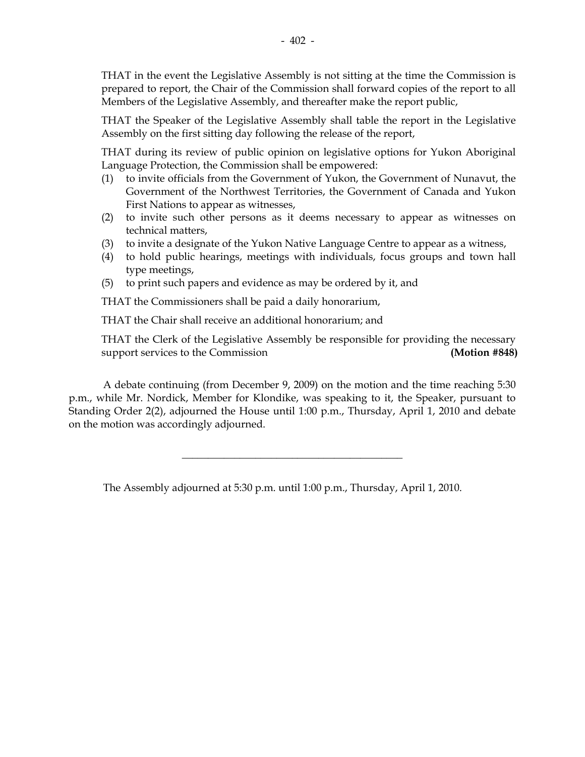THAT in the event the Legislative Assembly is not sitting at the time the Commission is prepared to report, the Chair of the Commission shall forward copies of the report to all Members of the Legislative Assembly, and thereafter make the report public,

 THAT the Speaker of the Legislative Assembly shall table the report in the Legislative Assembly on the first sitting day following the release of the report,

 THAT during its review of public opinion on legislative options for Yukon Aboriginal Language Protection, the Commission shall be empowered:

- (1) to invite officials from the Government of Yukon, the Government of Nunavut, the Government of the Northwest Territories, the Government of Canada and Yukon First Nations to appear as witnesses,
- (2) to invite such other persons as it deems necessary to appear as witnesses on technical matters,
- (3) to invite a designate of the Yukon Native Language Centre to appear as a witness,
- (4) to hold public hearings, meetings with individuals, focus groups and town hall type meetings,
- (5) to print such papers and evidence as may be ordered by it, and

THAT the Commissioners shall be paid a daily honorarium,

THAT the Chair shall receive an additional honorarium; and

 THAT the Clerk of the Legislative Assembly be responsible for providing the necessary support services to the Commission **(Motion #848)** 

 A debate continuing (from December 9, 2009) on the motion and the time reaching 5:30 p.m., while Mr. Nordick, Member for Klondike, was speaking to it, the Speaker, pursuant to Standing Order 2(2), adjourned the House until 1:00 p.m., Thursday, April 1, 2010 and debate on the motion was accordingly adjourned.

\_\_\_\_\_\_\_\_\_\_\_\_\_\_\_\_\_\_\_\_\_\_\_\_\_\_\_\_\_\_\_\_\_\_\_\_\_\_\_\_\_\_

The Assembly adjourned at 5:30 p.m. until 1:00 p.m., Thursday, April 1, 2010.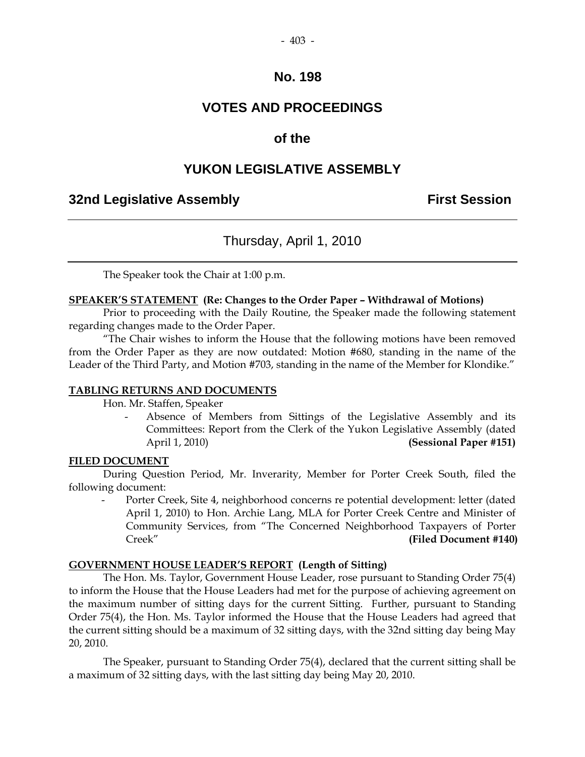## **VOTES AND PROCEEDINGS**

### **of the**

## **YUKON LEGISLATIVE ASSEMBLY**

## **32nd Legislative Assembly First Session**

## Thursday, April 1, 2010

The Speaker took the Chair at 1:00 p.m.

#### **SPEAKER'S STATEMENT (Re: Changes to the Order Paper – Withdrawal of Motions)**

 Prior to proceeding with the Daily Routine, the Speaker made the following statement regarding changes made to the Order Paper.

"The Chair wishes to inform the House that the following motions have been removed from the Order Paper as they are now outdated: Motion #680, standing in the name of the Leader of the Third Party, and Motion #703, standing in the name of the Member for Klondike."

#### **TABLING RETURNS AND DOCUMENTS**

Hon. Mr. Staffen, Speaker

Absence of Members from Sittings of the Legislative Assembly and its Committees: Report from the Clerk of the Yukon Legislative Assembly (dated April 1, 2010) **(Sessional Paper #151)**

#### **FILED DOCUMENT**

 During Question Period, Mr. Inverarity, Member for Porter Creek South, filed the following document:

Porter Creek, Site 4, neighborhood concerns re potential development: letter (dated April 1, 2010) to Hon. Archie Lang, MLA for Porter Creek Centre and Minister of Community Services, from "The Concerned Neighborhood Taxpayers of Porter Creek" **(Filed Document #140)** 

#### **GOVERNMENT HOUSE LEADER'S REPORT (Length of Sitting)**

 The Hon. Ms. Taylor, Government House Leader, rose pursuant to Standing Order 75(4) to inform the House that the House Leaders had met for the purpose of achieving agreement on the maximum number of sitting days for the current Sitting. Further, pursuant to Standing Order 75(4), the Hon. Ms. Taylor informed the House that the House Leaders had agreed that the current sitting should be a maximum of 32 sitting days, with the 32nd sitting day being May 20, 2010.

 The Speaker, pursuant to Standing Order 75(4), declared that the current sitting shall be a maximum of 32 sitting days, with the last sitting day being May 20, 2010.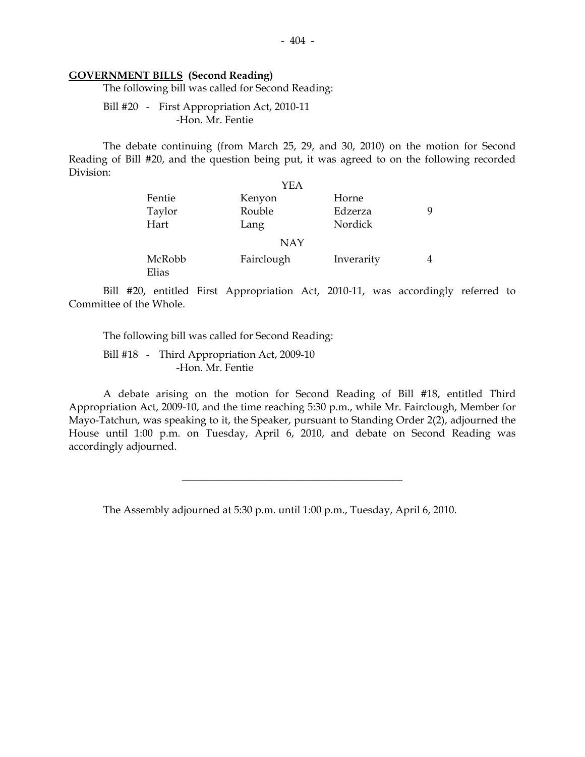#### **GOVERNMENT BILLS (Second Reading)**

The following bill was called for Second Reading:

 Bill #20 - First Appropriation Act, 2010-11 -Hon. Mr. Fentie

 The debate continuing (from March 25, 29, and 30, 2010) on the motion for Second Reading of Bill #20, and the question being put, it was agreed to on the following recorded Division:

|                          | YEA                |                             |   |
|--------------------------|--------------------|-----------------------------|---|
| Fentie<br>Taylor<br>Hart | Kenyon<br>Rouble   | Horne<br>Edzerza<br>Nordick | q |
|                          | Lang<br><b>NAY</b> |                             |   |
| McRobb<br>Elias          | Fairclough         | Inverarity                  | 4 |

 Bill #20, entitled First Appropriation Act, 2010-11, was accordingly referred to Committee of the Whole.

The following bill was called for Second Reading:

Bill #18 - Third Appropriation Act, 2009-10 -Hon. Mr. Fentie

 A debate arising on the motion for Second Reading of Bill #18, entitled Third Appropriation Act, 2009-10, and the time reaching 5:30 p.m., while Mr. Fairclough, Member for Mayo-Tatchun, was speaking to it, the Speaker, pursuant to Standing Order 2(2), adjourned the House until 1:00 p.m. on Tuesday, April 6, 2010, and debate on Second Reading was accordingly adjourned.

 $\overline{\phantom{a}}$  , and the set of the set of the set of the set of the set of the set of the set of the set of the set of the set of the set of the set of the set of the set of the set of the set of the set of the set of the s

The Assembly adjourned at 5:30 p.m. until 1:00 p.m., Tuesday, April 6, 2010.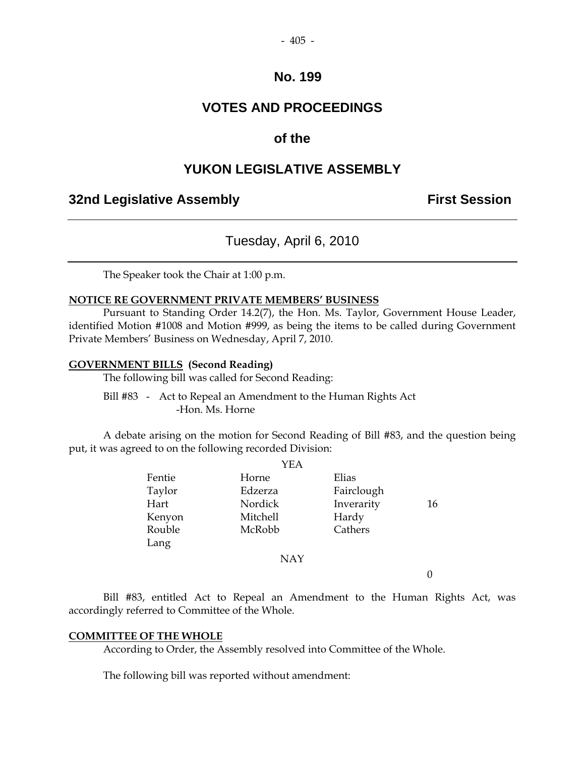## **VOTES AND PROCEEDINGS**

#### **of the**

#### **YUKON LEGISLATIVE ASSEMBLY**

#### **32nd Legislative Assembly The Contract Session**

## Tuesday, April 6, 2010

The Speaker took the Chair at 1:00 p.m.

#### **NOTICE RE GOVERNMENT PRIVATE MEMBERS' BUSINESS**

 Pursuant to Standing Order 14.2(7), the Hon. Ms. Taylor, Government House Leader, identified Motion #1008 and Motion #999, as being the items to be called during Government Private Members' Business on Wednesday, April 7, 2010.

#### **GOVERNMENT BILLS (Second Reading)**

The following bill was called for Second Reading:

 Bill #83 - Act to Repeal an Amendment to the Human Rights Act -Hon. Ms. Horne

 A debate arising on the motion for Second Reading of Bill #83, and the question being put, it was agreed to on the following recorded Division:  $\sqrt{2}$ 

|        | Y EA       |            |    |
|--------|------------|------------|----|
| Fentie | Horne      | Elias      |    |
| Taylor | Edzerza    | Fairclough |    |
| Hart   | Nordick    | Inverarity | 16 |
| Kenyon | Mitchell   | Hardy      |    |
| Rouble | McRobb     | Cathers    |    |
| Lang   |            |            |    |
|        | <b>NAY</b> |            |    |
|        |            |            |    |
|        |            |            |    |

 Bill #83, entitled Act to Repeal an Amendment to the Human Rights Act, was accordingly referred to Committee of the Whole.

#### **COMMITTEE OF THE WHOLE**

According to Order, the Assembly resolved into Committee of the Whole.

The following bill was reported without amendment: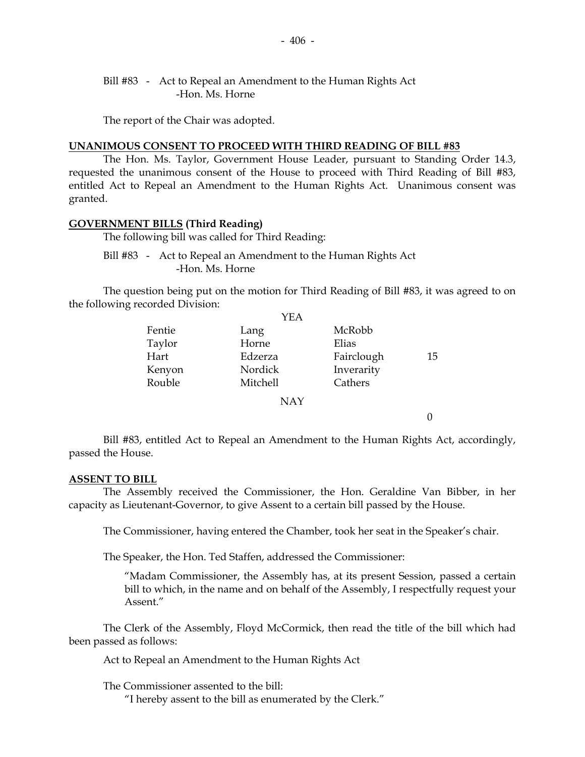#### Bill #83 - Act to Repeal an Amendment to the Human Rights Act -Hon. Ms. Horne

The report of the Chair was adopted.

#### **UNANIMOUS CONSENT TO PROCEED WITH THIRD READING OF BILL #83**

 The Hon. Ms. Taylor, Government House Leader, pursuant to Standing Order 14.3, requested the unanimous consent of the House to proceed with Third Reading of Bill #83, entitled Act to Repeal an Amendment to the Human Rights Act. Unanimous consent was granted.

#### **GOVERNMENT BILLS (Third Reading)**

The following bill was called for Third Reading:

 Bill #83 - Act to Repeal an Amendment to the Human Rights Act -Hon. Ms. Horne

 The question being put on the motion for Third Reading of Bill #83, it was agreed to on the following recorded Division:

|        | YEA        |            |    |
|--------|------------|------------|----|
| Fentie | Lang       | McRobb     |    |
| Taylor | Horne      | Elias      |    |
| Hart   | Edzerza    | Fairclough | 15 |
| Kenyon | Nordick    | Inverarity |    |
| Rouble | Mitchell   | Cathers    |    |
|        | <b>NAY</b> |            |    |
|        |            |            |    |

 Bill #83, entitled Act to Repeal an Amendment to the Human Rights Act, accordingly, passed the House.

#### **ASSENT TO BILL**

 The Assembly received the Commissioner, the Hon. Geraldine Van Bibber, in her capacity as Lieutenant-Governor, to give Assent to a certain bill passed by the House.

The Commissioner, having entered the Chamber, took her seat in the Speaker's chair.

The Speaker, the Hon. Ted Staffen, addressed the Commissioner:

"Madam Commissioner, the Assembly has, at its present Session, passed a certain bill to which, in the name and on behalf of the Assembly, I respectfully request your Assent."

 The Clerk of the Assembly, Floyd McCormick, then read the title of the bill which had been passed as follows:

Act to Repeal an Amendment to the Human Rights Act

The Commissioner assented to the bill:

"I hereby assent to the bill as enumerated by the Clerk."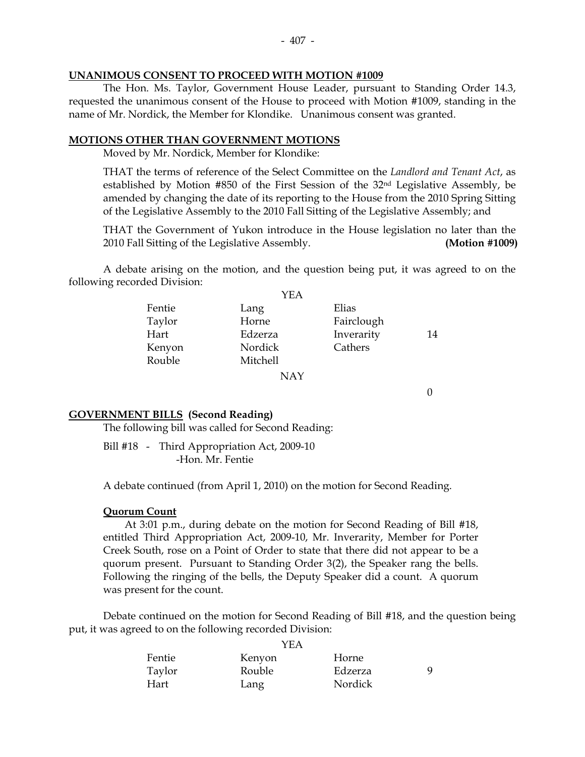#### **UNANIMOUS CONSENT TO PROCEED WITH MOTION #1009**

 The Hon. Ms. Taylor, Government House Leader, pursuant to Standing Order 14.3, requested the unanimous consent of the House to proceed with Motion #1009, standing in the name of Mr. Nordick, the Member for Klondike. Unanimous consent was granted.

#### **MOTIONS OTHER THAN GOVERNMENT MOTIONS**

Moved by Mr. Nordick, Member for Klondike:

 THAT the terms of reference of the Select Committee on the *Landlord and Tenant Act*, as established by Motion  $#850$  of the First Session of the  $32<sup>nd</sup>$  Legislative Assembly, be amended by changing the date of its reporting to the House from the 2010 Spring Sitting of the Legislative Assembly to the 2010 Fall Sitting of the Legislative Assembly; and

THAT the Government of Yukon introduce in the House legislation no later than the 2010 Fall Sitting of the Legislative Assembly. **(Motion #1009)** 

 A debate arising on the motion, and the question being put, it was agreed to on the following recorded Division:

|        | YEA        |            |    |
|--------|------------|------------|----|
| Fentie | Lang       | Elias      |    |
| Taylor | Horne      | Fairclough |    |
| Hart   | Edzerza    | Inverarity | 14 |
| Kenyon | Nordick    | Cathers    |    |
| Rouble | Mitchell   |            |    |
|        | <b>NAY</b> |            |    |

0

#### **GOVERNMENT BILLS (Second Reading)**

The following bill was called for Second Reading:

 Bill #18 - Third Appropriation Act, 2009-10 -Hon. Mr. Fentie

A debate continued (from April 1, 2010) on the motion for Second Reading.

#### **Quorum Count**

 At 3:01 p.m., during debate on the motion for Second Reading of Bill #18, entitled Third Appropriation Act, 2009-10, Mr. Inverarity, Member for Porter Creek South, rose on a Point of Order to state that there did not appear to be a quorum present. Pursuant to Standing Order 3(2), the Speaker rang the bells. Following the ringing of the bells, the Deputy Speaker did a count. A quorum was present for the count.

 Debate continued on the motion for Second Reading of Bill #18, and the question being put, it was agreed to on the following recorded Division:

| Kenyon | Horne   |    |
|--------|---------|----|
| Rouble | Edzerza | Q. |
| Lang   | Nordick |    |
|        |         |    |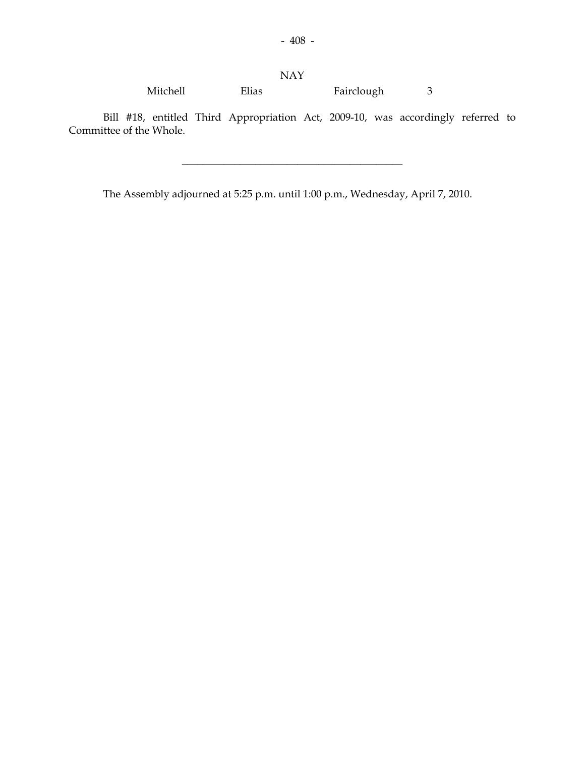Mitchell Elias Fairclough 3

 Bill #18, entitled Third Appropriation Act, 2009-10, was accordingly referred to Committee of the Whole.

\_\_\_\_\_\_\_\_\_\_\_\_\_\_\_\_\_\_\_\_\_\_\_\_\_\_\_\_\_\_\_\_\_\_\_\_\_\_\_\_\_\_

The Assembly adjourned at 5:25 p.m. until 1:00 p.m., Wednesday, April 7, 2010.

NAY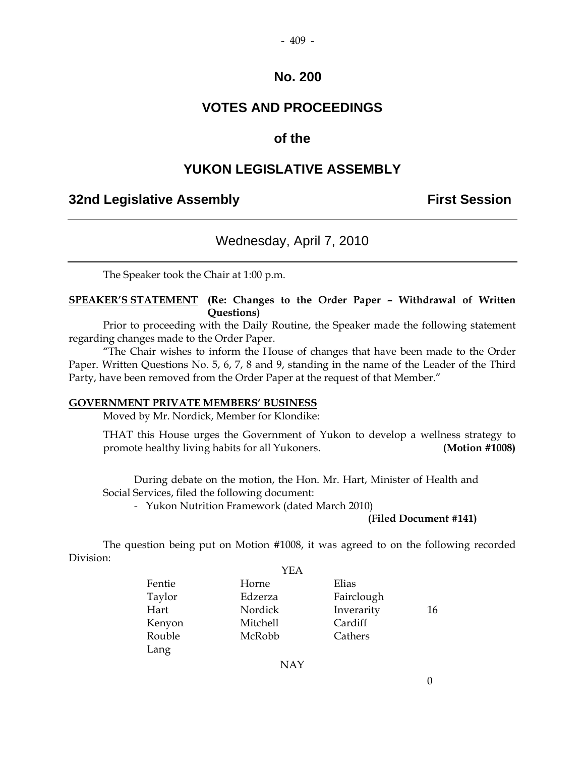- 409 -

### **VOTES AND PROCEEDINGS**

### **of the**

#### **YUKON LEGISLATIVE ASSEMBLY**

#### **32nd Legislative Assembly First Session**

#### Wednesday, April 7, 2010

The Speaker took the Chair at 1:00 p.m.

#### **SPEAKER'S STATEMENT (Re: Changes to the Order Paper – Withdrawal of Written Questions)**

 Prior to proceeding with the Daily Routine, the Speaker made the following statement regarding changes made to the Order Paper.

"The Chair wishes to inform the House of changes that have been made to the Order Paper. Written Questions No. 5, 6, 7, 8 and 9, standing in the name of the Leader of the Third Party, have been removed from the Order Paper at the request of that Member."

#### **GOVERNMENT PRIVATE MEMBERS' BUSINESS**

Moved by Mr. Nordick, Member for Klondike:

 THAT this House urges the Government of Yukon to develop a wellness strategy to promote healthy living habits for all Yukoners. **(Motion #1008)** 

 During debate on the motion, the Hon. Mr. Hart, Minister of Health and Social Services, filed the following document:

- Yukon Nutrition Framework (dated March 2010)

#### **(Filed Document #141)**

 The question being put on Motion #1008, it was agreed to on the following recorded Division:  $\overline{y}$ 

|        | YEA             |            |    |
|--------|-----------------|------------|----|
| Fentie | Horne           | Elias      |    |
| Taylor | Edzerza         | Fairclough |    |
| Hart   | Nordick         | Inverarity | 16 |
| Kenyon | <b>Mitchell</b> | Cardiff    |    |
| Rouble | McRobb          | Cathers    |    |
| Lang   |                 |            |    |
|        |                 |            |    |

NAY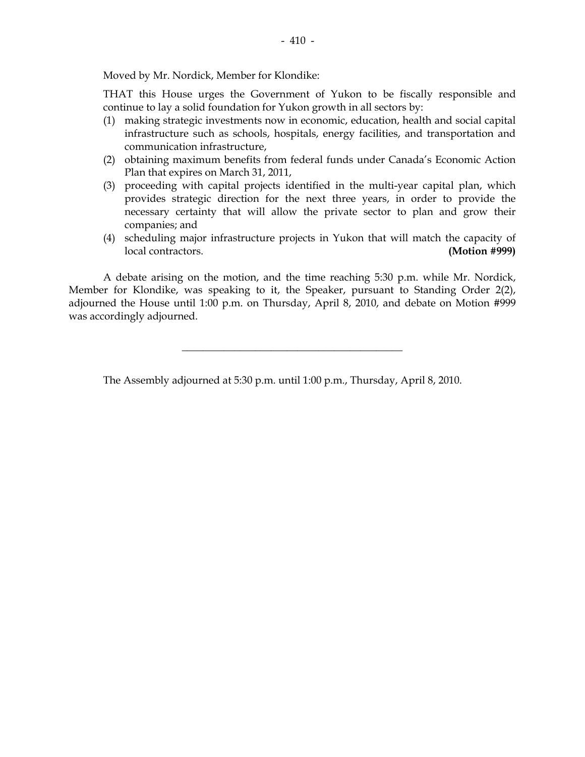Moved by Mr. Nordick, Member for Klondike:

 THAT this House urges the Government of Yukon to be fiscally responsible and continue to lay a solid foundation for Yukon growth in all sectors by:

- (1) making strategic investments now in economic, education, health and social capital infrastructure such as schools, hospitals, energy facilities, and transportation and communication infrastructure,
- (2) obtaining maximum benefits from federal funds under Canada's Economic Action Plan that expires on March 31, 2011,
- (3) proceeding with capital projects identified in the multi-year capital plan, which provides strategic direction for the next three years, in order to provide the necessary certainty that will allow the private sector to plan and grow their companies; and
- (4) scheduling major infrastructure projects in Yukon that will match the capacity of local contractors. **(Motion #999)**

 A debate arising on the motion, and the time reaching 5:30 p.m. while Mr. Nordick, Member for Klondike, was speaking to it, the Speaker, pursuant to Standing Order 2(2), adjourned the House until 1:00 p.m. on Thursday, April 8, 2010, and debate on Motion #999 was accordingly adjourned.

\_\_\_\_\_\_\_\_\_\_\_\_\_\_\_\_\_\_\_\_\_\_\_\_\_\_\_\_\_\_\_\_\_\_\_\_\_\_\_\_\_\_

The Assembly adjourned at 5:30 p.m. until 1:00 p.m., Thursday, April 8, 2010.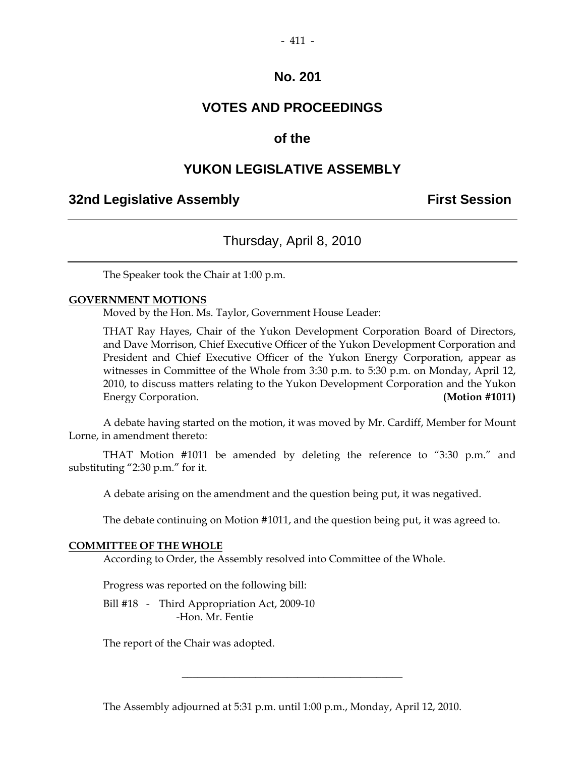## **VOTES AND PROCEEDINGS**

### **of the**

## **YUKON LEGISLATIVE ASSEMBLY**

### **32nd Legislative Assembly First Session**

## Thursday, April 8, 2010

The Speaker took the Chair at 1:00 p.m.

#### **GOVERNMENT MOTIONS**

Moved by the Hon. Ms. Taylor, Government House Leader:

 THAT Ray Hayes, Chair of the Yukon Development Corporation Board of Directors, and Dave Morrison, Chief Executive Officer of the Yukon Development Corporation and President and Chief Executive Officer of the Yukon Energy Corporation, appear as witnesses in Committee of the Whole from 3:30 p.m. to 5:30 p.m. on Monday, April 12, 2010, to discuss matters relating to the Yukon Development Corporation and the Yukon Energy Corporation. **(Motion #1011) (Motion #1011)** 

 A debate having started on the motion, it was moved by Mr. Cardiff, Member for Mount Lorne, in amendment thereto:

 THAT Motion #1011 be amended by deleting the reference to "3:30 p.m." and substituting "2:30 p.m." for it.

A debate arising on the amendment and the question being put, it was negatived.

The debate continuing on Motion #1011, and the question being put, it was agreed to.

#### **COMMITTEE OF THE WHOLE**

According to Order, the Assembly resolved into Committee of the Whole.

Progress was reported on the following bill:

Bill #18 - Third Appropriation Act, 2009-10 -Hon. Mr. Fentie

The report of the Chair was adopted.

The Assembly adjourned at 5:31 p.m. until 1:00 p.m., Monday, April 12, 2010.

 $\overline{\phantom{a}}$  , and the set of the set of the set of the set of the set of the set of the set of the set of the set of the set of the set of the set of the set of the set of the set of the set of the set of the set of the s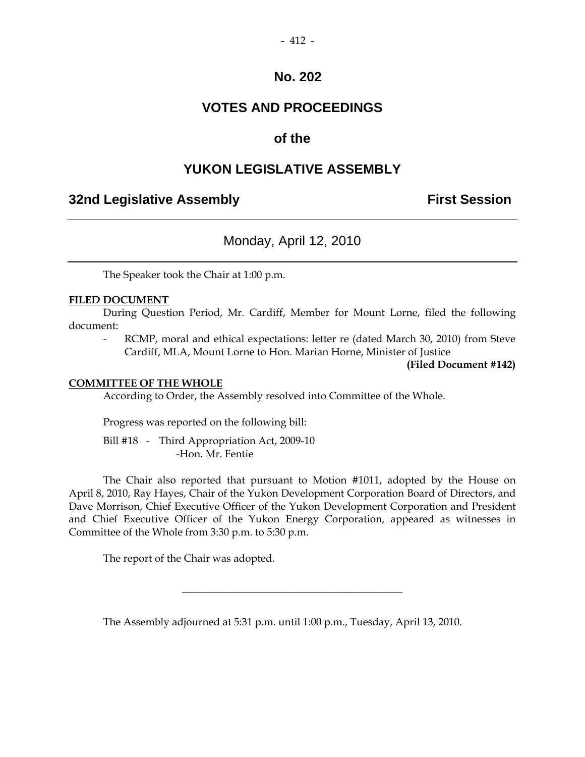## **VOTES AND PROCEEDINGS**

## **of the**

## **YUKON LEGISLATIVE ASSEMBLY**

### **32nd Legislative Assembly The Contract Session**

## Monday, April 12, 2010

The Speaker took the Chair at 1:00 p.m.

#### **FILED DOCUMENT**

 During Question Period, Mr. Cardiff, Member for Mount Lorne, filed the following document:

RCMP, moral and ethical expectations: letter re (dated March 30, 2010) from Steve Cardiff, MLA, Mount Lorne to Hon. Marian Horne, Minister of Justice

**(Filed Document #142)** 

#### **COMMITTEE OF THE WHOLE**

According to Order, the Assembly resolved into Committee of the Whole.

Progress was reported on the following bill:

 Bill #18 - Third Appropriation Act, 2009-10 -Hon. Mr. Fentie

 The Chair also reported that pursuant to Motion #1011, adopted by the House on April 8, 2010, Ray Hayes, Chair of the Yukon Development Corporation Board of Directors, and Dave Morrison, Chief Executive Officer of the Yukon Development Corporation and President and Chief Executive Officer of the Yukon Energy Corporation, appeared as witnesses in Committee of the Whole from 3:30 p.m. to 5:30 p.m.

The report of the Chair was adopted.

The Assembly adjourned at 5:31 p.m. until 1:00 p.m., Tuesday, April 13, 2010.

\_\_\_\_\_\_\_\_\_\_\_\_\_\_\_\_\_\_\_\_\_\_\_\_\_\_\_\_\_\_\_\_\_\_\_\_\_\_\_\_\_\_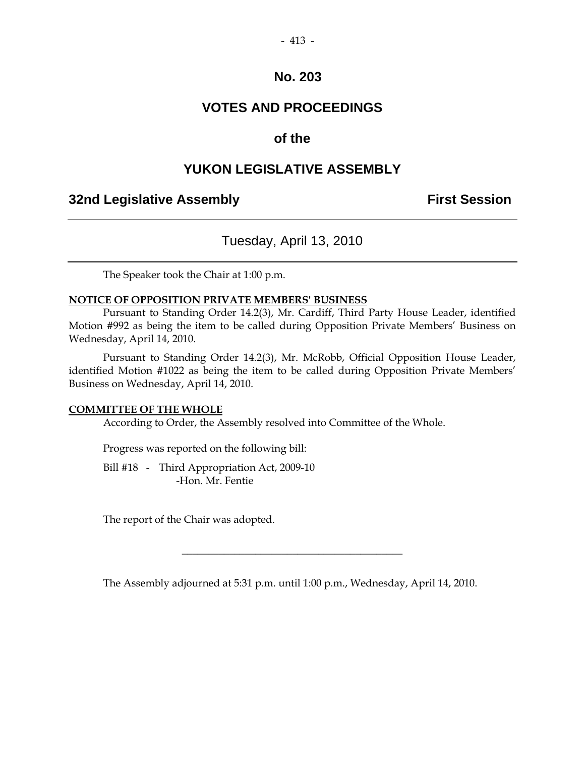## **VOTES AND PROCEEDINGS**

### **of the**

## **YUKON LEGISLATIVE ASSEMBLY**

### **32nd Legislative Assembly The Contract Session**

## Tuesday, April 13, 2010

The Speaker took the Chair at 1:00 p.m.

#### **NOTICE OF OPPOSITION PRIVATE MEMBERS' BUSINESS**

 Pursuant to Standing Order 14.2(3), Mr. Cardiff, Third Party House Leader, identified Motion #992 as being the item to be called during Opposition Private Members' Business on Wednesday, April 14, 2010.

 Pursuant to Standing Order 14.2(3), Mr. McRobb, Official Opposition House Leader, identified Motion #1022 as being the item to be called during Opposition Private Members' Business on Wednesday, April 14, 2010.

#### **COMMITTEE OF THE WHOLE**

According to Order, the Assembly resolved into Committee of the Whole.

Progress was reported on the following bill:

 Bill #18 - Third Appropriation Act, 2009-10 -Hon. Mr. Fentie

The report of the Chair was adopted.

The Assembly adjourned at 5:31 p.m. until 1:00 p.m., Wednesday, April 14, 2010.

 $\overline{\phantom{a}}$  , and the set of the set of the set of the set of the set of the set of the set of the set of the set of the set of the set of the set of the set of the set of the set of the set of the set of the set of the s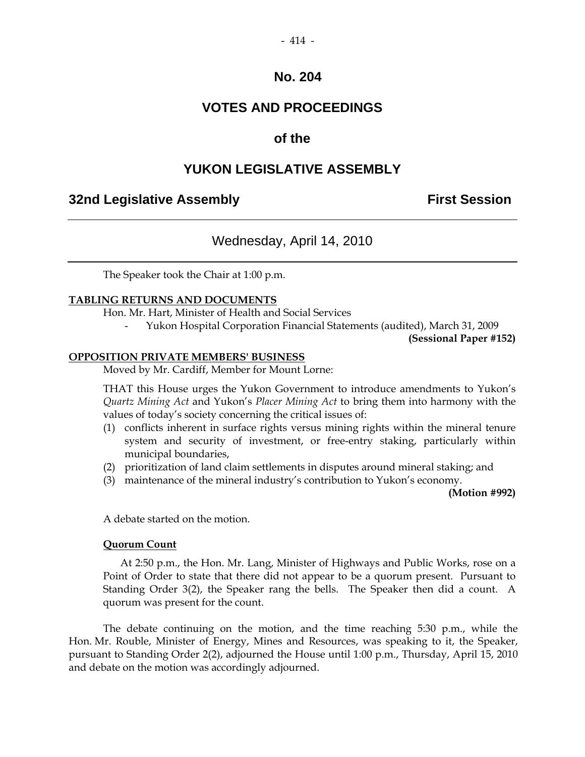## **VOTES AND PROCEEDINGS**

### **of the**

## **YUKON LEGISLATIVE ASSEMBLY**

## **32nd Legislative Assembly First Session**

## Wednesday, April 14, 2010

The Speaker took the Chair at 1:00 p.m.

#### **TABLING RETURNS AND DOCUMENTS**

Hon. Mr. Hart, Minister of Health and Social Services

- Yukon Hospital Corporation Financial Statements (audited), March 31, 2009

**(Sessional Paper #152)**

#### **OPPOSITION PRIVATE MEMBERS' BUSINESS**

Moved by Mr. Cardiff, Member for Mount Lorne:

 THAT this House urges the Yukon Government to introduce amendments to Yukon's *Quartz Mining Act* and Yukon's *Placer Mining Act* to bring them into harmony with the values of today's society concerning the critical issues of:

- (1) conflicts inherent in surface rights versus mining rights within the mineral tenure system and security of investment, or free-entry staking, particularly within municipal boundaries,
- (2) prioritization of land claim settlements in disputes around mineral staking; and
- (3) maintenance of the mineral industry's contribution to Yukon's economy.

**(Motion #992)** 

A debate started on the motion.

#### **Quorum Count**

 At 2:50 p.m., the Hon. Mr. Lang, Minister of Highways and Public Works, rose on a Point of Order to state that there did not appear to be a quorum present. Pursuant to Standing Order 3(2), the Speaker rang the bells. The Speaker then did a count. A quorum was present for the count.

 The debate continuing on the motion, and the time reaching 5:30 p.m., while the Hon. Mr. Rouble, Minister of Energy, Mines and Resources, was speaking to it, the Speaker, pursuant to Standing Order 2(2), adjourned the House until 1:00 p.m., Thursday, April 15, 2010 and debate on the motion was accordingly adjourned.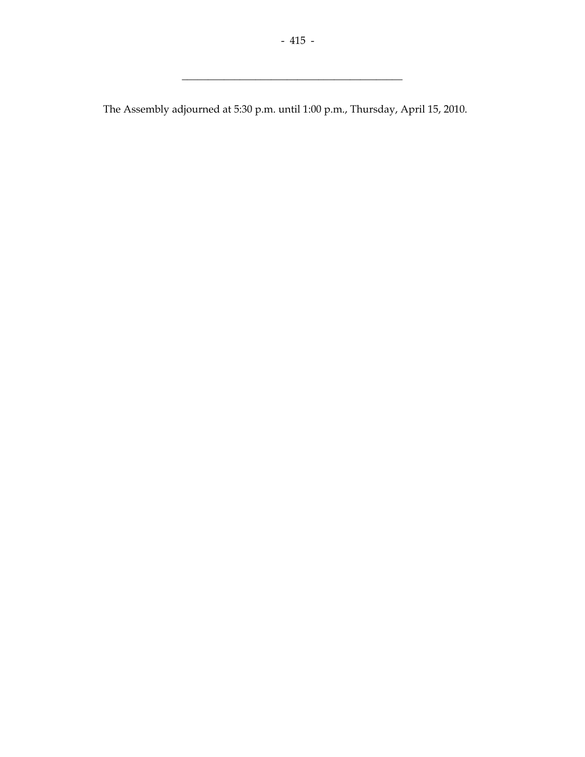$\frac{1}{2}$  ,  $\frac{1}{2}$  ,  $\frac{1}{2}$  ,  $\frac{1}{2}$  ,  $\frac{1}{2}$  ,  $\frac{1}{2}$  ,  $\frac{1}{2}$  ,  $\frac{1}{2}$  ,  $\frac{1}{2}$  ,  $\frac{1}{2}$  ,  $\frac{1}{2}$  ,  $\frac{1}{2}$  ,  $\frac{1}{2}$  ,  $\frac{1}{2}$  ,  $\frac{1}{2}$  ,  $\frac{1}{2}$  ,  $\frac{1}{2}$  ,  $\frac{1}{2}$  ,  $\frac{1$ 

The Assembly adjourned at 5:30 p.m. until 1:00 p.m., Thursday, April 15, 2010.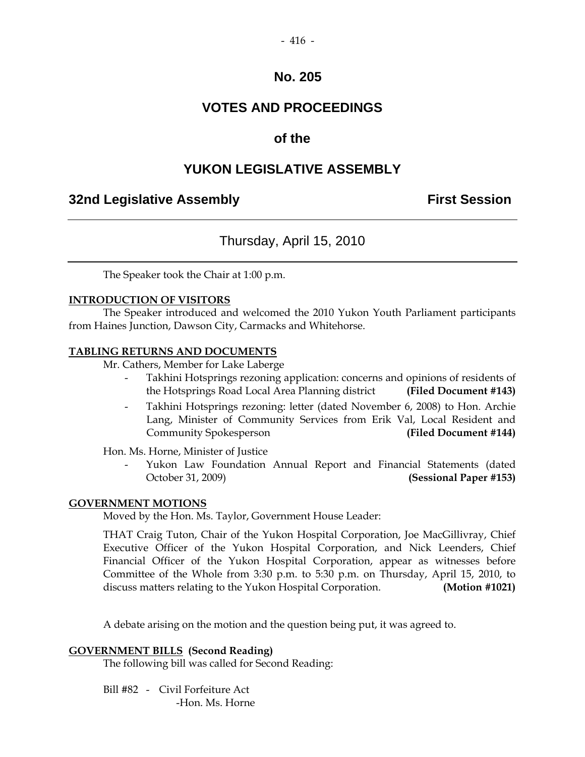## **VOTES AND PROCEEDINGS**

### **of the**

## **YUKON LEGISLATIVE ASSEMBLY**

### **32nd Legislative Assembly First Session**

## Thursday, April 15, 2010

The Speaker took the Chair at 1:00 p.m.

#### **INTRODUCTION OF VISITORS**

 The Speaker introduced and welcomed the 2010 Yukon Youth Parliament participants from Haines Junction, Dawson City, Carmacks and Whitehorse.

#### **TABLING RETURNS AND DOCUMENTS**

Mr. Cathers, Member for Lake Laberge

- Takhini Hotsprings rezoning application: concerns and opinions of residents of the Hotsprings Road Local Area Planning district **(Filed Document #143)**
- Takhini Hotsprings rezoning: letter (dated November 6, 2008) to Hon. Archie Lang, Minister of Community Services from Erik Val, Local Resident and Community Spokesperson **(Filed Document #144)**

Hon. Ms. Horne, Minister of Justice

Yukon Law Foundation Annual Report and Financial Statements (dated October 31, 2009) **(Sessional Paper #153)**

#### **GOVERNMENT MOTIONS**

Moved by the Hon. Ms. Taylor, Government House Leader:

 THAT Craig Tuton, Chair of the Yukon Hospital Corporation, Joe MacGillivray, Chief Executive Officer of the Yukon Hospital Corporation, and Nick Leenders, Chief Financial Officer of the Yukon Hospital Corporation, appear as witnesses before Committee of the Whole from 3:30 p.m. to 5:30 p.m. on Thursday, April 15, 2010, to discuss matters relating to the Yukon Hospital Corporation. **(Motion #1021)** 

A debate arising on the motion and the question being put, it was agreed to.

#### **GOVERNMENT BILLS (Second Reading)**

The following bill was called for Second Reading:

Bill #82 - Civil Forfeiture Act

-Hon. Ms. Horne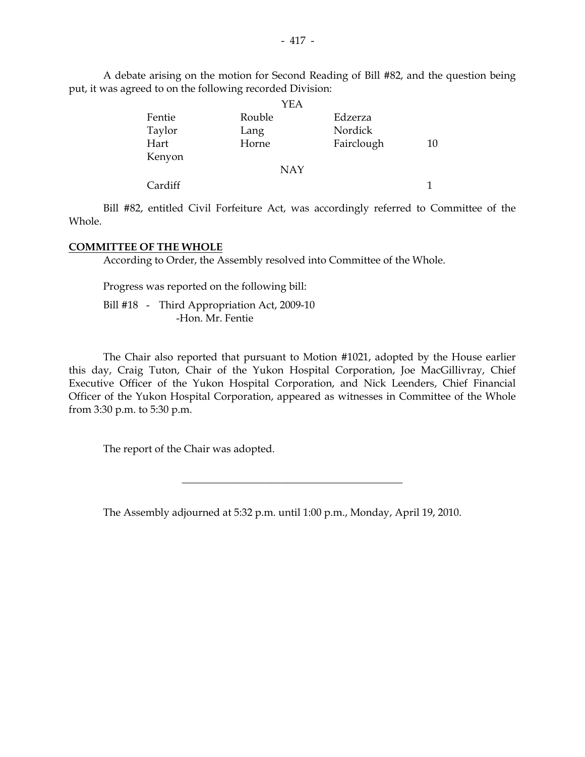A debate arising on the motion for Second Reading of Bill #82, and the question being put, it was agreed to on the following recorded Division:

|         |        | YEA        |            |    |
|---------|--------|------------|------------|----|
| Fentie  | Rouble |            | Edzerza    |    |
| Taylor  | Lang   |            | Nordick    |    |
| Hart    | Horne  |            | Fairclough | 10 |
| Kenyon  |        |            |            |    |
|         |        | <b>NAY</b> |            |    |
| Cardiff |        |            |            |    |

 Bill #82, entitled Civil Forfeiture Act, was accordingly referred to Committee of the Whole.

#### **COMMITTEE OF THE WHOLE**

According to Order, the Assembly resolved into Committee of the Whole.

Progress was reported on the following bill:

 Bill #18 - Third Appropriation Act, 2009-10 -Hon. Mr. Fentie

 The Chair also reported that pursuant to Motion #1021, adopted by the House earlier this day, Craig Tuton, Chair of the Yukon Hospital Corporation, Joe MacGillivray, Chief Executive Officer of the Yukon Hospital Corporation, and Nick Leenders, Chief Financial Officer of the Yukon Hospital Corporation, appeared as witnesses in Committee of the Whole from 3:30 p.m. to 5:30 p.m.

The report of the Chair was adopted.

The Assembly adjourned at 5:32 p.m. until 1:00 p.m., Monday, April 19, 2010.

 $\overline{\phantom{a}}$  , and the set of the set of the set of the set of the set of the set of the set of the set of the set of the set of the set of the set of the set of the set of the set of the set of the set of the set of the s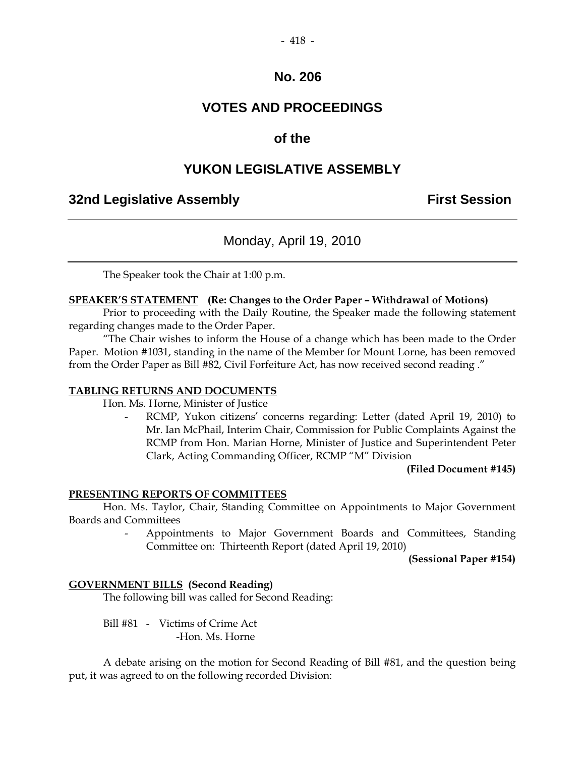## **VOTES AND PROCEEDINGS**

## **of the**

## **YUKON LEGISLATIVE ASSEMBLY**

## **32nd Legislative Assembly First Session**

## Monday, April 19, 2010

The Speaker took the Chair at 1:00 p.m.

#### **SPEAKER'S STATEMENT (Re: Changes to the Order Paper – Withdrawal of Motions)**

 Prior to proceeding with the Daily Routine, the Speaker made the following statement regarding changes made to the Order Paper.

"The Chair wishes to inform the House of a change which has been made to the Order Paper. Motion #1031, standing in the name of the Member for Mount Lorne, has been removed from the Order Paper as Bill #82, Civil Forfeiture Act, has now received second reading ."

#### **TABLING RETURNS AND DOCUMENTS**

Hon. Ms. Horne, Minister of Justice

RCMP, Yukon citizens' concerns regarding: Letter (dated April 19, 2010) to Mr. Ian McPhail, Interim Chair, Commission for Public Complaints Against the RCMP from Hon. Marian Horne, Minister of Justice and Superintendent Peter Clark, Acting Commanding Officer, RCMP "M" Division

**(Filed Document #145)** 

#### **PRESENTING REPORTS OF COMMITTEES**

 Hon. Ms. Taylor, Chair, Standing Committee on Appointments to Major Government Boards and Committees

> - Appointments to Major Government Boards and Committees, Standing Committee on: Thirteenth Report (dated April 19, 2010)

> > **(Sessional Paper #154)**

#### **GOVERNMENT BILLS (Second Reading)**

The following bill was called for Second Reading:

Bill #81 - Victims of Crime Act

-Hon. Ms. Horne

 A debate arising on the motion for Second Reading of Bill #81, and the question being put, it was agreed to on the following recorded Division: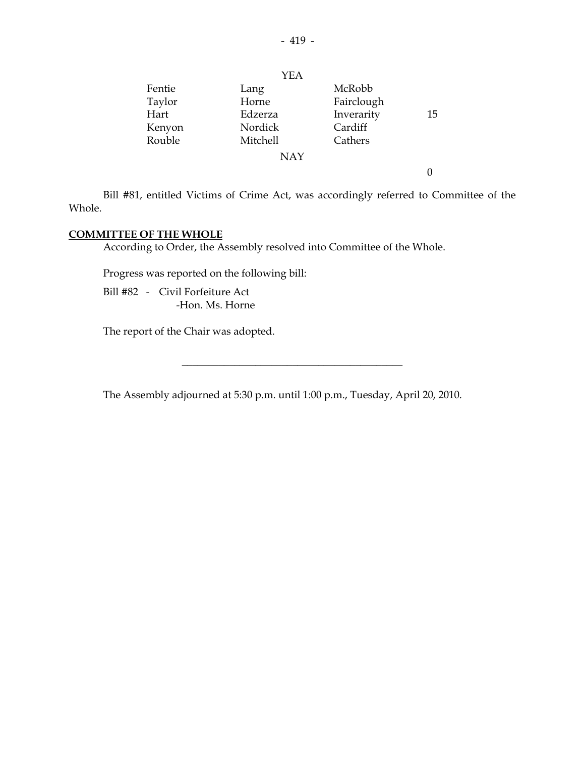|        | YEA        |            |    |
|--------|------------|------------|----|
| Fentie | Lang       | McRobb     |    |
| Taylor | Horne      | Fairclough |    |
| Hart   | Edzerza    | Inverarity | 15 |
| Kenyon | Nordick    | Cardiff    |    |
| Rouble | Mitchell   | Cathers    |    |
|        | <b>NAY</b> |            |    |
|        |            |            |    |

 Bill #81, entitled Victims of Crime Act, was accordingly referred to Committee of the Whole.

#### **COMMITTEE OF THE WHOLE**

According to Order, the Assembly resolved into Committee of the Whole.

Progress was reported on the following bill:

 Bill #82 - Civil Forfeiture Act -Hon. Ms. Horne

The report of the Chair was adopted.

The Assembly adjourned at 5:30 p.m. until 1:00 p.m., Tuesday, April 20, 2010.

 $\overline{\phantom{a}}$  , and the set of the set of the set of the set of the set of the set of the set of the set of the set of the set of the set of the set of the set of the set of the set of the set of the set of the set of the s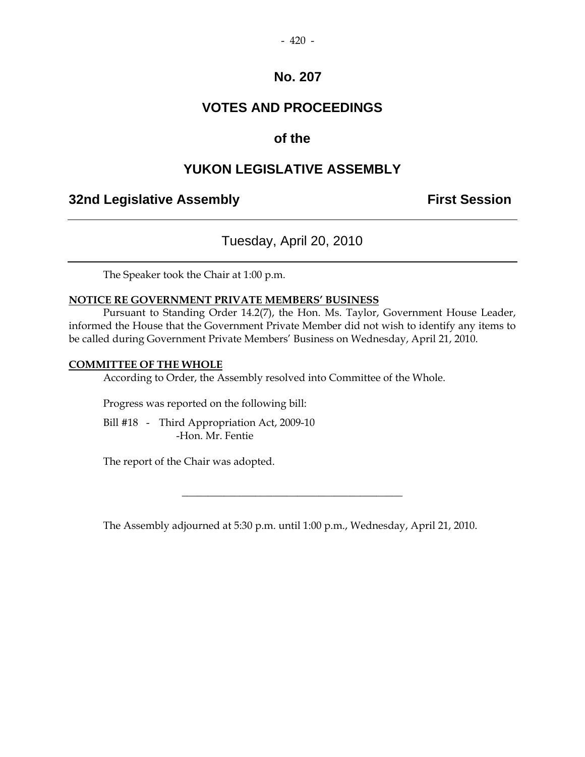## **VOTES AND PROCEEDINGS**

## **of the**

## **YUKON LEGISLATIVE ASSEMBLY**

## **32nd Legislative Assembly The Contract Session**

## Tuesday, April 20, 2010

The Speaker took the Chair at 1:00 p.m.

#### **NOTICE RE GOVERNMENT PRIVATE MEMBERS' BUSINESS**

 Pursuant to Standing Order 14.2(7), the Hon. Ms. Taylor, Government House Leader, informed the House that the Government Private Member did not wish to identify any items to be called during Government Private Members' Business on Wednesday, April 21, 2010.

#### **COMMITTEE OF THE WHOLE**

According to Order, the Assembly resolved into Committee of the Whole.

Progress was reported on the following bill:

 Bill #18 - Third Appropriation Act, 2009-10 -Hon. Mr. Fentie

The report of the Chair was adopted.

The Assembly adjourned at 5:30 p.m. until 1:00 p.m., Wednesday, April 21, 2010.

\_\_\_\_\_\_\_\_\_\_\_\_\_\_\_\_\_\_\_\_\_\_\_\_\_\_\_\_\_\_\_\_\_\_\_\_\_\_\_\_\_\_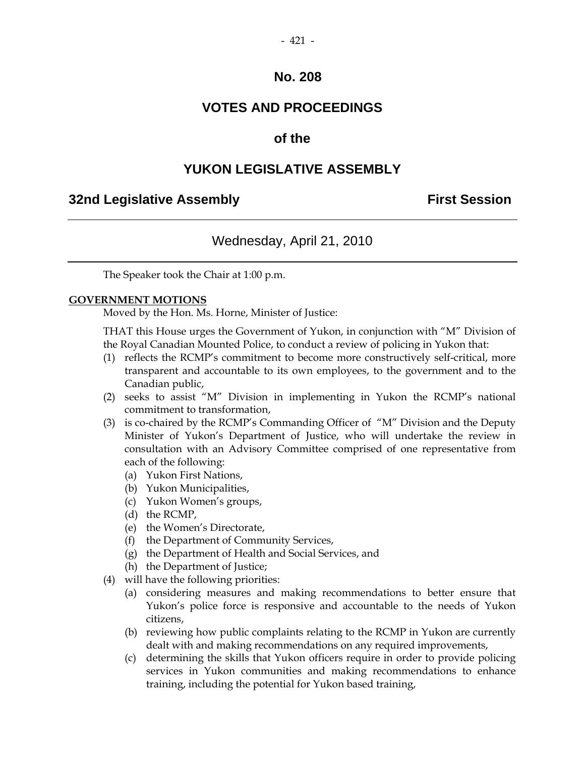## **VOTES AND PROCEEDINGS**

## **of the**

## **YUKON LEGISLATIVE ASSEMBLY**

### **32nd Legislative Assembly First Session**

## Wednesday, April 21, 2010

The Speaker took the Chair at 1:00 p.m.

#### **GOVERNMENT MOTIONS**

Moved by the Hon. Ms. Horne, Minister of Justice:

 THAT this House urges the Government of Yukon, in conjunction with "M" Division of the Royal Canadian Mounted Police, to conduct a review of policing in Yukon that:

- (1) reflects the RCMP's commitment to become more constructively self-critical, more transparent and accountable to its own employees, to the government and to the Canadian public,
- (2) seeks to assist "M" Division in implementing in Yukon the RCMP's national commitment to transformation,
- (3) is co-chaired by the RCMP's Commanding Officer of "M" Division and the Deputy Minister of Yukon's Department of Justice, who will undertake the review in consultation with an Advisory Committee comprised of one representative from each of the following:
	- (a) Yukon First Nations,
	- (b) Yukon Municipalities,
	- (c) Yukon Women's groups,
	- (d) the RCMP,
	- (e) the Women's Directorate,
	- (f) the Department of Community Services,
	- (g) the Department of Health and Social Services, and
	- (h) the Department of Justice;
- (4) will have the following priorities:
	- (a) considering measures and making recommendations to better ensure that Yukon's police force is responsive and accountable to the needs of Yukon citizens,
	- (b) reviewing how public complaints relating to the RCMP in Yukon are currently dealt with and making recommendations on any required improvements,
	- (c) determining the skills that Yukon officers require in order to provide policing services in Yukon communities and making recommendations to enhance training, including the potential for Yukon based training,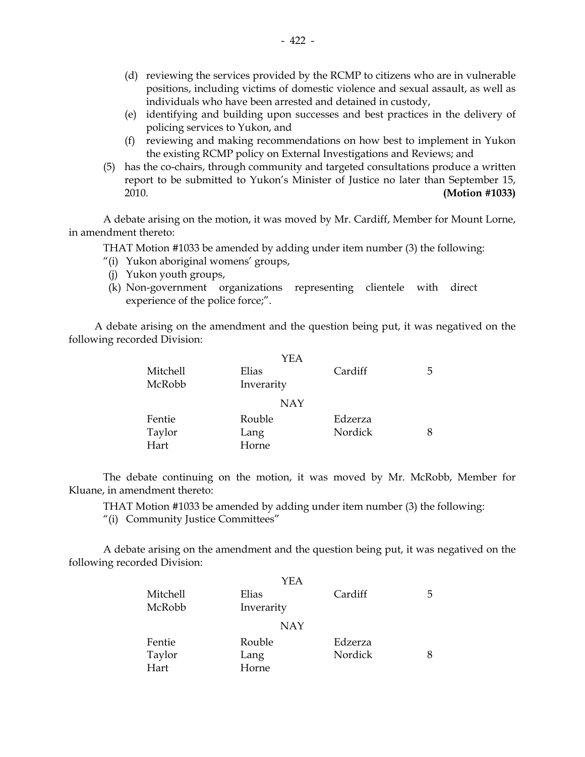- (d) reviewing the services provided by the RCMP to citizens who are in vulnerable positions, including victims of domestic violence and sexual assault, as well as individuals who have been arrested and detained in custody,
- (e) identifying and building upon successes and best practices in the delivery of policing services to Yukon, and
- (f) reviewing and making recommendations on how best to implement in Yukon the existing RCMP policy on External Investigations and Reviews; and
- (5) has the co-chairs, through community and targeted consultations produce a written report to be submitted to Yukon's Minister of Justice no later than September 15, 2010. **(Motion #1033)**

 A debate arising on the motion, it was moved by Mr. Cardiff, Member for Mount Lorne, in amendment thereto:

THAT Motion #1033 be amended by adding under item number (3) the following:

- "(i) Yukon aboriginal womens' groups,
- (j) Yukon youth groups,
- (k) Non-government organizations representing clientele with direct experience of the police force;".

 A debate arising on the amendment and the question being put, it was negatived on the following recorded Division:

|          | YEA        |         |   |
|----------|------------|---------|---|
| Mitchell | Elias      | Cardiff | 5 |
| McRobb   | Inverarity |         |   |
|          | <b>NAY</b> |         |   |
| Fentie   | Rouble     | Edzerza |   |
| Taylor   | Lang       | Nordick |   |
| Hart     | Horne      |         |   |

 The debate continuing on the motion, it was moved by Mr. McRobb, Member for Kluane, in amendment thereto:

THAT Motion #1033 be amended by adding under item number (3) the following:

"(i) Community Justice Committees"

 A debate arising on the amendment and the question being put, it was negatived on the following recorded Division:

|          | YEA        |         |   |
|----------|------------|---------|---|
| Mitchell | Elias      | Cardiff | 5 |
| McRobb   | Inverarity |         |   |
|          | <b>NAY</b> |         |   |
| Fentie   | Rouble     | Edzerza |   |
| Taylor   | Lang       | Nordick | 8 |
| Hart     | Horne      |         |   |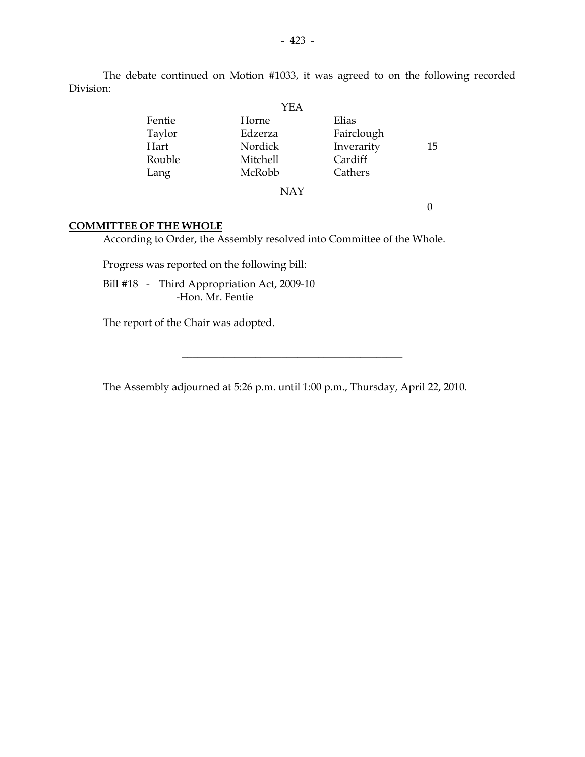The debate continued on Motion #1033, it was agreed to on the following recorded Division:

|        | YEA        |            |    |
|--------|------------|------------|----|
| Fentie | Horne      | Elias      |    |
| Taylor | Edzerza    | Fairclough |    |
| Hart   | Nordick    | Inverarity | 15 |
| Rouble | Mitchell   | Cardiff    |    |
| Lang   | McRobb     | Cathers    |    |
|        | <b>NAY</b> |            |    |
|        |            |            |    |
|        |            |            |    |

#### **COMMITTEE OF THE WHOLE**

According to Order, the Assembly resolved into Committee of the Whole.

Progress was reported on the following bill:

 Bill #18 - Third Appropriation Act, 2009-10 -Hon. Mr. Fentie

The report of the Chair was adopted.

The Assembly adjourned at 5:26 p.m. until 1:00 p.m., Thursday, April 22, 2010.

 $\overline{\phantom{a}}$  , and the set of the set of the set of the set of the set of the set of the set of the set of the set of the set of the set of the set of the set of the set of the set of the set of the set of the set of the s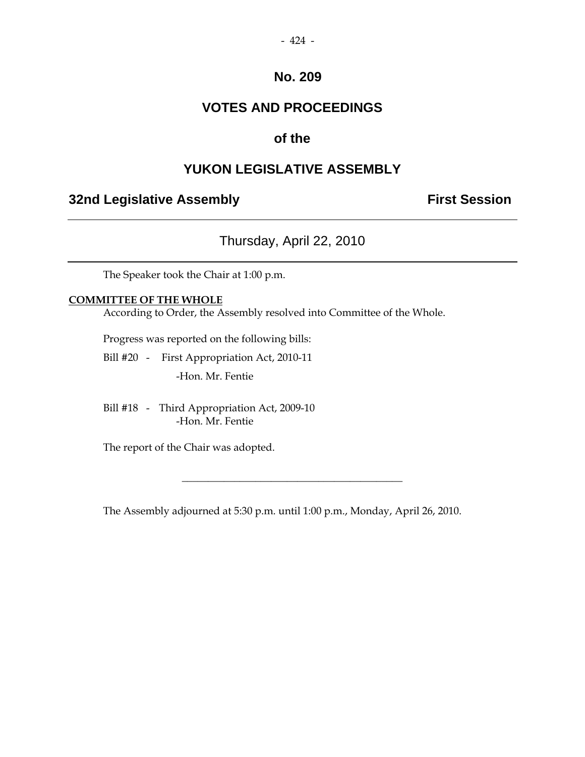## **VOTES AND PROCEEDINGS**

## **of the**

## **YUKON LEGISLATIVE ASSEMBLY**

## **32nd Legislative Assembly The Contract Session**

## Thursday, April 22, 2010

The Speaker took the Chair at 1:00 p.m.

#### **COMMITTEE OF THE WHOLE**

According to Order, the Assembly resolved into Committee of the Whole.

Progress was reported on the following bills:

- Bill #20 First Appropriation Act, 2010-11 -Hon. Mr. Fentie
- Bill #18 Third Appropriation Act, 2009-10 -Hon. Mr. Fentie

The report of the Chair was adopted.

The Assembly adjourned at 5:30 p.m. until 1:00 p.m., Monday, April 26, 2010.

\_\_\_\_\_\_\_\_\_\_\_\_\_\_\_\_\_\_\_\_\_\_\_\_\_\_\_\_\_\_\_\_\_\_\_\_\_\_\_\_\_\_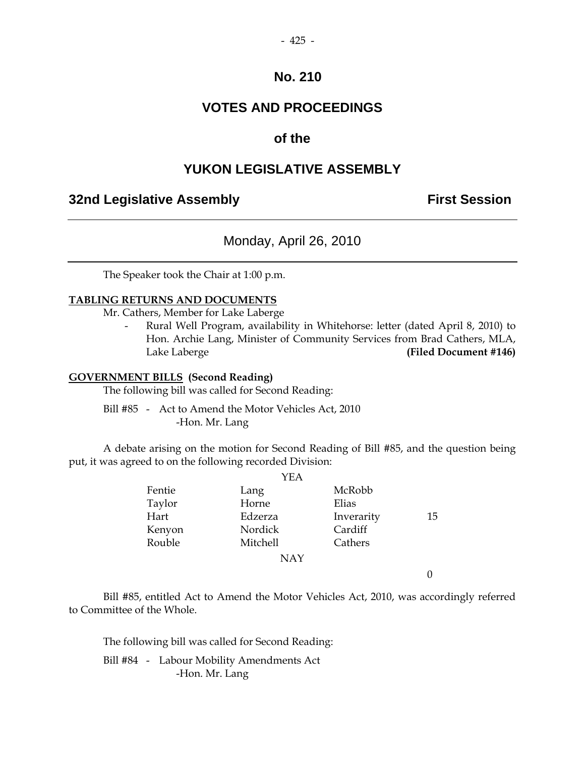## **VOTES AND PROCEEDINGS**

#### **of the**

### **YUKON LEGISLATIVE ASSEMBLY**

#### **32nd Legislative Assembly The Contract Session**

Monday, April 26, 2010

The Speaker took the Chair at 1:00 p.m.

#### **TABLING RETURNS AND DOCUMENTS**

Mr. Cathers, Member for Lake Laberge

Rural Well Program, availability in Whitehorse: letter (dated April 8, 2010) to Hon. Archie Lang, Minister of Community Services from Brad Cathers, MLA, Lake Laberge **(Filed Document #146)** 

#### **GOVERNMENT BILLS (Second Reading)**

The following bill was called for Second Reading:

 Bill #85 - Act to Amend the Motor Vehicles Act, 2010 -Hon. Mr. Lang

 A debate arising on the motion for Second Reading of Bill #85, and the question being put, it was agreed to on the following recorded Division:

|        | YEA        |            |    |
|--------|------------|------------|----|
| Fentie | Lang       | McRobb     |    |
| Taylor | Horne      | Elias      |    |
| Hart   | Edzerza    | Inverarity | 15 |
| Kenyon | Nordick    | Cardiff    |    |
| Rouble | Mitchell   | Cathers    |    |
|        | <b>NAY</b> |            |    |
|        |            |            |    |

 Bill #85, entitled Act to Amend the Motor Vehicles Act, 2010, was accordingly referred to Committee of the Whole.

The following bill was called for Second Reading:

 Bill #84 - Labour Mobility Amendments Act -Hon. Mr. Lang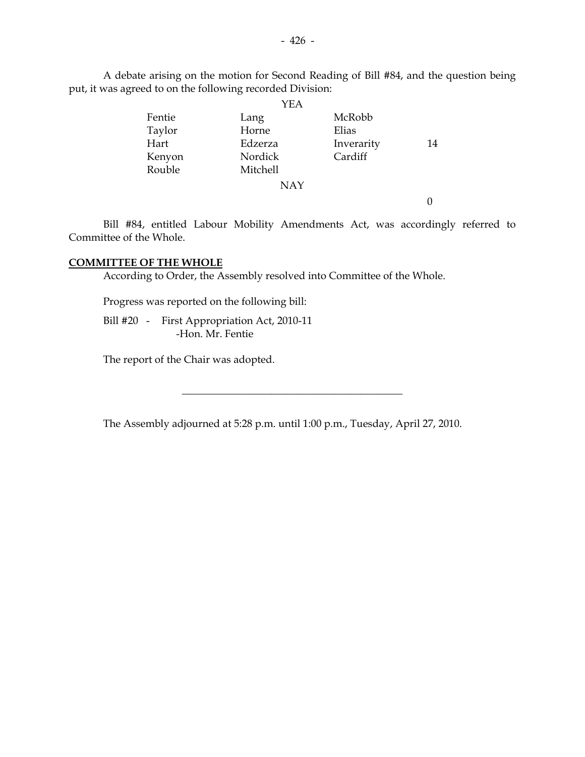A debate arising on the motion for Second Reading of Bill #84, and the question being put, it was agreed to on the following recorded Division:

|        | YEA        |            |    |
|--------|------------|------------|----|
| Fentie | Lang       | McRobb     |    |
| Taylor | Horne      | Elias      |    |
| Hart   | Edzerza    | Inverarity | 14 |
| Kenyon | Nordick    | Cardiff    |    |
| Rouble | Mitchell   |            |    |
|        | <b>NAY</b> |            |    |

0

 Bill #84, entitled Labour Mobility Amendments Act, was accordingly referred to Committee of the Whole.

#### **COMMITTEE OF THE WHOLE**

According to Order, the Assembly resolved into Committee of the Whole.

Progress was reported on the following bill:

 Bill #20 - First Appropriation Act, 2010-11 -Hon. Mr. Fentie

The report of the Chair was adopted.

The Assembly adjourned at 5:28 p.m. until 1:00 p.m., Tuesday, April 27, 2010.

\_\_\_\_\_\_\_\_\_\_\_\_\_\_\_\_\_\_\_\_\_\_\_\_\_\_\_\_\_\_\_\_\_\_\_\_\_\_\_\_\_\_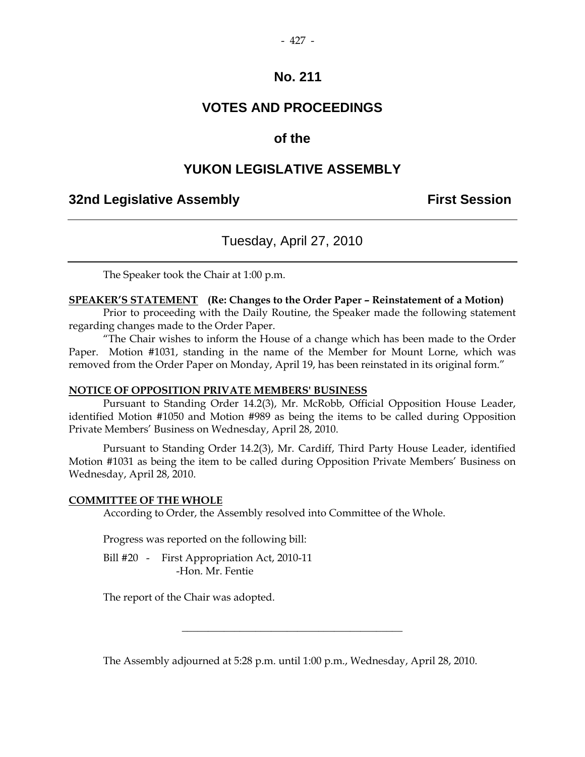## **VOTES AND PROCEEDINGS**

## **of the**

## **YUKON LEGISLATIVE ASSEMBLY**

## **32nd Legislative Assembly First Session**

## Tuesday, April 27, 2010

The Speaker took the Chair at 1:00 p.m.

#### **SPEAKER'S STATEMENT (Re: Changes to the Order Paper – Reinstatement of a Motion)**

 Prior to proceeding with the Daily Routine, the Speaker made the following statement regarding changes made to the Order Paper.

"The Chair wishes to inform the House of a change which has been made to the Order Paper. Motion #1031, standing in the name of the Member for Mount Lorne, which was removed from the Order Paper on Monday, April 19, has been reinstated in its original form."

#### **NOTICE OF OPPOSITION PRIVATE MEMBERS' BUSINESS**

 Pursuant to Standing Order 14.2(3), Mr. McRobb, Official Opposition House Leader, identified Motion #1050 and Motion #989 as being the items to be called during Opposition Private Members' Business on Wednesday, April 28, 2010.

 Pursuant to Standing Order 14.2(3), Mr. Cardiff, Third Party House Leader, identified Motion #1031 as being the item to be called during Opposition Private Members' Business on Wednesday, April 28, 2010.

#### **COMMITTEE OF THE WHOLE**

According to Order, the Assembly resolved into Committee of the Whole.

Progress was reported on the following bill:

Bill #20 - First Appropriation Act, 2010-11 -Hon. Mr. Fentie

The report of the Chair was adopted.

The Assembly adjourned at 5:28 p.m. until 1:00 p.m., Wednesday, April 28, 2010.

\_\_\_\_\_\_\_\_\_\_\_\_\_\_\_\_\_\_\_\_\_\_\_\_\_\_\_\_\_\_\_\_\_\_\_\_\_\_\_\_\_\_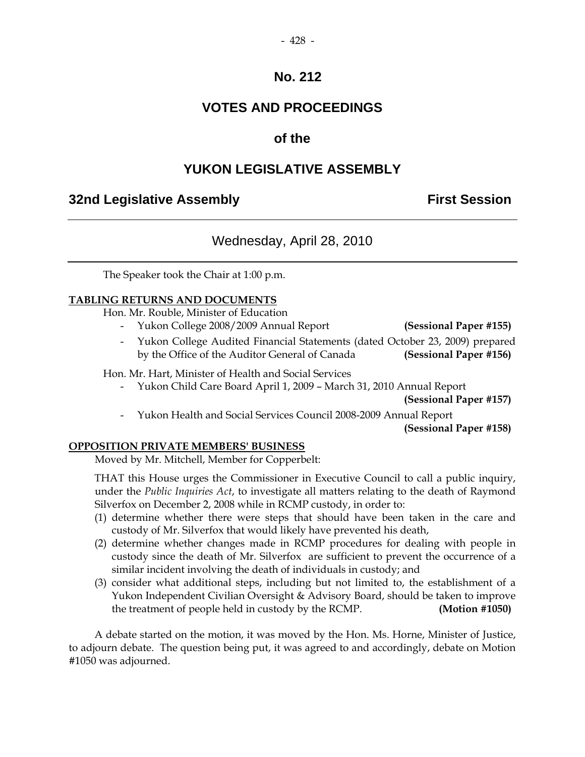## **VOTES AND PROCEEDINGS**

## **of the**

## **YUKON LEGISLATIVE ASSEMBLY**

## **32nd Legislative Assembly First Session**

## Wednesday, April 28, 2010

The Speaker took the Chair at 1:00 p.m.

#### **TABLING RETURNS AND DOCUMENTS**

Hon. Mr. Rouble, Minister of Education

- Yukon College 2008/2009 Annual Report **(Sessional Paper #155)**
- Yukon College Audited Financial Statements (dated October 23, 2009) prepared by the Office of the Auditor General of Canada **(Sessional Paper #156)**

Hon. Mr. Hart, Minister of Health and Social Services

- Yukon Child Care Board April 1, 2009 – March 31, 2010 Annual Report

**(Sessional Paper #157)** 

- Yukon Health and Social Services Council 2008-2009 Annual Report

**(Sessional Paper #158)** 

#### **OPPOSITION PRIVATE MEMBERS' BUSINESS**

Moved by Mr. Mitchell, Member for Copperbelt:

 THAT this House urges the Commissioner in Executive Council to call a public inquiry, under the *Public Inquiries Act*, to investigate all matters relating to the death of Raymond Silverfox on December 2, 2008 while in RCMP custody, in order to:

- (1) determine whether there were steps that should have been taken in the care and custody of Mr. Silverfox that would likely have prevented his death,
- (2) determine whether changes made in RCMP procedures for dealing with people in custody since the death of Mr. Silverfox are sufficient to prevent the occurrence of a similar incident involving the death of individuals in custody; and
- (3) consider what additional steps, including but not limited to, the establishment of a Yukon Independent Civilian Oversight & Advisory Board, should be taken to improve the treatment of people held in custody by the RCMP. **(Motion #1050)**

 A debate started on the motion, it was moved by the Hon. Ms. Horne, Minister of Justice, to adjourn debate. The question being put, it was agreed to and accordingly, debate on Motion #1050 was adjourned.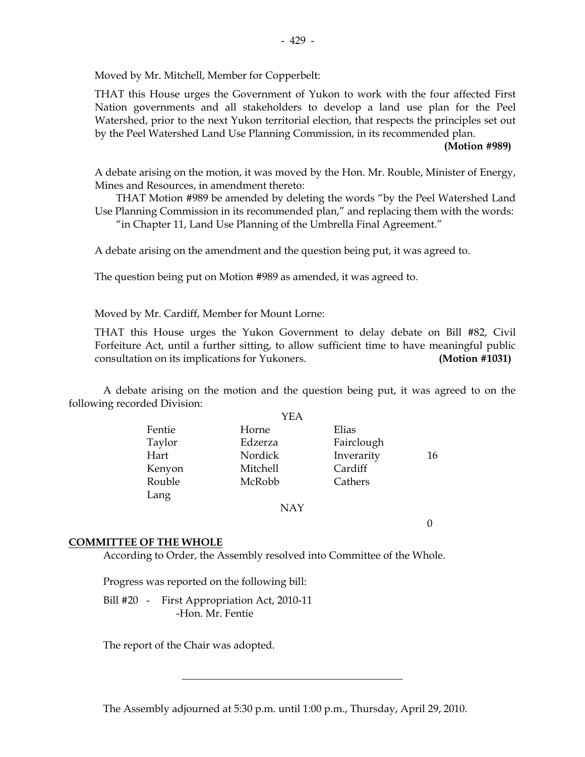Moved by Mr. Mitchell, Member for Copperbelt:

 THAT this House urges the Government of Yukon to work with the four affected First Nation governments and all stakeholders to develop a land use plan for the Peel Watershed, prior to the next Yukon territorial election, that respects the principles set out by the Peel Watershed Land Use Planning Commission, in its recommended plan.

#### **(Motion #989)**

 A debate arising on the motion, it was moved by the Hon. Mr. Rouble, Minister of Energy, Mines and Resources, in amendment thereto:

 THAT Motion #989 be amended by deleting the words "by the Peel Watershed Land Use Planning Commission in its recommended plan," and replacing them with the words:

"in Chapter 11, Land Use Planning of the Umbrella Final Agreement."

A debate arising on the amendment and the question being put, it was agreed to.

The question being put on Motion #989 as amended, it was agreed to.

Moved by Mr. Cardiff, Member for Mount Lorne:

 THAT this House urges the Yukon Government to delay debate on Bill #82, Civil Forfeiture Act, until a further sitting, to allow sufficient time to have meaningful public consultation on its implications for Yukoners. **(Motion #1031)**

 A debate arising on the motion and the question being put, it was agreed to on the following recorded Division:

|        | YEA        |            |    |
|--------|------------|------------|----|
| Fentie | Horne      | Elias      |    |
| Taylor | Edzerza    | Fairclough |    |
| Hart   | Nordick    | Inverarity | 16 |
| Kenyon | Mitchell   | Cardiff    |    |
| Rouble | McRobb     | Cathers    |    |
| Lang   |            |            |    |
|        | <b>NAY</b> |            |    |

0

#### **COMMITTEE OF THE WHOLE**

According to Order, the Assembly resolved into Committee of the Whole.

Progress was reported on the following bill:

Bill #20 - First Appropriation Act, 2010-11 -Hon. Mr. Fentie

The report of the Chair was adopted.

The Assembly adjourned at 5:30 p.m. until 1:00 p.m., Thursday, April 29, 2010.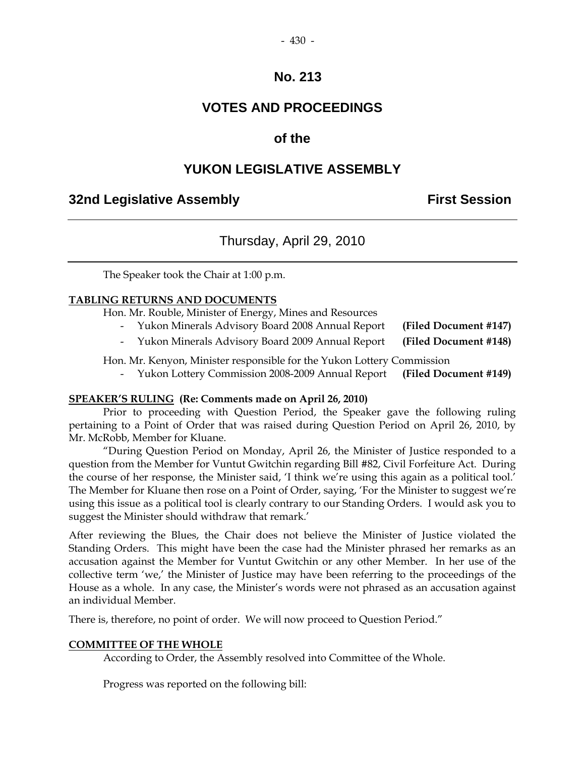# **VOTES AND PROCEEDINGS**

# **of the**

# **YUKON LEGISLATIVE ASSEMBLY**

# **32nd Legislative Assembly Constructed Session**

# Thursday, April 29, 2010

The Speaker took the Chair at 1:00 p.m.

## **TABLING RETURNS AND DOCUMENTS**

Hon. Mr. Rouble, Minister of Energy, Mines and Resources

- Yukon Minerals Advisory Board 2008 Annual Report **(Filed Document #147)**
- Yukon Minerals Advisory Board 2009 Annual Report **(Filed Document #148)**

Hon. Mr. Kenyon, Minister responsible for the Yukon Lottery Commission

- Yukon Lottery Commission 2008-2009 Annual Report **(Filed Document #149)**

## **SPEAKER'S RULING (Re: Comments made on April 26, 2010)**

 Prior to proceeding with Question Period, the Speaker gave the following ruling pertaining to a Point of Order that was raised during Question Period on April 26, 2010, by Mr. McRobb, Member for Kluane.

 "During Question Period on Monday, April 26, the Minister of Justice responded to a question from the Member for Vuntut Gwitchin regarding Bill #82, Civil Forfeiture Act. During the course of her response, the Minister said, 'I think we're using this again as a political tool.' The Member for Kluane then rose on a Point of Order, saying, 'For the Minister to suggest we're using this issue as a political tool is clearly contrary to our Standing Orders. I would ask you to suggest the Minister should withdraw that remark.'

After reviewing the Blues, the Chair does not believe the Minister of Justice violated the Standing Orders. This might have been the case had the Minister phrased her remarks as an accusation against the Member for Vuntut Gwitchin or any other Member. In her use of the collective term 'we,' the Minister of Justice may have been referring to the proceedings of the House as a whole. In any case, the Minister's words were not phrased as an accusation against an individual Member.

There is, therefore, no point of order. We will now proceed to Question Period."

## **COMMITTEE OF THE WHOLE**

According to Order, the Assembly resolved into Committee of the Whole.

Progress was reported on the following bill: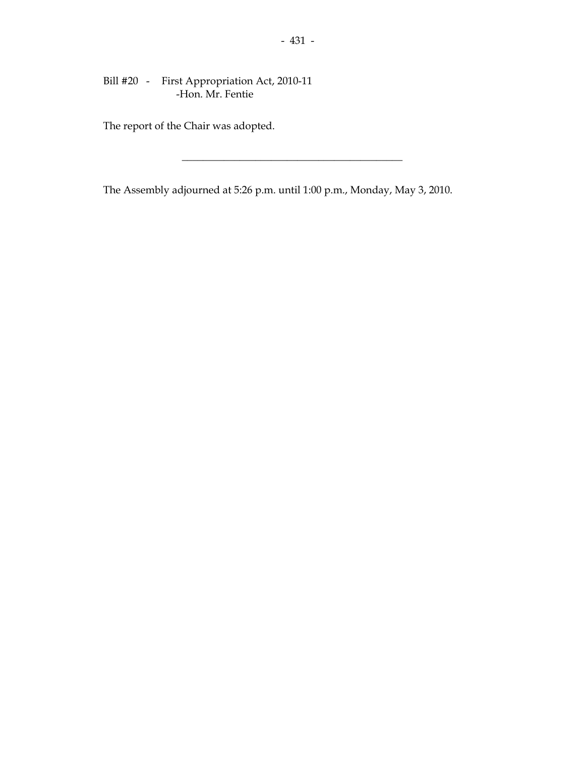## Bill #20 - First Appropriation Act, 2010-11 -Hon. Mr. Fentie

The report of the Chair was adopted.

The Assembly adjourned at 5:26 p.m. until 1:00 p.m., Monday, May 3, 2010.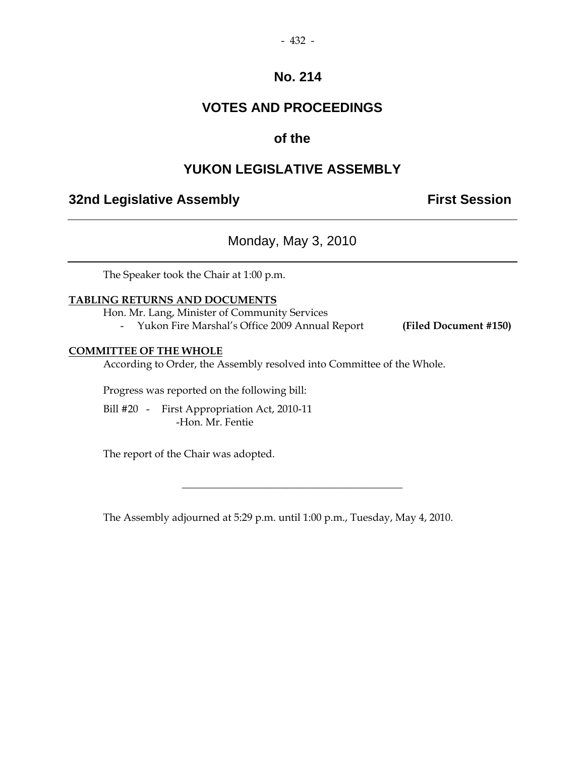# **VOTES AND PROCEEDINGS**

# **of the**

# **YUKON LEGISLATIVE ASSEMBLY**

# **32nd Legislative Assembly The Contract Session**

Monday, May 3, 2010

The Speaker took the Chair at 1:00 p.m.

## **TABLING RETURNS AND DOCUMENTS**

Hon. Mr. Lang, Minister of Community Services

- Yukon Fire Marshal's Office 2009 Annual Report **(Filed Document #150)**

## **COMMITTEE OF THE WHOLE**

According to Order, the Assembly resolved into Committee of the Whole.

Progress was reported on the following bill:

 Bill #20 - First Appropriation Act, 2010-11 -Hon. Mr. Fentie

The report of the Chair was adopted.

The Assembly adjourned at 5:29 p.m. until 1:00 p.m., Tuesday, May 4, 2010.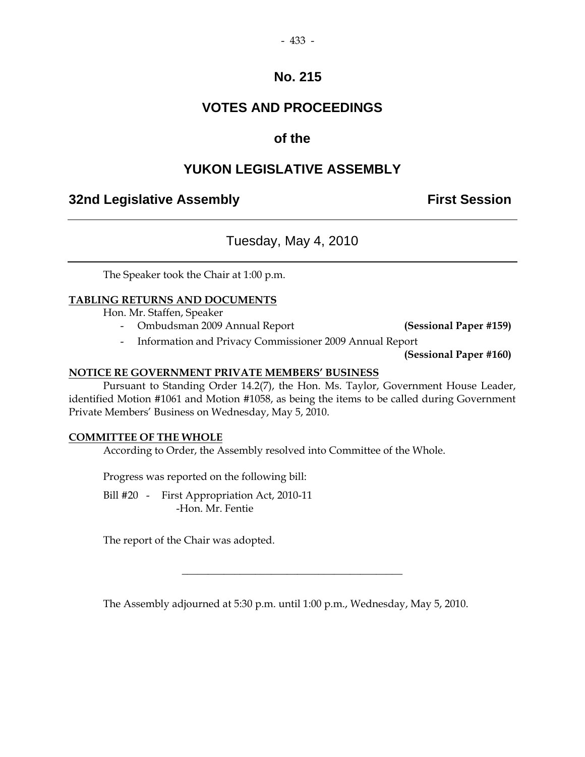# **VOTES AND PROCEEDINGS**

# **of the**

# **YUKON LEGISLATIVE ASSEMBLY**

# **32nd Legislative Assembly First Session**

# Tuesday, May 4, 2010

The Speaker took the Chair at 1:00 p.m.

## **TABLING RETURNS AND DOCUMENTS**

Hon. Mr. Staffen, Speaker

- Ombudsman 2009 Annual Report **(Sessional Paper #159)**

- Information and Privacy Commissioner 2009 Annual Report

**(Sessional Paper #160)**

## **NOTICE RE GOVERNMENT PRIVATE MEMBERS' BUSINESS**

 Pursuant to Standing Order 14.2(7), the Hon. Ms. Taylor, Government House Leader, identified Motion #1061 and Motion #1058, as being the items to be called during Government Private Members' Business on Wednesday, May 5, 2010.

## **COMMITTEE OF THE WHOLE**

According to Order, the Assembly resolved into Committee of the Whole.

Progress was reported on the following bill:

 Bill #20 - First Appropriation Act, 2010-11 -Hon. Mr. Fentie

The report of the Chair was adopted.

The Assembly adjourned at 5:30 p.m. until 1:00 p.m., Wednesday, May 5, 2010.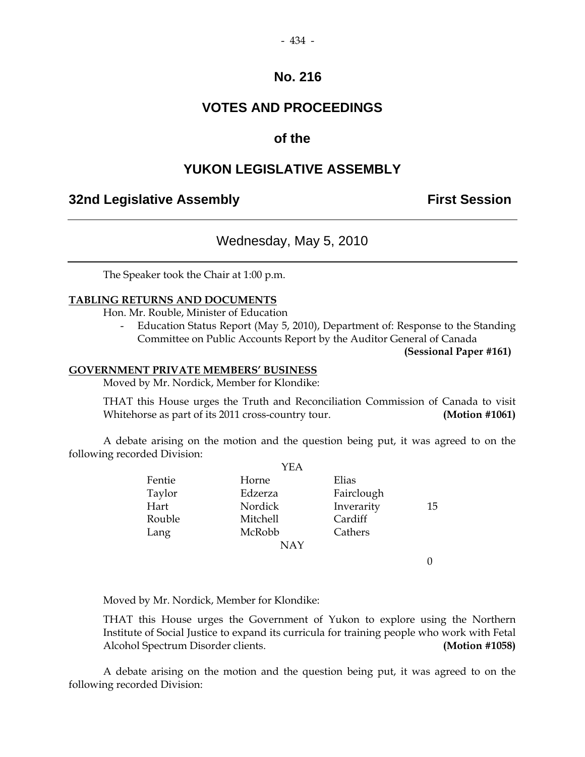# **VOTES AND PROCEEDINGS**

## **of the**

# **YUKON LEGISLATIVE ASSEMBLY**

# **32nd Legislative Assembly First Session**

# Wednesday, May 5, 2010

The Speaker took the Chair at 1:00 p.m.

## **TABLING RETURNS AND DOCUMENTS**

Hon. Mr. Rouble, Minister of Education

 - Education Status Report (May 5, 2010), Department of: Response to the Standing Committee on Public Accounts Report by the Auditor General of Canada

**(Sessional Paper #161)**

#### **GOVERNMENT PRIVATE MEMBERS' BUSINESS**

Moved by Mr. Nordick, Member for Klondike:

 THAT this House urges the Truth and Reconciliation Commission of Canada to visit Whitehorse as part of its 2011 cross-country tour. **(Motion #1061)**

 A debate arising on the motion and the question being put, it was agreed to on the following recorded Division:  $\sim$ 

| YEA      |            |    |
|----------|------------|----|
| Horne    | Elias      |    |
| Edzerza  | Fairclough |    |
| Nordick  | Inverarity | 15 |
| Mitchell | Cardiff    |    |
| McRobb   | Cathers    |    |
| NAY      |            |    |
|          |            |    |

0

Moved by Mr. Nordick, Member for Klondike:

 THAT this House urges the Government of Yukon to explore using the Northern Institute of Social Justice to expand its curricula for training people who work with Fetal Alcohol Spectrum Disorder clients. **(Motion #1058)**

 A debate arising on the motion and the question being put, it was agreed to on the following recorded Division: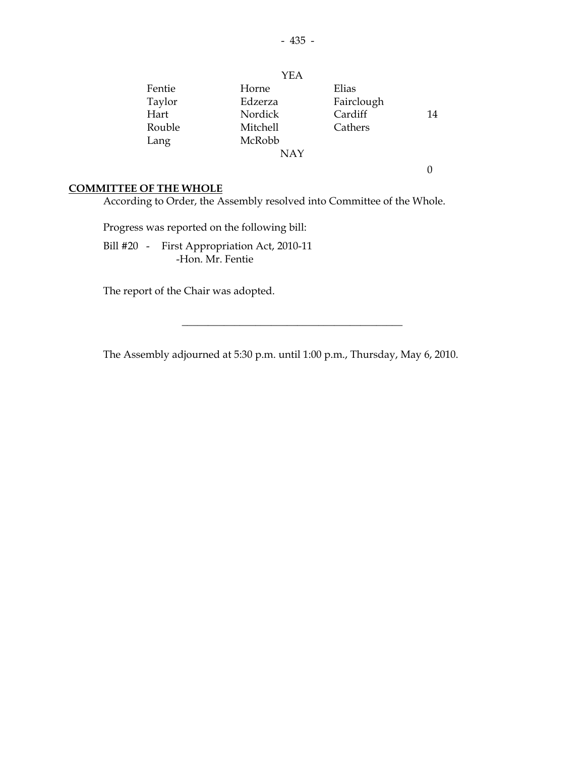|        | <b>YEA</b> |            |    |
|--------|------------|------------|----|
| Fentie | Horne      | Elias      |    |
| Taylor | Edzerza    | Fairclough |    |
| Hart   | Nordick    | Cardiff    | 14 |
| Rouble | Mitchell   | Cathers    |    |
| Lang   | McRobb     |            |    |
|        | NAY        |            |    |

 $\boldsymbol{0}$ 

## **COMMITTEE OF THE WHOLE**

According to Order, the Assembly resolved into Committee of the Whole.

Progress was reported on the following bill:

 Bill #20 - First Appropriation Act, 2010-11 -Hon. Mr. Fentie

The report of the Chair was adopted.

The Assembly adjourned at 5:30 p.m. until 1:00 p.m., Thursday, May 6, 2010.

 $\overline{\phantom{a}}$  , and the set of the set of the set of the set of the set of the set of the set of the set of the set of the set of the set of the set of the set of the set of the set of the set of the set of the set of the s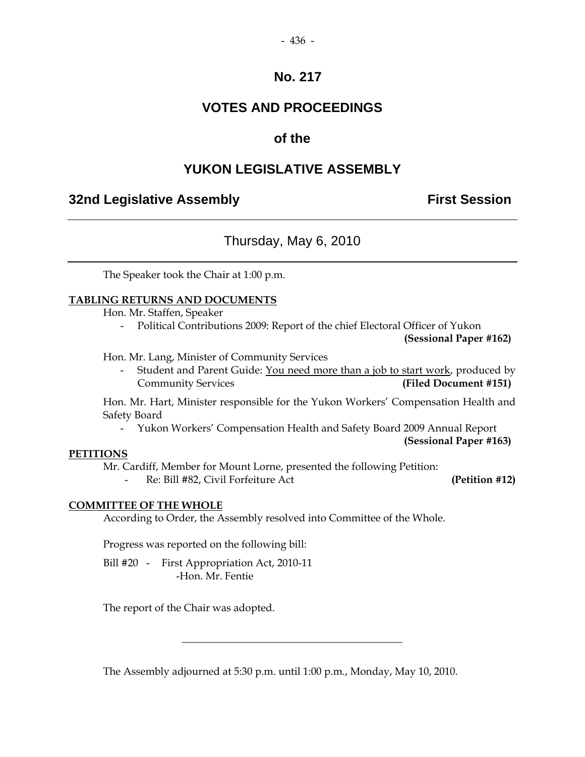# **VOTES AND PROCEEDINGS**

# **of the**

# **YUKON LEGISLATIVE ASSEMBLY**

# **32nd Legislative Assembly First Session**

# Thursday, May 6, 2010

The Speaker took the Chair at 1:00 p.m.

## **TABLING RETURNS AND DOCUMENTS**

Hon. Mr. Staffen, Speaker

- Political Contributions 2009: Report of the chief Electoral Officer of Yukon

**(Sessional Paper #162)** 

Hon. Mr. Lang, Minister of Community Services

 - Student and Parent Guide: You need more than a job to start work, produced by Community Services **(Filed Document #151)** 

 Hon. Mr. Hart, Minister responsible for the Yukon Workers' Compensation Health and Safety Board

- Yukon Workers' Compensation Health and Safety Board 2009 Annual Report

#### **(Sessional Paper #163)**

## **PETITIONS**

Mr. Cardiff, Member for Mount Lorne, presented the following Petition:

- Re: Bill #82, Civil Forfeiture Act **(Petition #12)** 

## **COMMITTEE OF THE WHOLE**

According to Order, the Assembly resolved into Committee of the Whole.

Progress was reported on the following bill:

Bill #20 - First Appropriation Act, 2010-11 -Hon. Mr. Fentie

The report of the Chair was adopted.

The Assembly adjourned at 5:30 p.m. until 1:00 p.m., Monday, May 10, 2010.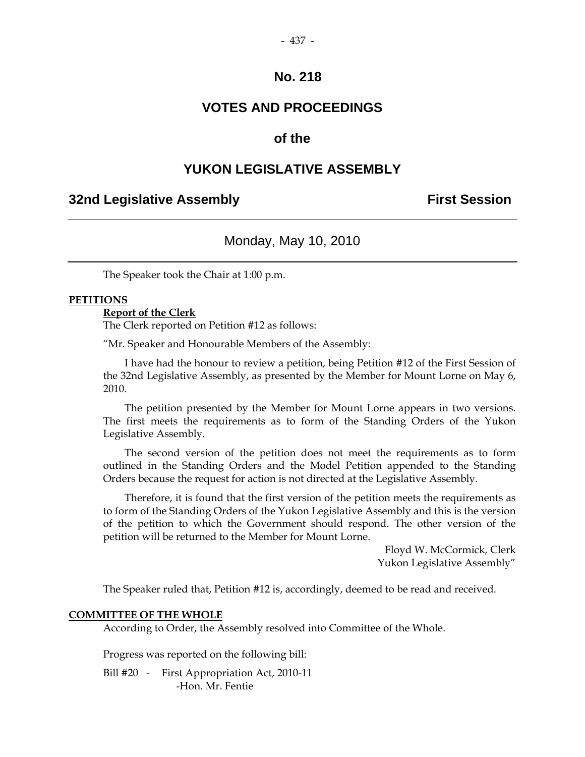# **VOTES AND PROCEEDINGS**

## **of the**

# **YUKON LEGISLATIVE ASSEMBLY**

## **32nd Legislative Assembly First Session**

# Monday, May 10, 2010

The Speaker took the Chair at 1:00 p.m.

## **PETITIONS**

#### **Report of the Clerk**

The Clerk reported on Petition #12 as follows:

"Mr. Speaker and Honourable Members of the Assembly:

 I have had the honour to review a petition, being Petition #12 of the First Session of the 32nd Legislative Assembly, as presented by the Member for Mount Lorne on May 6, 2010.

 The petition presented by the Member for Mount Lorne appears in two versions. The first meets the requirements as to form of the Standing Orders of the Yukon Legislative Assembly.

 The second version of the petition does not meet the requirements as to form outlined in the Standing Orders and the Model Petition appended to the Standing Orders because the request for action is not directed at the Legislative Assembly.

 Therefore, it is found that the first version of the petition meets the requirements as to form of the Standing Orders of the Yukon Legislative Assembly and this is the version of the petition to which the Government should respond. The other version of the petition will be returned to the Member for Mount Lorne.

> Floyd W. McCormick, Clerk Yukon Legislative Assembly"

The Speaker ruled that, Petition #12 is, accordingly, deemed to be read and received.

#### **COMMITTEE OF THE WHOLE**

According to Order, the Assembly resolved into Committee of the Whole.

Progress was reported on the following bill:

Bill #20 - First Appropriation Act, 2010-11 -Hon. Mr. Fentie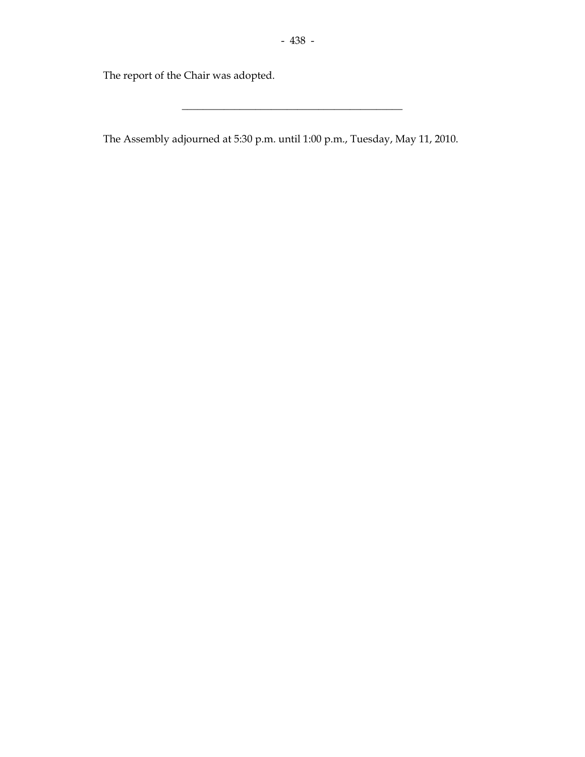\_\_\_\_\_\_\_\_\_\_\_\_\_\_\_\_\_\_\_\_\_\_\_\_\_\_\_\_\_\_\_\_\_\_\_\_\_\_\_\_\_\_

The report of the Chair was adopted.

The Assembly adjourned at 5:30 p.m. until 1:00 p.m., Tuesday, May 11, 2010.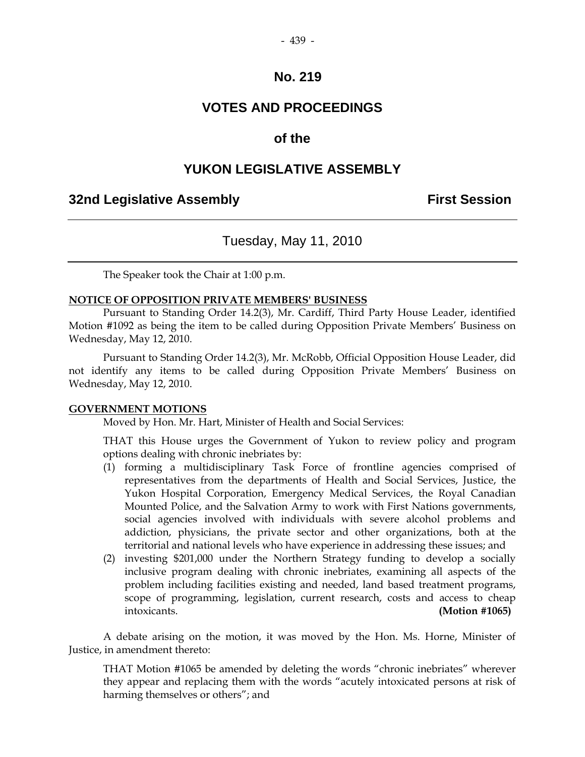# **VOTES AND PROCEEDINGS**

## **of the**

# **YUKON LEGISLATIVE ASSEMBLY**

# **32nd Legislative Assembly First Session**

# Tuesday, May 11, 2010

The Speaker took the Chair at 1:00 p.m.

#### **NOTICE OF OPPOSITION PRIVATE MEMBERS' BUSINESS**

 Pursuant to Standing Order 14.2(3), Mr. Cardiff, Third Party House Leader, identified Motion #1092 as being the item to be called during Opposition Private Members' Business on Wednesday, May 12, 2010.

 Pursuant to Standing Order 14.2(3), Mr. McRobb, Official Opposition House Leader, did not identify any items to be called during Opposition Private Members' Business on Wednesday, May 12, 2010.

## **GOVERNMENT MOTIONS**

Moved by Hon. Mr. Hart, Minister of Health and Social Services:

 THAT this House urges the Government of Yukon to review policy and program options dealing with chronic inebriates by:

- (1) forming a multidisciplinary Task Force of frontline agencies comprised of representatives from the departments of Health and Social Services, Justice, the Yukon Hospital Corporation, Emergency Medical Services, the Royal Canadian Mounted Police, and the Salvation Army to work with First Nations governments, social agencies involved with individuals with severe alcohol problems and addiction, physicians, the private sector and other organizations, both at the territorial and national levels who have experience in addressing these issues; and
- (2) investing \$201,000 under the Northern Strategy funding to develop a socially inclusive program dealing with chronic inebriates, examining all aspects of the problem including facilities existing and needed, land based treatment programs, scope of programming, legislation, current research, costs and access to cheap intoxicants. **(Motion #1065)**

 A debate arising on the motion, it was moved by the Hon. Ms. Horne, Minister of Justice, in amendment thereto:

 THAT Motion #1065 be amended by deleting the words "chronic inebriates" wherever they appear and replacing them with the words "acutely intoxicated persons at risk of harming themselves or others"; and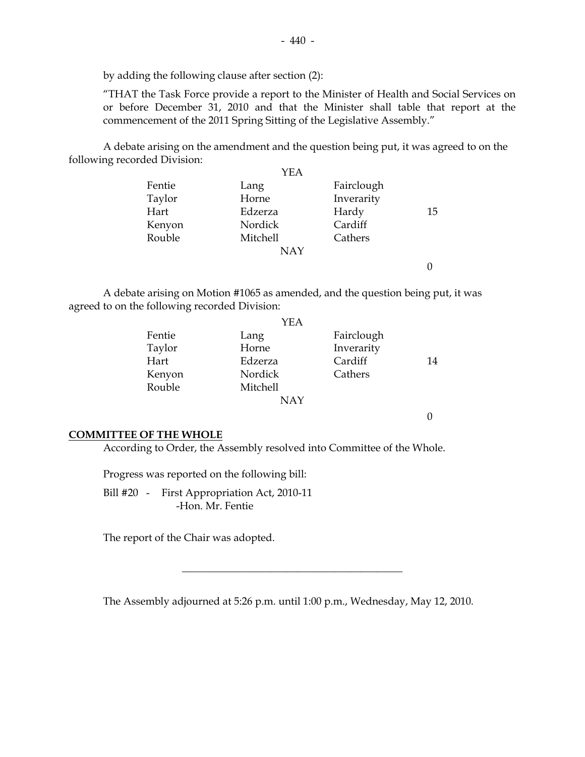by adding the following clause after section (2):

 "THAT the Task Force provide a report to the Minister of Health and Social Services on or before December 31, 2010 and that the Minister shall table that report at the commencement of the 2011 Spring Sitting of the Legislative Assembly."

 A debate arising on the amendment and the question being put, it was agreed to on the following recorded Division:

|        | YEA        |            |    |
|--------|------------|------------|----|
| Fentie | Lang       | Fairclough |    |
| Taylor | Horne      | Inverarity |    |
| Hart   | Edzerza    | Hardy      | 15 |
| Kenyon | Nordick    | Cardiff    |    |
| Rouble | Mitchell   | Cathers    |    |
|        | <b>NAY</b> |            |    |
|        |            |            |    |

 A debate arising on Motion #1065 as amended, and the question being put, it was agreed to on the following recorded Division:

|        | YEA             |            |    |
|--------|-----------------|------------|----|
| Fentie | Lang            | Fairclough |    |
| Taylor | Horne           | Inverarity |    |
| Hart   | Edzerza         | Cardiff    | 14 |
| Kenyon | Nordick         | Cathers    |    |
| Rouble | <b>Mitchell</b> |            |    |
|        | <b>NAY</b>      |            |    |

0

#### **COMMITTEE OF THE WHOLE**

According to Order, the Assembly resolved into Committee of the Whole.

Progress was reported on the following bill:

Bill #20 - First Appropriation Act, 2010-11 -Hon. Mr. Fentie

The report of the Chair was adopted.

The Assembly adjourned at 5:26 p.m. until 1:00 p.m., Wednesday, May 12, 2010.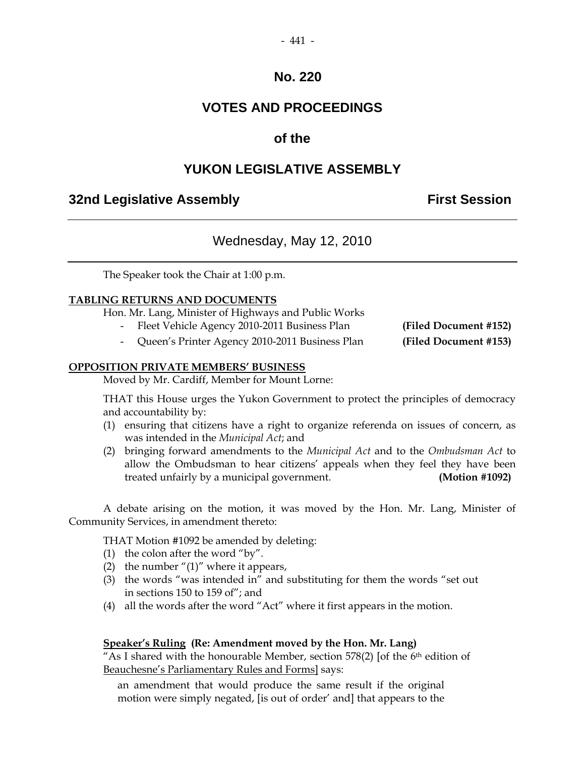# **VOTES AND PROCEEDINGS**

# **of the**

# **YUKON LEGISLATIVE ASSEMBLY**

# **32nd Legislative Assembly First Session**

# Wednesday, May 12, 2010

The Speaker took the Chair at 1:00 p.m.

## **TABLING RETURNS AND DOCUMENTS**

Hon. Mr. Lang, Minister of Highways and Public Works

- Fleet Vehicle Agency 2010-2011 Business Plan **(Filed Document #152)**
	- Queen's Printer Agency 2010-2011 Business Plan **(Filed Document #153)**

#### **OPPOSITION PRIVATE MEMBERS' BUSINESS**

Moved by Mr. Cardiff, Member for Mount Lorne:

 THAT this House urges the Yukon Government to protect the principles of democracy and accountability by:

- (1) ensuring that citizens have a right to organize referenda on issues of concern, as was intended in the *Municipal Act*; and
- (2) bringing forward amendments to the *Municipal Act* and to the *Ombudsman Act* to allow the Ombudsman to hear citizens' appeals when they feel they have been treated unfairly by a municipal government. **(Motion #1092)**

 A debate arising on the motion, it was moved by the Hon. Mr. Lang, Minister of Community Services, in amendment thereto:

THAT Motion #1092 be amended by deleting:

- (1) the colon after the word "by".
- (2) the number " $(1)$ " where it appears,
- (3) the words "was intended in" and substituting for them the words "set out in sections 150 to 159 of"; and
- (4) all the words after the word "Act" where it first appears in the motion.

## **Speaker's Ruling (Re: Amendment moved by the Hon. Mr. Lang)**

"As I shared with the honourable Member, section  $578(2)$  [of the 6<sup>th</sup> edition of Beauchesne's Parliamentary Rules and Forms] says:

 an amendment that would produce the same result if the original motion were simply negated, [is out of order' and] that appears to the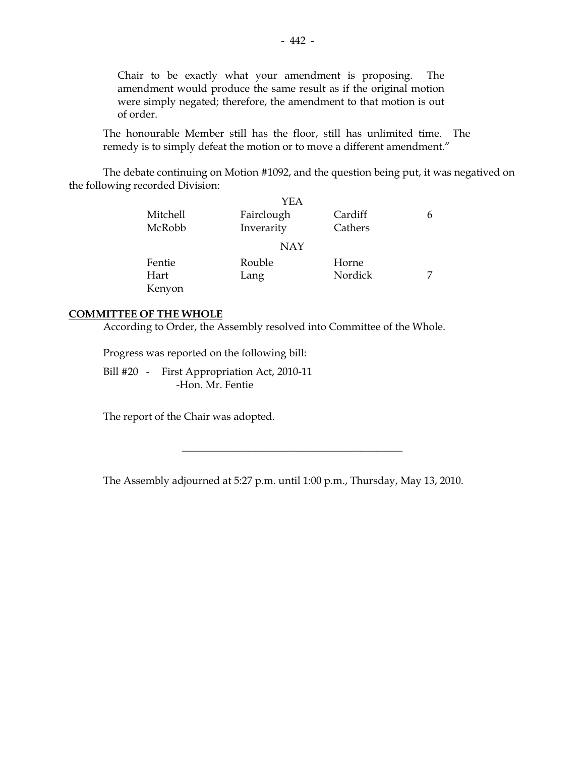Chair to be exactly what your amendment is proposing. The amendment would produce the same result as if the original motion were simply negated; therefore, the amendment to that motion is out of order.

 The honourable Member still has the floor, still has unlimited time. The remedy is to simply defeat the motion or to move a different amendment."

 The debate continuing on Motion #1092, and the question being put, it was negatived on the following recorded Division:

|          | YEA        |         |   |
|----------|------------|---------|---|
| Mitchell | Fairclough | Cardiff | 6 |
| McRobb   | Inverarity | Cathers |   |
|          | <b>NAY</b> |         |   |
| Fentie   | Rouble     | Horne   |   |
| Hart     | Lang       | Nordick |   |
| Kenyon   |            |         |   |

#### **COMMITTEE OF THE WHOLE**

According to Order, the Assembly resolved into Committee of the Whole.

Progress was reported on the following bill:

 Bill #20 - First Appropriation Act, 2010-11 -Hon. Mr. Fentie

The report of the Chair was adopted.

The Assembly adjourned at 5:27 p.m. until 1:00 p.m., Thursday, May 13, 2010.

 $\overline{\phantom{a}}$  , and the set of the set of the set of the set of the set of the set of the set of the set of the set of the set of the set of the set of the set of the set of the set of the set of the set of the set of the s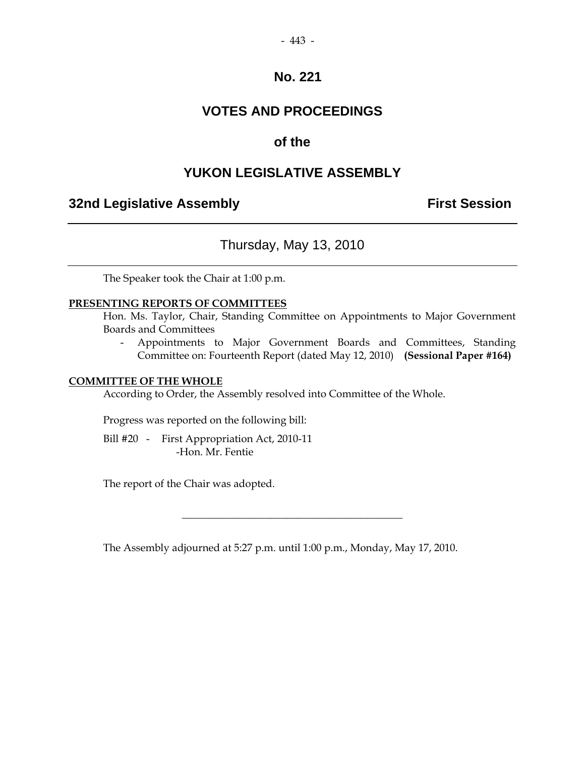# **VOTES AND PROCEEDINGS**

# **of the**

# **YUKON LEGISLATIVE ASSEMBLY**

# **32nd Legislative Assembly First Session**

Thursday, May 13, 2010

The Speaker took the Chair at 1:00 p.m.

## **PRESENTING REPORTS OF COMMITTEES**

 Hon. Ms. Taylor, Chair, Standing Committee on Appointments to Major Government Boards and Committees

 - Appointments to Major Government Boards and Committees, Standing Committee on: Fourteenth Report (dated May 12, 2010) **(Sessional Paper #164)**

#### **COMMITTEE OF THE WHOLE**

According to Order, the Assembly resolved into Committee of the Whole.

Progress was reported on the following bill:

 Bill #20 - First Appropriation Act, 2010-11 -Hon. Mr. Fentie

The report of the Chair was adopted.

The Assembly adjourned at 5:27 p.m. until 1:00 p.m., Monday, May 17, 2010.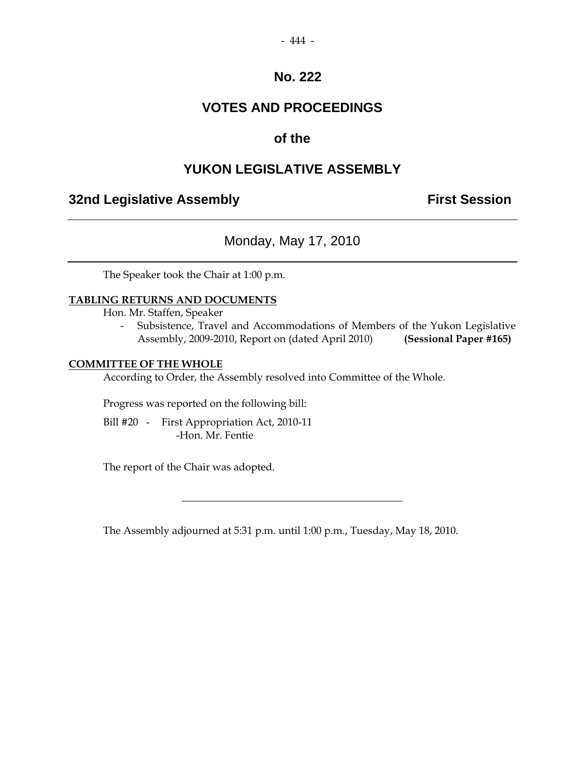# **VOTES AND PROCEEDINGS**

# **of the**

# **YUKON LEGISLATIVE ASSEMBLY**

# **32nd Legislative Assembly Constructed Session**

Monday, May 17, 2010

The Speaker took the Chair at 1:00 p.m.

## **TABLING RETURNS AND DOCUMENTS**

Hon. Mr. Staffen, Speaker

 - Subsistence, Travel and Accommodations of Members of the Yukon Legislative Assembly, 2009-2010, Report on (dated April 2010) **(Sessional Paper #165)**

#### **COMMITTEE OF THE WHOLE**

According to Order, the Assembly resolved into Committee of the Whole.

Progress was reported on the following bill:

 Bill #20 - First Appropriation Act, 2010-11 -Hon. Mr. Fentie

The report of the Chair was adopted.

The Assembly adjourned at 5:31 p.m. until 1:00 p.m., Tuesday, May 18, 2010.

 $\overline{\phantom{a}}$  , and the set of the set of the set of the set of the set of the set of the set of the set of the set of the set of the set of the set of the set of the set of the set of the set of the set of the set of the s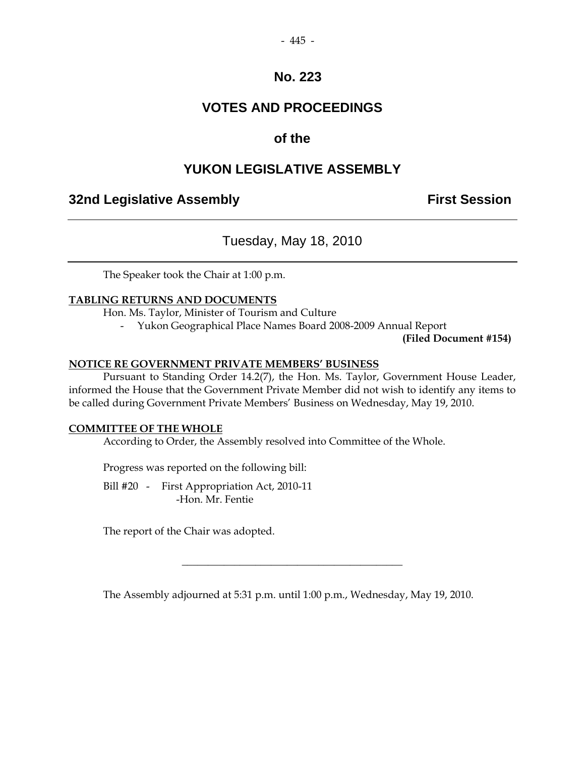# **VOTES AND PROCEEDINGS**

# **of the**

# **YUKON LEGISLATIVE ASSEMBLY**

# **32nd Legislative Assembly The Contract Session**

Tuesday, May 18, 2010

The Speaker took the Chair at 1:00 p.m.

## **TABLING RETURNS AND DOCUMENTS**

Hon. Ms. Taylor, Minister of Tourism and Culture

- Yukon Geographical Place Names Board 2008-2009 Annual Report

**(Filed Document #154)**

## **NOTICE RE GOVERNMENT PRIVATE MEMBERS' BUSINESS**

 Pursuant to Standing Order 14.2(7), the Hon. Ms. Taylor, Government House Leader, informed the House that the Government Private Member did not wish to identify any items to be called during Government Private Members' Business on Wednesday, May 19, 2010.

## **COMMITTEE OF THE WHOLE**

According to Order, the Assembly resolved into Committee of the Whole.

Progress was reported on the following bill:

Bill #20 - First Appropriation Act, 2010-11 -Hon. Mr. Fentie

The report of the Chair was adopted.

The Assembly adjourned at 5:31 p.m. until 1:00 p.m., Wednesday, May 19, 2010.

 $\overline{\phantom{a}}$  , and the set of the set of the set of the set of the set of the set of the set of the set of the set of the set of the set of the set of the set of the set of the set of the set of the set of the set of the s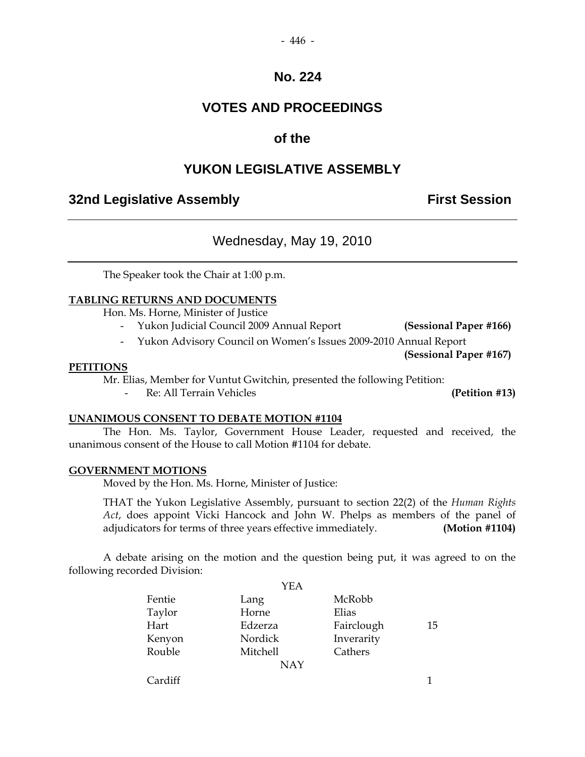# **VOTES AND PROCEEDINGS**

# **of the**

# **YUKON LEGISLATIVE ASSEMBLY**

# **32nd Legislative Assembly The Contract Session**

# Wednesday, May 19, 2010

The Speaker took the Chair at 1:00 p.m.

## **TABLING RETURNS AND DOCUMENTS**

Hon. Ms. Horne, Minister of Justice

- Yukon Judicial Council 2009 Annual Report **(Sessional Paper #166)**
- Yukon Advisory Council on Women's Issues 2009-2010 Annual Report

**(Sessional Paper #167)** 

## **PETITIONS**

Mr. Elias, Member for Vuntut Gwitchin, presented the following Petition:

Re: All Terrain Vehicles **(Petition #13)** 

## **UNANIMOUS CONSENT TO DEBATE MOTION #1104**

 The Hon. Ms. Taylor, Government House Leader, requested and received, the unanimous consent of the House to call Motion #1104 for debate.

## **GOVERNMENT MOTIONS**

Moved by the Hon. Ms. Horne, Minister of Justice:

 THAT the Yukon Legislative Assembly, pursuant to section 22(2) of the *Human Rights Act*, does appoint Vicki Hancock and John W. Phelps as members of the panel of adjudicators for terms of three years effective immediately. **(Motion #1104)** 

 A debate arising on the motion and the question being put, it was agreed to on the following recorded Division:

|         | YEA        |            |    |
|---------|------------|------------|----|
| Fentie  | Lang       | McRobb     |    |
| Taylor  | Horne      | Elias      |    |
| Hart    | Edzerza    | Fairclough | 15 |
| Kenyon  | Nordick    | Inverarity |    |
| Rouble  | Mitchell   | Cathers    |    |
|         | <b>NAY</b> |            |    |
| Cardiff |            |            |    |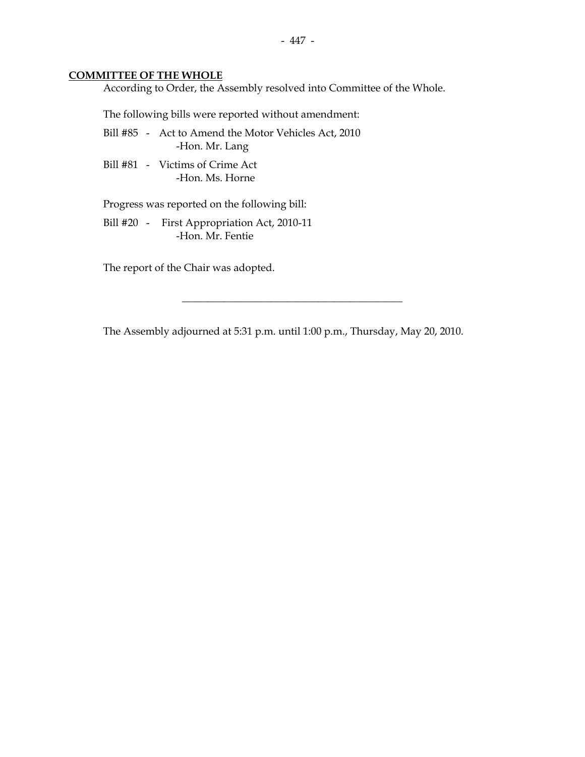#### **COMMITTEE OF THE WHOLE**

According to Order, the Assembly resolved into Committee of the Whole.

The following bills were reported without amendment:

- Bill #85 Act to Amend the Motor Vehicles Act, 2010 -Hon. Mr. Lang
- Bill #81 Victims of Crime Act -Hon. Ms. Horne

Progress was reported on the following bill:

 Bill #20 - First Appropriation Act, 2010-11 -Hon. Mr. Fentie

The report of the Chair was adopted.

The Assembly adjourned at 5:31 p.m. until 1:00 p.m., Thursday, May 20, 2010.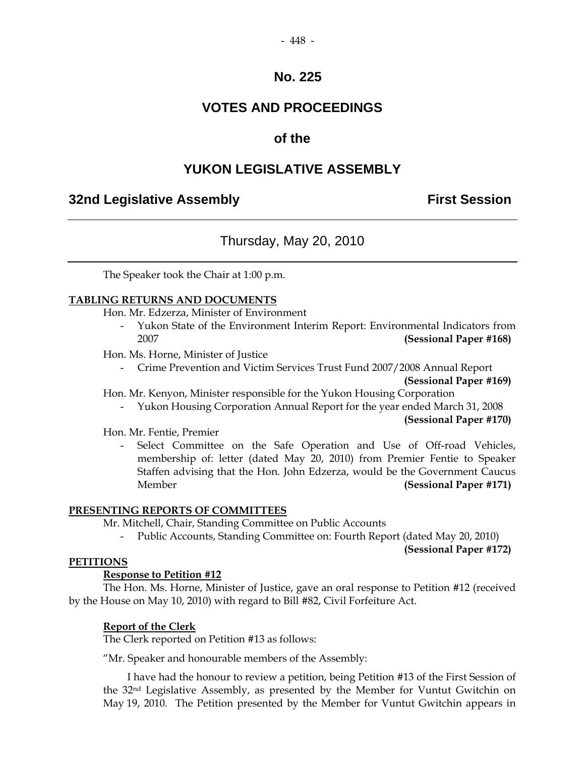# **VOTES AND PROCEEDINGS**

# **of the**

# **YUKON LEGISLATIVE ASSEMBLY**

# **32nd Legislative Assembly First Session**

# Thursday, May 20, 2010

The Speaker took the Chair at 1:00 p.m.

## **TABLING RETURNS AND DOCUMENTS**

Hon. Mr. Edzerza, Minister of Environment

- Yukon State of the Environment Interim Report: Environmental Indicators from 2007 **(Sessional Paper #168)**
- Hon. Ms. Horne, Minister of Justice
	- Crime Prevention and Victim Services Trust Fund 2007/2008 Annual Report

**(Sessional Paper #169)** 

Hon. Mr. Kenyon, Minister responsible for the Yukon Housing Corporation

- Yukon Housing Corporation Annual Report for the year ended March 31, 2008

**(Sessional Paper #170)** 

Hon. Mr. Fentie, Premier

Select Committee on the Safe Operation and Use of Off-road Vehicles, membership of: letter (dated May 20, 2010) from Premier Fentie to Speaker Staffen advising that the Hon. John Edzerza, would be the Government Caucus Member **(Sessional Paper #171)** 

#### **PRESENTING REPORTS OF COMMITTEES**

Mr. Mitchell, Chair, Standing Committee on Public Accounts

- Public Accounts, Standing Committee on: Fourth Report (dated May 20, 2010)

**(Sessional Paper #172)** 

#### **PETITIONS**

## **Response to Petition #12**

 The Hon. Ms. Horne, Minister of Justice, gave an oral response to Petition #12 (received by the House on May 10, 2010) with regard to Bill #82, Civil Forfeiture Act.

#### **Report of the Clerk**

The Clerk reported on Petition #13 as follows:

"Mr. Speaker and honourable members of the Assembly:

 I have had the honour to review a petition, being Petition #13 of the First Session of the 32nd Legislative Assembly, as presented by the Member for Vuntut Gwitchin on May 19, 2010. The Petition presented by the Member for Vuntut Gwitchin appears in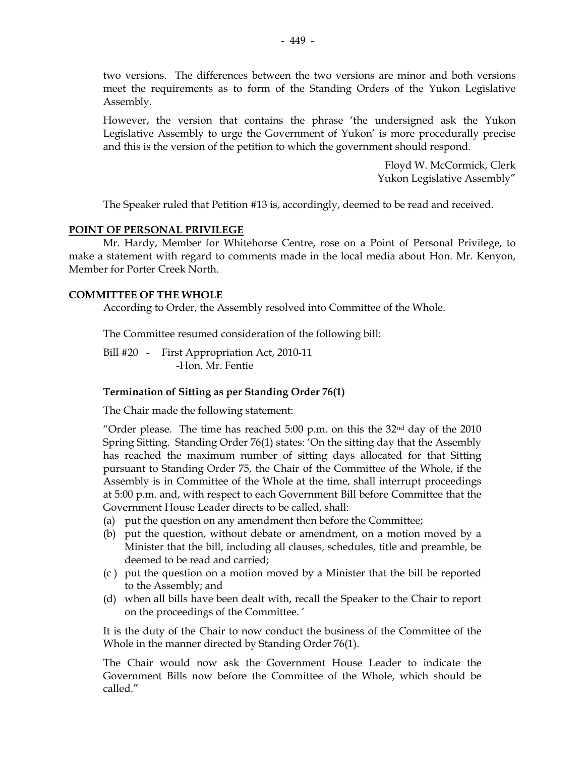two versions. The differences between the two versions are minor and both versions meet the requirements as to form of the Standing Orders of the Yukon Legislative Assembly.

However, the version that contains the phrase 'the undersigned ask the Yukon Legislative Assembly to urge the Government of Yukon' is more procedurally precise and this is the version of the petition to which the government should respond.

> Floyd W. McCormick, Clerk Yukon Legislative Assembly"

The Speaker ruled that Petition #13 is, accordingly, deemed to be read and received.

#### **POINT OF PERSONAL PRIVILEGE**

Mr. Hardy, Member for Whitehorse Centre, rose on a Point of Personal Privilege, to make a statement with regard to comments made in the local media about Hon. Mr. Kenyon, Member for Porter Creek North.

## **COMMITTEE OF THE WHOLE**

According to Order, the Assembly resolved into Committee of the Whole.

The Committee resumed consideration of the following bill:

Bill #20 - First Appropriation Act, 2010-11 -Hon. Mr. Fentie

## **Termination of Sitting as per Standing Order 76(1)**

The Chair made the following statement:

"Order please. The time has reached  $5:00$  p.m. on this the  $32<sup>nd</sup>$  day of the  $2010$ Spring Sitting. Standing Order 76(1) states: 'On the sitting day that the Assembly has reached the maximum number of sitting days allocated for that Sitting pursuant to Standing Order 75, the Chair of the Committee of the Whole, if the Assembly is in Committee of the Whole at the time, shall interrupt proceedings at 5:00 p.m. and, with respect to each Government Bill before Committee that the Government House Leader directs to be called, shall:

- (a) put the question on any amendment then before the Committee;
- (b) put the question, without debate or amendment, on a motion moved by a Minister that the bill, including all clauses, schedules, title and preamble, be deemed to be read and carried;
- (c ) put the question on a motion moved by a Minister that the bill be reported to the Assembly; and
- (d) when all bills have been dealt with, recall the Speaker to the Chair to report on the proceedings of the Committee. '

It is the duty of the Chair to now conduct the business of the Committee of the Whole in the manner directed by Standing Order 76(1).

The Chair would now ask the Government House Leader to indicate the Government Bills now before the Committee of the Whole, which should be called."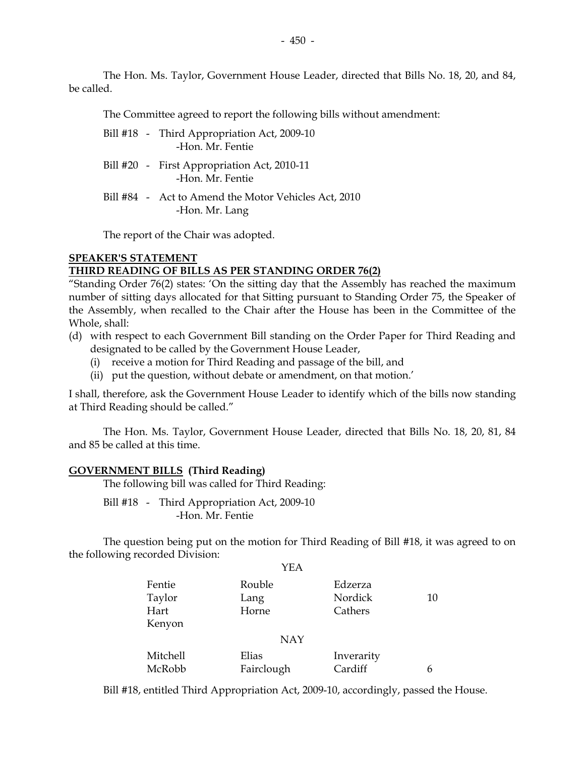The Hon. Ms. Taylor, Government House Leader, directed that Bills No. 18, 20, and 84, be called.

The Committee agreed to report the following bills without amendment:

- Bill #18 Third Appropriation Act, 2009-10 -Hon. Mr. Fentie
- Bill #20 First Appropriation Act, 2010-11 -Hon. Mr. Fentie
- Bill #84 Act to Amend the Motor Vehicles Act, 2010 -Hon. Mr. Lang

The report of the Chair was adopted.

## **SPEAKER'S STATEMENT THIRD READING OF BILLS AS PER STANDING ORDER 76(2)**

"Standing Order 76(2) states: 'On the sitting day that the Assembly has reached the maximum number of sitting days allocated for that Sitting pursuant to Standing Order 75, the Speaker of the Assembly, when recalled to the Chair after the House has been in the Committee of the Whole, shall:

- (d) with respect to each Government Bill standing on the Order Paper for Third Reading and designated to be called by the Government House Leader,
	- (i) receive a motion for Third Reading and passage of the bill, and
	- (ii) put the question, without debate or amendment, on that motion.'

I shall, therefore, ask the Government House Leader to identify which of the bills now standing at Third Reading should be called."

The Hon. Ms. Taylor, Government House Leader, directed that Bills No. 18, 20, 81, 84 and 85 be called at this time.

#### **GOVERNMENT BILLS (Third Reading)**

The following bill was called for Third Reading:

Bill #18 - Third Appropriation Act, 2009-10 -Hon. Mr. Fentie

 The question being put on the motion for Third Reading of Bill #18, it was agreed to on the following recorded Division: YEA

| YEA        |            |         |
|------------|------------|---------|
| Rouble     | Edzerza    |         |
| Lang       |            | 10      |
| Horne      | Cathers    |         |
|            |            |         |
| <b>NAY</b> |            |         |
| Elias      | Inverarity |         |
| Fairclough | Cardiff    | 6       |
|            |            | Nordick |

Bill #18, entitled Third Appropriation Act, 2009-10, accordingly, passed the House.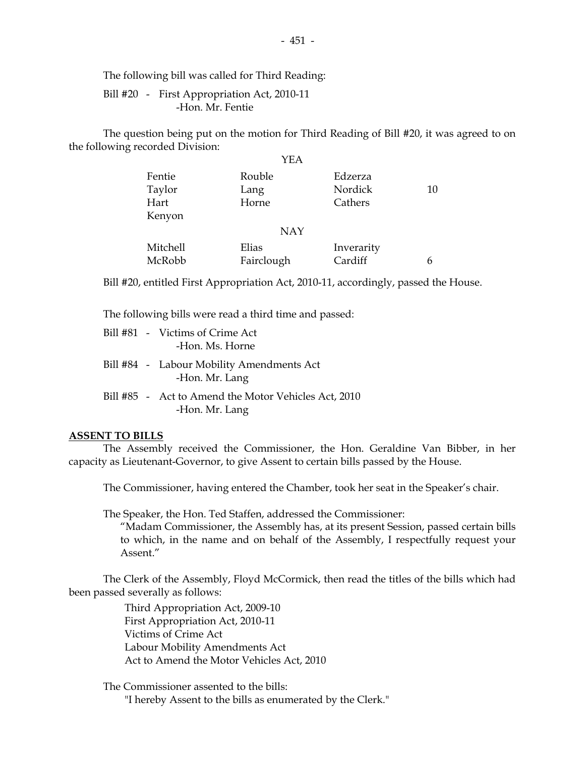The following bill was called for Third Reading:

 Bill #20 - First Appropriation Act, 2010-11 -Hon. Mr. Fentie

 The question being put on the motion for Third Reading of Bill #20, it was agreed to on the following recorded Division:

|                          | YEA                     |                               |    |
|--------------------------|-------------------------|-------------------------------|----|
| Fentie<br>Taylor<br>Hart | Rouble<br>Lang<br>Horne | Edzerza<br>Nordick<br>Cathers | 10 |
| Kenyon                   |                         |                               |    |
|                          | <b>NAY</b>              |                               |    |
| Mitchell                 | Elias                   | Inverarity                    |    |
| McRobb                   | Fairclough              | Cardiff                       | h  |

Bill #20, entitled First Appropriation Act, 2010-11, accordingly, passed the House.

The following bills were read a third time and passed:

|  | Bill #81 - Victims of Crime Act<br>-Hon. Ms. Horne                     |
|--|------------------------------------------------------------------------|
|  | Bill #84 - Labour Mobility Amendments Act<br>-Hon. Mr. Lang            |
|  | Bill #85 - Act to Amend the Motor Vehicles Act, 2010<br>-Hon. Mr. Lang |

#### **ASSENT TO BILLS**

 The Assembly received the Commissioner, the Hon. Geraldine Van Bibber, in her capacity as Lieutenant-Governor, to give Assent to certain bills passed by the House.

The Commissioner, having entered the Chamber, took her seat in the Speaker's chair.

The Speaker, the Hon. Ted Staffen, addressed the Commissioner:

 "Madam Commissioner, the Assembly has, at its present Session, passed certain bills to which, in the name and on behalf of the Assembly, I respectfully request your Assent."

 The Clerk of the Assembly, Floyd McCormick, then read the titles of the bills which had been passed severally as follows:

> Third Appropriation Act, 2009-10 First Appropriation Act, 2010-11 Victims of Crime Act Labour Mobility Amendments Act Act to Amend the Motor Vehicles Act, 2010

 The Commissioner assented to the bills: "I hereby Assent to the bills as enumerated by the Clerk."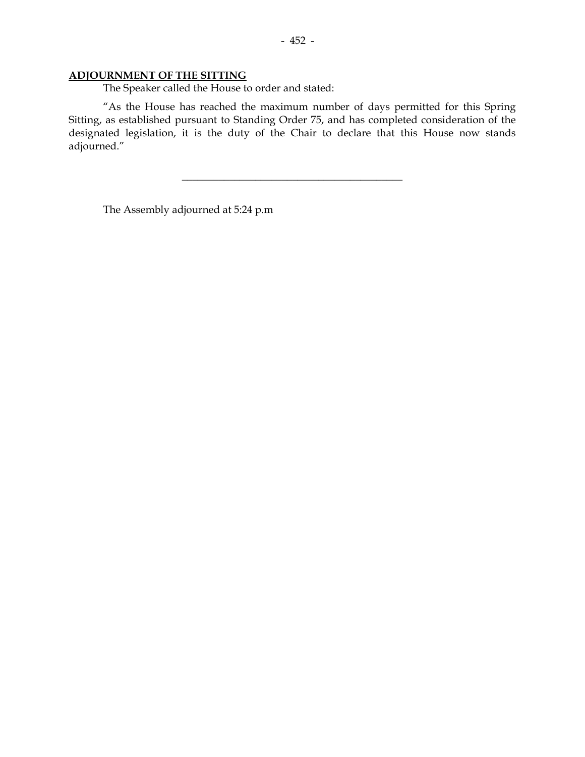## **ADJOURNMENT OF THE SITTING**

The Speaker called the House to order and stated:

 "As the House has reached the maximum number of days permitted for this Spring Sitting, as established pursuant to Standing Order 75, and has completed consideration of the designated legislation, it is the duty of the Chair to declare that this House now stands adjourned."

\_\_\_\_\_\_\_\_\_\_\_\_\_\_\_\_\_\_\_\_\_\_\_\_\_\_\_\_\_\_\_\_\_\_\_\_\_\_\_\_\_\_

The Assembly adjourned at 5:24 p.m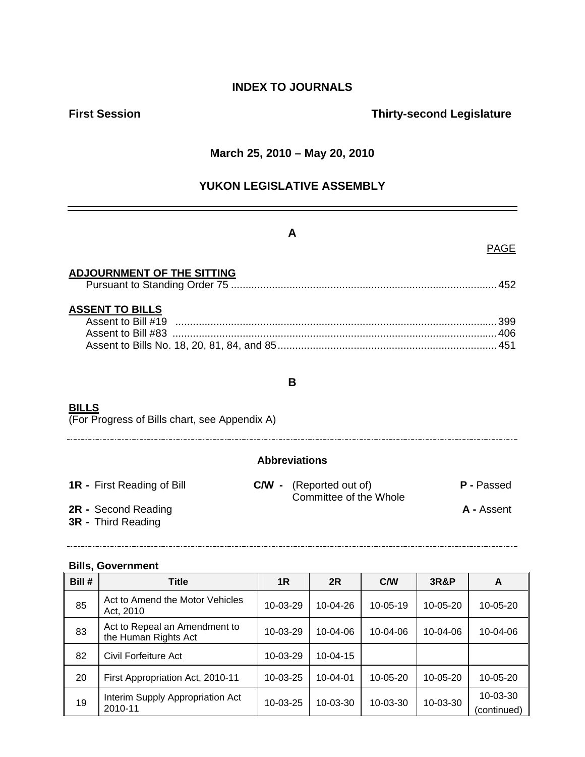## **INDEX TO JOURNALS**

## **First Session Contract Session Contract Session Contract Contract Contract Contract Contract Contract Contract Contract Contract Contract Contract Contract Contract Contract Contract Contract Contract Contract Contract Co**

## **March 25, 2010 – May 20, 2010**

## **YUKON LEGISLATIVE ASSEMBLY**

#### **A**

## PAGE

## **ADJOURNMENT OF THE SITTING**

|--|--|--|--|

## **ASSENT TO BILLS**

## **BILLS**

(For Progress of Bills chart, see Appendix A)

#### **Abbreviations**

<u> 1989 - Johann Barn, mars ann an t-Amhain Aonaichte ann an t-Aonaichte ann an t-Aonaichte ann an t-Aonaichte a</u>

| <b>1R</b> - First Reading of Bill |  |
|-----------------------------------|--|
|-----------------------------------|--|

- 
- **3R** Third Reading
- **1R** First Reading of Bill **C/W** (Reported out of) **P** Passed **Committee of the Whole 2R -** Second Reading **A -** Assent

## **Bills, Government**

| Bill # | <b>Title</b>                                          | 1R             | 2R             | C/W            | 3R&P           | A                       |
|--------|-------------------------------------------------------|----------------|----------------|----------------|----------------|-------------------------|
| 85     | Act to Amend the Motor Vehicles<br>Act, 2010          | 10-03-29       | 10-04-26       | $10 - 05 - 19$ | $10 - 05 - 20$ | 10-05-20                |
| 83     | Act to Repeal an Amendment to<br>the Human Rights Act | $10 - 03 - 29$ | $10 - 04 - 06$ | 10-04-06       | $10 - 04 - 06$ | 10-04-06                |
| 82     | Civil Forfeiture Act                                  | 10-03-29       | 10-04-15       |                |                |                         |
| 20     | First Appropriation Act, 2010-11                      | 10-03-25       | 10-04-01       | 10-05-20       | 10-05-20       | 10-05-20                |
| 19     | Interim Supply Appropriation Act<br>2010-11           | $10 - 03 - 25$ | $10 - 03 - 30$ | 10-03-30       | 10-03-30       | 10-03-30<br>(continued) |

#### **B**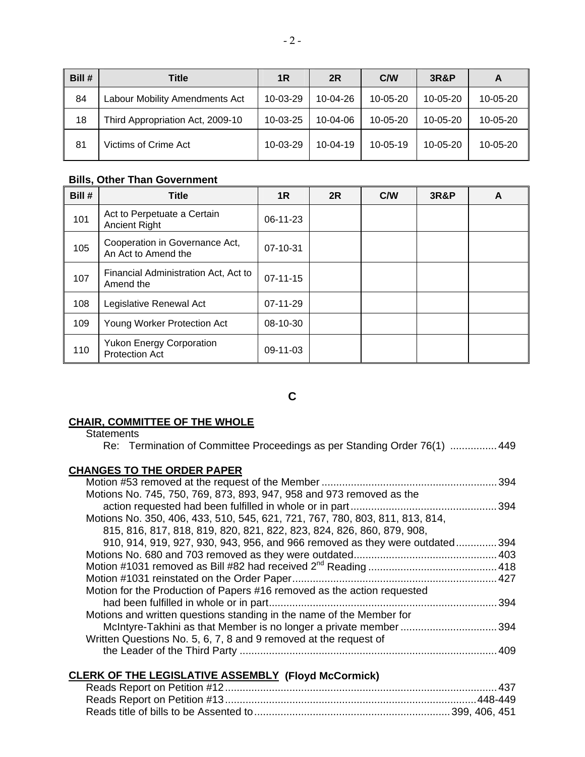| Bill # | Title                            | 1R             | 2R             | C/W            | <b>3R&amp;P</b> | A        |
|--------|----------------------------------|----------------|----------------|----------------|-----------------|----------|
| 84     | Labour Mobility Amendments Act   | 10-03-29       | 10-04-26       | 10-05-20       | $10 - 05 - 20$  | 10-05-20 |
| 18     | Third Appropriation Act, 2009-10 | $10 - 03 - 25$ | $10 - 04 - 06$ | 10-05-20       | $10 - 05 - 20$  | 10-05-20 |
| 81     | Victims of Crime Act             | $10-03-29$     | $10-04-19$     | $10 - 05 - 19$ | $10 - 05 - 20$  | 10-05-20 |

#### **Bills, Other Than Government**

| Bill # | <b>Title</b>                                             | 1R             | 2R | C/W | <b>3R&amp;P</b> | A |
|--------|----------------------------------------------------------|----------------|----|-----|-----------------|---|
| 101    | Act to Perpetuate a Certain<br><b>Ancient Right</b>      | $06-11-23$     |    |     |                 |   |
| 105    | Cooperation in Governance Act,<br>An Act to Amend the    | $07 - 10 - 31$ |    |     |                 |   |
| 107    | Financial Administration Act, Act to<br>Amend the        | $07 - 11 - 15$ |    |     |                 |   |
| 108    | Legislative Renewal Act                                  | $07-11-29$     |    |     |                 |   |
| 109    | Young Worker Protection Act                              | 08-10-30       |    |     |                 |   |
| 110    | <b>Yukon Energy Corporation</b><br><b>Protection Act</b> | $09-11-03$     |    |     |                 |   |

**C** 

## **CHAIR, COMMITTEE OF THE WHOLE**

**Statements** 

Re: Termination of Committee Proceedings as per Standing Order 76(1) ................449

## **CHANGES TO THE ORDER PAPER**

|                                                                              | 394   |
|------------------------------------------------------------------------------|-------|
| Motions No. 745, 750, 769, 873, 893, 947, 958 and 973 removed as the         |       |
|                                                                              | . 394 |
| Motions No. 350, 406, 433, 510, 545, 621, 721, 767, 780, 803, 811, 813, 814, |       |
| 815, 816, 817, 818, 819, 820, 821, 822, 823, 824, 826, 860, 879, 908,        |       |
| 910, 914, 919, 927, 930, 943, 956, and 966 removed as they were outdated394  |       |
|                                                                              |       |
|                                                                              |       |
|                                                                              |       |
| Motion for the Production of Papers #16 removed as the action requested      |       |
|                                                                              | .394  |
| Motions and written questions standing in the name of the Member for         |       |
| McIntyre-Takhini as that Member is no longer a private member 394            |       |
| Written Questions No. 5, 6, 7, 8 and 9 removed at the request of             |       |
|                                                                              | 409   |
|                                                                              |       |

## **CLERK OF THE LEGISLATIVE ASSEMBLY (Floyd McCormick)**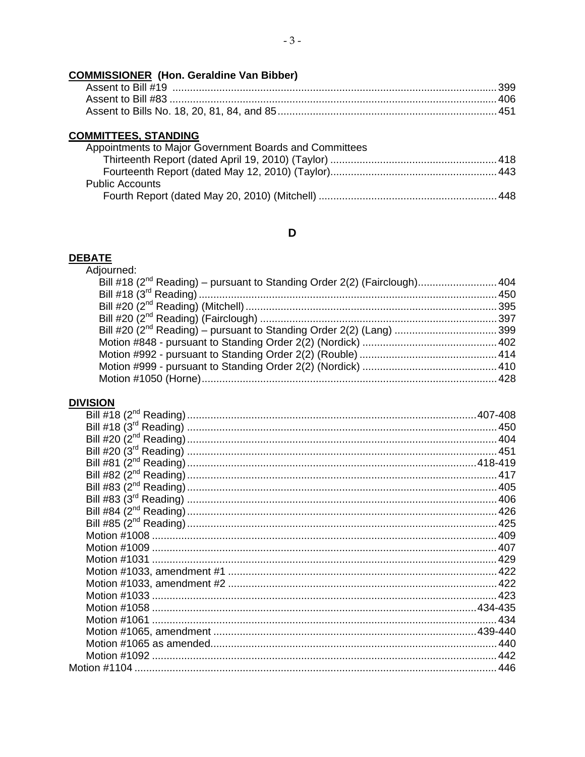# **COMMISSIONER** (Hon. Geraldine Van Bibber)

## **COMMITTEES, STANDING**

| Appointments to Major Government Boards and Committees |  |
|--------------------------------------------------------|--|
|                                                        |  |
|                                                        |  |
| <b>Public Accounts</b>                                 |  |
|                                                        |  |

# $\mathbf D$

# **DEBATE**<br>Adjourned:

| woun <del>c</del> u.                                                                  |  |
|---------------------------------------------------------------------------------------|--|
| Bill #18 (2 <sup>nd</sup> Reading) – pursuant to Standing Order 2(2) (Fairclough) 404 |  |
|                                                                                       |  |
|                                                                                       |  |
|                                                                                       |  |
| Bill #20 (2 <sup>nd</sup> Reading) – pursuant to Standing Order 2(2) (Lang) 399       |  |
|                                                                                       |  |
|                                                                                       |  |
|                                                                                       |  |
|                                                                                       |  |
|                                                                                       |  |

# **DIVISION**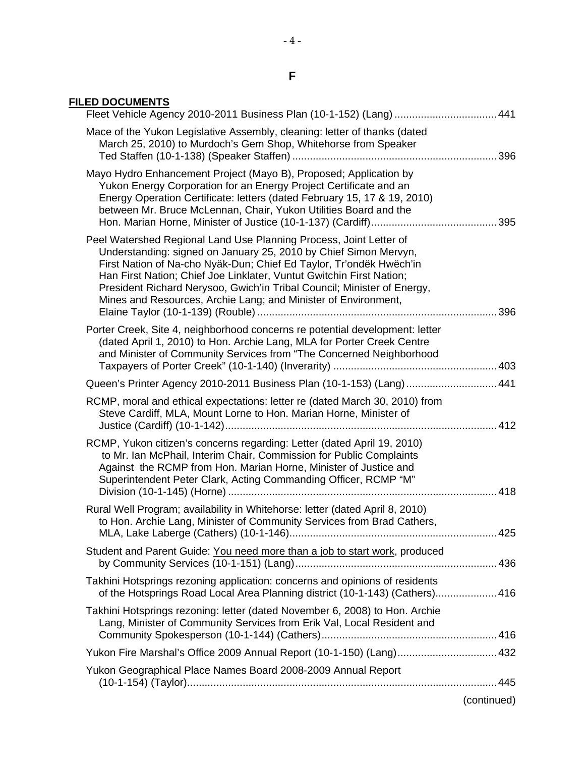# **F**

| <b>FILED DOCUMENTS</b> |  |
|------------------------|--|
|------------------------|--|

| Fleet Vehicle Agency 2010-2011 Business Plan (10-1-152) (Lang) 441                                                                                                                                                                                                                                                                                                                                                                 |             |
|------------------------------------------------------------------------------------------------------------------------------------------------------------------------------------------------------------------------------------------------------------------------------------------------------------------------------------------------------------------------------------------------------------------------------------|-------------|
| Mace of the Yukon Legislative Assembly, cleaning: letter of thanks (dated<br>March 25, 2010) to Murdoch's Gem Shop, Whitehorse from Speaker                                                                                                                                                                                                                                                                                        |             |
| Mayo Hydro Enhancement Project (Mayo B), Proposed; Application by<br>Yukon Energy Corporation for an Energy Project Certificate and an<br>Energy Operation Certificate: letters (dated February 15, 17 & 19, 2010)<br>between Mr. Bruce McLennan, Chair, Yukon Utilities Board and the                                                                                                                                             |             |
| Peel Watershed Regional Land Use Planning Process, Joint Letter of<br>Understanding: signed on January 25, 2010 by Chief Simon Mervyn,<br>First Nation of Na-cho Nyäk-Dun; Chief Ed Taylor, Tr'ondëk Hwëch'in<br>Han First Nation; Chief Joe Linklater, Vuntut Gwitchin First Nation;<br>President Richard Nerysoo, Gwich'in Tribal Council; Minister of Energy,<br>Mines and Resources, Archie Lang; and Minister of Environment, |             |
| Porter Creek, Site 4, neighborhood concerns re potential development: letter<br>(dated April 1, 2010) to Hon. Archie Lang, MLA for Porter Creek Centre<br>and Minister of Community Services from "The Concerned Neighborhood                                                                                                                                                                                                      |             |
| Queen's Printer Agency 2010-2011 Business Plan (10-1-153) (Lang)  441                                                                                                                                                                                                                                                                                                                                                              |             |
| RCMP, moral and ethical expectations: letter re (dated March 30, 2010) from<br>Steve Cardiff, MLA, Mount Lorne to Hon. Marian Horne, Minister of                                                                                                                                                                                                                                                                                   |             |
| RCMP, Yukon citizen's concerns regarding: Letter (dated April 19, 2010)<br>to Mr. Ian McPhail, Interim Chair, Commission for Public Complaints<br>Against the RCMP from Hon. Marian Horne, Minister of Justice and<br>Superintendent Peter Clark, Acting Commanding Officer, RCMP "M"                                                                                                                                              |             |
| Rural Well Program; availability in Whitehorse: letter (dated April 8, 2010)<br>to Hon. Archie Lang, Minister of Community Services from Brad Cathers,                                                                                                                                                                                                                                                                             |             |
| Student and Parent Guide: You need more than a job to start work, produced                                                                                                                                                                                                                                                                                                                                                         |             |
| Takhini Hotsprings rezoning application: concerns and opinions of residents<br>of the Hotsprings Road Local Area Planning district (10-1-143) (Cathers) 416                                                                                                                                                                                                                                                                        |             |
| Takhini Hotsprings rezoning: letter (dated November 6, 2008) to Hon. Archie<br>Lang, Minister of Community Services from Erik Val, Local Resident and                                                                                                                                                                                                                                                                              |             |
| Yukon Fire Marshal's Office 2009 Annual Report (10-1-150) (Lang) 432                                                                                                                                                                                                                                                                                                                                                               |             |
| Yukon Geographical Place Names Board 2008-2009 Annual Report                                                                                                                                                                                                                                                                                                                                                                       |             |
|                                                                                                                                                                                                                                                                                                                                                                                                                                    | (continued) |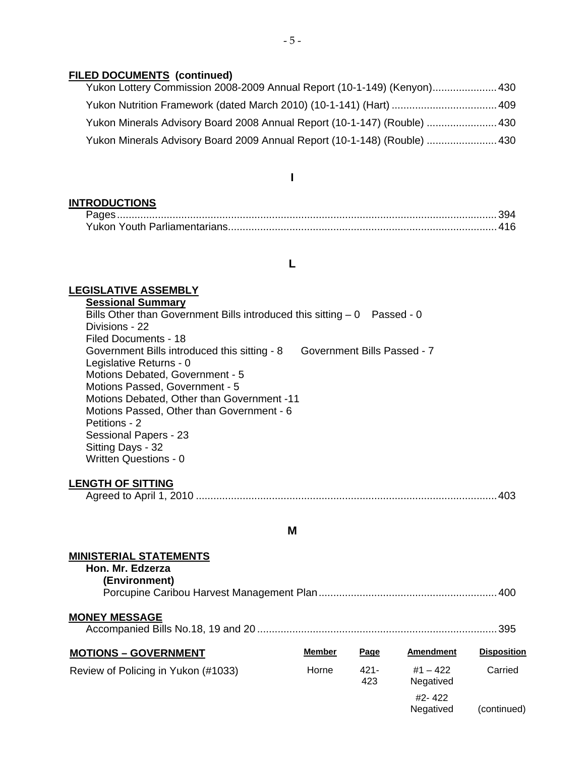#### **FILED DOCUMENTS (continued)**

| Yukon Lottery Commission 2008-2009 Annual Report (10-1-149) (Kenyon) 430  |
|---------------------------------------------------------------------------|
|                                                                           |
| Yukon Minerals Advisory Board 2008 Annual Report (10-1-147) (Rouble)  430 |
| Yukon Minerals Advisory Board 2009 Annual Report (10-1-148) (Rouble)  430 |

## **I**

#### **INTRODUCTIONS**

| Yukon Youth Parliamentarians |  |
|------------------------------|--|

#### **L**

#### **LEGISLATIVE ASSEMBLY**

**Sessional Summary** Bills Other than Government Bills introduced this sitting  $-0$  Passed - 0 Divisions - 22 Filed Documents - 18 Government Bills introduced this sitting - 8 Government Bills Passed - 7 Legislative Returns - 0 Motions Debated, Government - 5 Motions Passed, Government - 5 Motions Debated, Other than Government -11 Motions Passed, Other than Government - 6 Petitions - 2 Sessional Papers - 23 Sitting Days - 32 Written Questions - 0

#### **LENGTH OF SITTING**

| Agreed to April |  |  |
|-----------------|--|--|
|-----------------|--|--|

#### **M**

#### **MINISTERIAL STATEMENTS**

| Hon. Mr. Edzerza<br>(Environment)   |               |                |                         |                    |
|-------------------------------------|---------------|----------------|-------------------------|--------------------|
| <b>MONEY MESSAGE</b>                |               |                |                         | . 395              |
| <b>MOTIONS - GOVERNMENT</b>         | <b>Member</b> | Page           | <b>Amendment</b>        | <b>Disposition</b> |
| Review of Policing in Yukon (#1033) | Horne         | $421 -$<br>423 | $#1 - 422$<br>Negatived | Carried            |
|                                     |               |                | #2-422<br>Negatived     | (continued)        |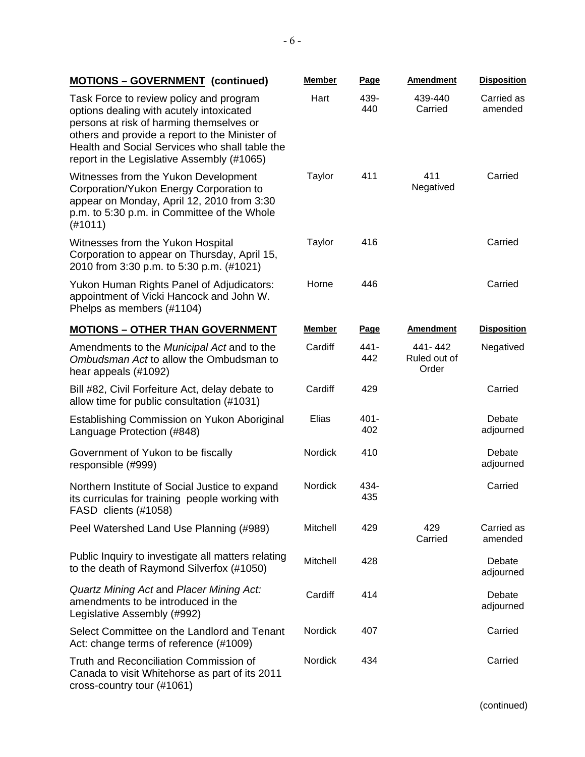| <b>MOTIONS - GOVERNMENT (continued)</b>                                                                                                                                                                                                                                           | <b>Member</b>  | Page           | <b>Amendment</b>                 | <b>Disposition</b>    |
|-----------------------------------------------------------------------------------------------------------------------------------------------------------------------------------------------------------------------------------------------------------------------------------|----------------|----------------|----------------------------------|-----------------------|
| Task Force to review policy and program<br>options dealing with acutely intoxicated<br>persons at risk of harming themselves or<br>others and provide a report to the Minister of<br>Health and Social Services who shall table the<br>report in the Legislative Assembly (#1065) | Hart           | 439-<br>440    | 439-440<br>Carried               | Carried as<br>amended |
| Witnesses from the Yukon Development<br>Corporation/Yukon Energy Corporation to<br>appear on Monday, April 12, 2010 from 3:30<br>p.m. to 5:30 p.m. in Committee of the Whole<br>(H1011)                                                                                           | Taylor         | 411            | 411<br>Negatived                 | Carried               |
| Witnesses from the Yukon Hospital<br>Corporation to appear on Thursday, April 15,<br>2010 from 3:30 p.m. to 5:30 p.m. (#1021)                                                                                                                                                     | <b>Taylor</b>  | 416            |                                  | Carried               |
| Yukon Human Rights Panel of Adjudicators:<br>appointment of Vicki Hancock and John W.<br>Phelps as members (#1104)                                                                                                                                                                | Horne          | 446            |                                  | Carried               |
| <b>MOTIONS - OTHER THAN GOVERNMENT</b>                                                                                                                                                                                                                                            | <b>Member</b>  | <b>Page</b>    | <b>Amendment</b>                 | <b>Disposition</b>    |
| Amendments to the Municipal Act and to the<br>Ombudsman Act to allow the Ombudsman to<br>hear appeals (#1092)                                                                                                                                                                     | Cardiff        | 441-<br>442    | 441-442<br>Ruled out of<br>Order | Negatived             |
| Bill #82, Civil Forfeiture Act, delay debate to<br>allow time for public consultation (#1031)                                                                                                                                                                                     | Cardiff        | 429            |                                  | Carried               |
| Establishing Commission on Yukon Aboriginal<br>Language Protection (#848)                                                                                                                                                                                                         | Elias          | $401 -$<br>402 |                                  | Debate<br>adjourned   |
| Government of Yukon to be fiscally<br>responsible (#999)                                                                                                                                                                                                                          | <b>Nordick</b> | 410            |                                  | Debate<br>adjourned   |
| Northern Institute of Social Justice to expand<br>its curriculas for training people working with<br>FASD clients (#1058)                                                                                                                                                         | <b>Nordick</b> | 434-<br>435    |                                  | Carried               |
| Peel Watershed Land Use Planning (#989)                                                                                                                                                                                                                                           | Mitchell       | 429            | 429<br>Carried                   | Carried as<br>amended |
| Public Inquiry to investigate all matters relating<br>to the death of Raymond Silverfox (#1050)                                                                                                                                                                                   | Mitchell       | 428            |                                  | Debate<br>adjourned   |
| Quartz Mining Act and Placer Mining Act:<br>amendments to be introduced in the<br>Legislative Assembly (#992)                                                                                                                                                                     | Cardiff        | 414            |                                  | Debate<br>adjourned   |
| Select Committee on the Landlord and Tenant<br>Act: change terms of reference (#1009)                                                                                                                                                                                             | Nordick        | 407            |                                  | Carried               |
| Truth and Reconciliation Commission of<br>Canada to visit Whitehorse as part of its 2011<br>cross-country tour (#1061)                                                                                                                                                            | Nordick        | 434            |                                  | Carried               |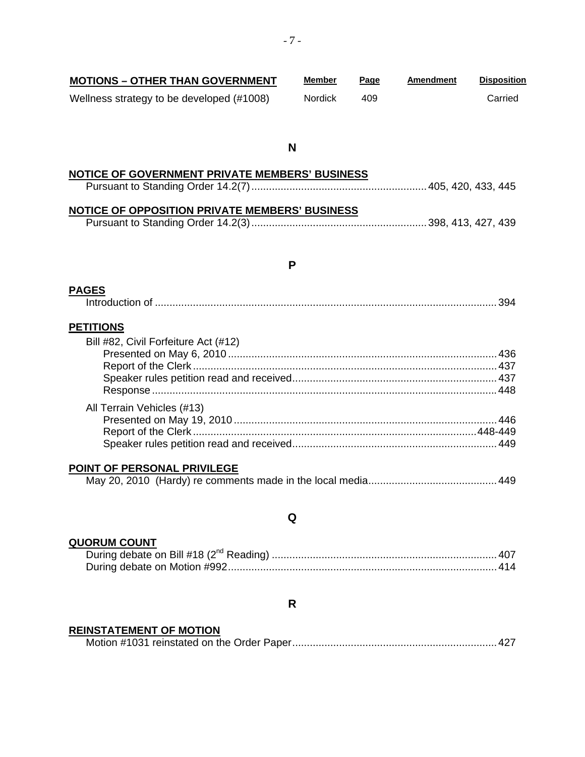| <b>MOTIONS - OTHER THAN GOVERNMENT</b>    | Member         | Page | Amendment | <b>Disposition</b> |
|-------------------------------------------|----------------|------|-----------|--------------------|
| Wellness strategy to be developed (#1008) | <b>Nordick</b> | 409  |           | Carried            |

#### **N**

# **NOTICE OF GOVERNMENT PRIVATE MEMBERS' BUSINESS** Pursuant to Standing Order 14.2(7)............................................................405, 420, 433, 445

## **NOTICE OF OPPOSITION PRIVATE MEMBERS' BUSINESS**

|--|--|--|--|--|--|

#### **P**

#### **PAGES**

|--|--|

## **PETITIONS**

| Bill #82, Civil Forfeiture Act (#12) |  |
|--------------------------------------|--|
|                                      |  |
|                                      |  |
|                                      |  |
|                                      |  |
| All Terrain Vehicles (#13)           |  |
|                                      |  |
|                                      |  |
|                                      |  |
|                                      |  |

#### **POINT OF PERSONAL PRIVILEGE**

|--|--|--|

## **Q**

#### **QUORUM COUNT**

#### **R**

## **REINSTATEMENT OF MOTION**

|--|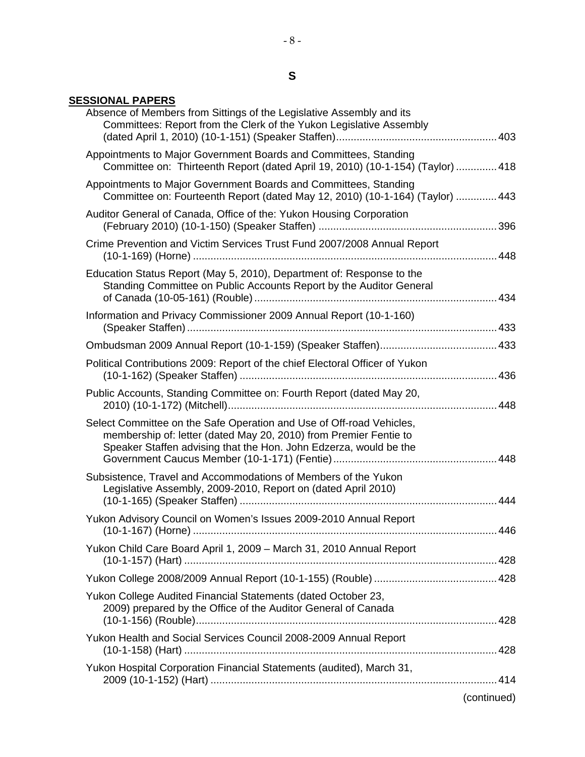# **S**

## **SESSIONAL PAPERS**

| Absence of Members from Sittings of the Legislative Assembly and its<br>Committees: Report from the Clerk of the Yukon Legislative Assembly                                                                    |  |
|----------------------------------------------------------------------------------------------------------------------------------------------------------------------------------------------------------------|--|
| Appointments to Major Government Boards and Committees, Standing<br>Committee on: Thirteenth Report (dated April 19, 2010) (10-1-154) (Taylor)  418                                                            |  |
| Appointments to Major Government Boards and Committees, Standing<br>Committee on: Fourteenth Report (dated May 12, 2010) (10-1-164) (Taylor) 443                                                               |  |
| Auditor General of Canada, Office of the: Yukon Housing Corporation                                                                                                                                            |  |
| Crime Prevention and Victim Services Trust Fund 2007/2008 Annual Report                                                                                                                                        |  |
| Education Status Report (May 5, 2010), Department of: Response to the<br>Standing Committee on Public Accounts Report by the Auditor General                                                                   |  |
| Information and Privacy Commissioner 2009 Annual Report (10-1-160)                                                                                                                                             |  |
|                                                                                                                                                                                                                |  |
| Political Contributions 2009: Report of the chief Electoral Officer of Yukon                                                                                                                                   |  |
| Public Accounts, Standing Committee on: Fourth Report (dated May 20,                                                                                                                                           |  |
| Select Committee on the Safe Operation and Use of Off-road Vehicles,<br>membership of: letter (dated May 20, 2010) from Premier Fentie to<br>Speaker Staffen advising that the Hon. John Edzerza, would be the |  |
| Subsistence, Travel and Accommodations of Members of the Yukon<br>Legislative Assembly, 2009-2010, Report on (dated April 2010)                                                                                |  |
| Yukon Advisory Council on Women's Issues 2009-2010 Annual Report                                                                                                                                               |  |
| Yukon Child Care Board April 1, 2009 - March 31, 2010 Annual Report                                                                                                                                            |  |
|                                                                                                                                                                                                                |  |
| Yukon College Audited Financial Statements (dated October 23,<br>2009) prepared by the Office of the Auditor General of Canada                                                                                 |  |
| Yukon Health and Social Services Council 2008-2009 Annual Report                                                                                                                                               |  |
| Yukon Hospital Corporation Financial Statements (audited), March 31,                                                                                                                                           |  |
|                                                                                                                                                                                                                |  |

(continued)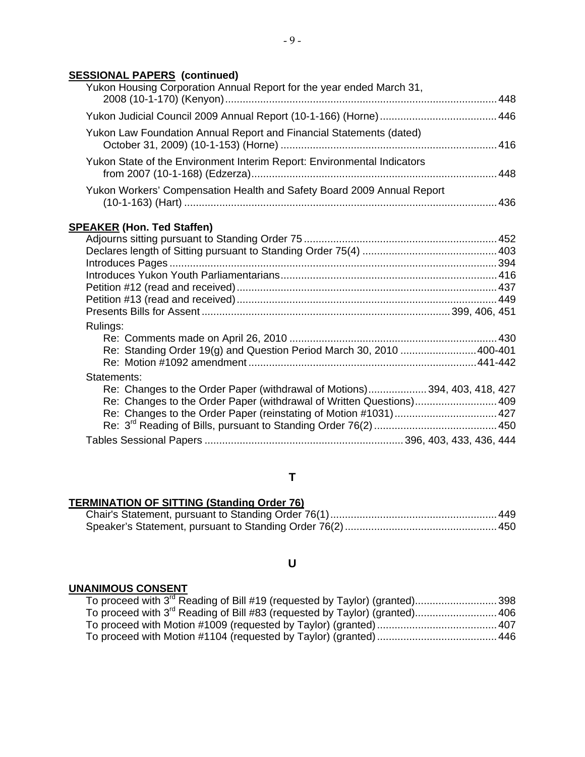## **SESSIONAL PAPERS (continued)**

| Yukon Housing Corporation Annual Report for the year ended March 31,     |  |
|--------------------------------------------------------------------------|--|
|                                                                          |  |
| Yukon Law Foundation Annual Report and Financial Statements (dated)      |  |
| Yukon State of the Environment Interim Report: Environmental Indicators  |  |
| Yukon Workers' Compensation Health and Safety Board 2009 Annual Report   |  |
| <b>SPEAKER (Hon. Ted Staffen)</b>                                        |  |
|                                                                          |  |
|                                                                          |  |
|                                                                          |  |
|                                                                          |  |
|                                                                          |  |
|                                                                          |  |
| Rulings:                                                                 |  |
|                                                                          |  |
| Re: Standing Order 19(g) and Question Period March 30, 2010 400-401      |  |
|                                                                          |  |
| Statements:                                                              |  |
| Re: Changes to the Order Paper (withdrawal of Motions)394, 403, 418, 427 |  |
| Re: Changes to the Order Paper (withdrawal of Written Questions) 409     |  |
|                                                                          |  |
|                                                                          |  |
|                                                                          |  |

## **T**

# **TERMINATION OF SITTING (Standing Order 76)**

# **U**

## **UNANIMOUS CONSENT**

| To proceed with 3 <sup>rd</sup> Reading of Bill #19 (requested by Taylor) (granted)398  |  |
|-----------------------------------------------------------------------------------------|--|
| To proceed with 3 <sup>rd</sup> Reading of Bill #83 (requested by Taylor) (granted) 406 |  |
|                                                                                         |  |
|                                                                                         |  |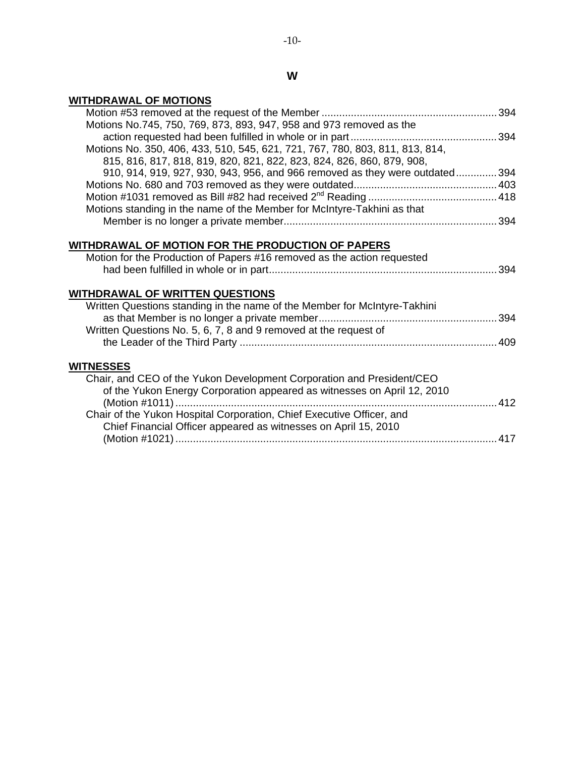# **W**

# **WITHDRAWAL OF MOTIONS**

| Motions No.745, 750, 769, 873, 893, 947, 958 and 973 removed as the          |  |
|------------------------------------------------------------------------------|--|
|                                                                              |  |
| Motions No. 350, 406, 433, 510, 545, 621, 721, 767, 780, 803, 811, 813, 814, |  |
| 815, 816, 817, 818, 819, 820, 821, 822, 823, 824, 826, 860, 879, 908,        |  |
| 910, 914, 919, 927, 930, 943, 956, and 966 removed as they were outdated394  |  |
|                                                                              |  |
|                                                                              |  |
| Motions standing in the name of the Member for McIntyre-Takhini as that      |  |
|                                                                              |  |
|                                                                              |  |
|                                                                              |  |
| WITHDRAWAL OF MOTION FOR THE PRODUCTION OF PAPERS                            |  |
| Motion for the Production of Papers #16 removed as the action requested      |  |
|                                                                              |  |
|                                                                              |  |
| <u>WITHDRAWAL OF WRITTEN QUESTIONS</u>                                       |  |
| Written Questions standing in the name of the Member for McIntyre-Takhini    |  |
|                                                                              |  |
| Written Questions No. 5, 6, 7, 8 and 9 removed at the request of             |  |
|                                                                              |  |
|                                                                              |  |
| <b>WITNESSES</b>                                                             |  |
| Chair, and CEO of the Yukon Development Corporation and President/CEO        |  |
| of the Yukon Energy Corporation appeared as witnesses on April 12, 2010      |  |
|                                                                              |  |
| Chair of the Yukon Hospital Corporation, Chief Executive Officer, and        |  |
|                                                                              |  |
| Chief Financial Officer appeared as witnesses on April 15, 2010              |  |
|                                                                              |  |
|                                                                              |  |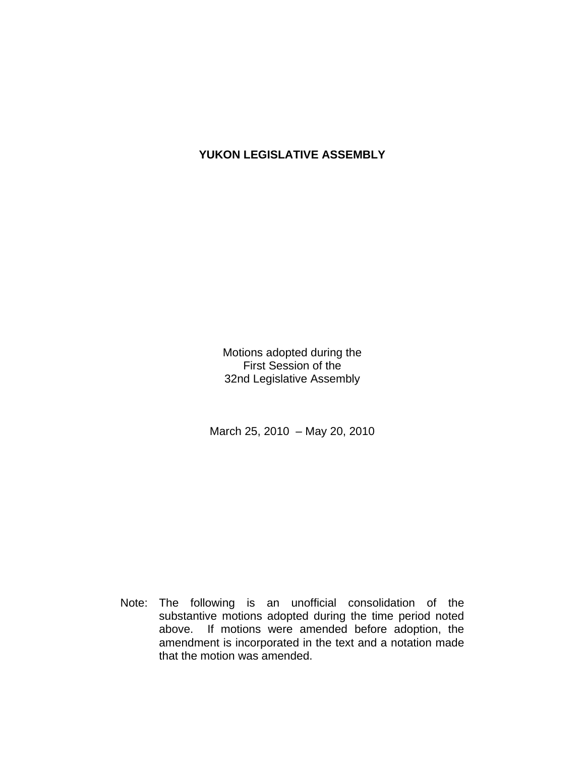# **YUKON LEGISLATIVE ASSEMBLY**

Motions adopted during the First Session of the 32nd Legislative Assembly

March 25, 2010 – May 20, 2010

 Note: The following is an unofficial consolidation of the substantive motions adopted during the time period noted above. If motions were amended before adoption, the amendment is incorporated in the text and a notation made that the motion was amended.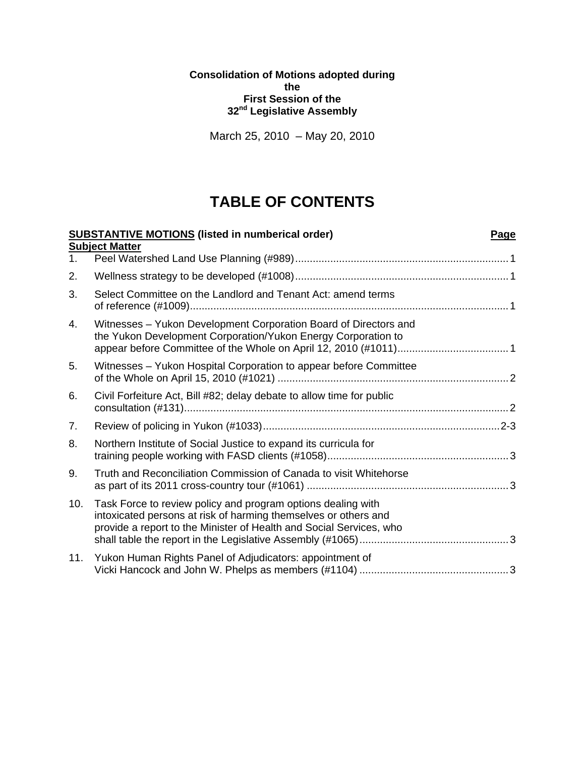**Consolidation of Motions adopted during the First Session of the 32nd Legislative Assembly** 

March 25, 2010 – May 20, 2010

# **TABLE OF CONTENTS**

|                | <b>SUBSTANTIVE MOTIONS (listed in numberical order)</b>                                                                                                                                                | Page |
|----------------|--------------------------------------------------------------------------------------------------------------------------------------------------------------------------------------------------------|------|
|                | <b>Subject Matter</b>                                                                                                                                                                                  |      |
| 1 <sub>1</sub> |                                                                                                                                                                                                        |      |
| 2.             |                                                                                                                                                                                                        |      |
| 3.             | Select Committee on the Landlord and Tenant Act: amend terms                                                                                                                                           |      |
| 4.             | Witnesses - Yukon Development Corporation Board of Directors and<br>the Yukon Development Corporation/Yukon Energy Corporation to                                                                      |      |
| 5.             | Witnesses - Yukon Hospital Corporation to appear before Committee                                                                                                                                      |      |
| 6.             | Civil Forfeiture Act, Bill #82; delay debate to allow time for public                                                                                                                                  |      |
| 7.             |                                                                                                                                                                                                        |      |
| 8.             | Northern Institute of Social Justice to expand its curricula for                                                                                                                                       |      |
| 9.             | Truth and Reconciliation Commission of Canada to visit Whitehorse                                                                                                                                      |      |
| 10.            | Task Force to review policy and program options dealing with<br>intoxicated persons at risk of harming themselves or others and<br>provide a report to the Minister of Health and Social Services, who |      |
| 11.            | Yukon Human Rights Panel of Adjudicators: appointment of                                                                                                                                               |      |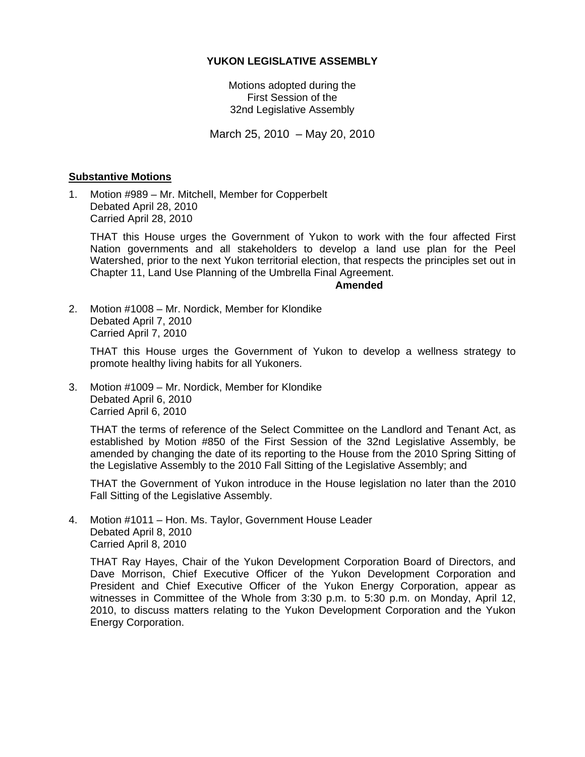## **YUKON LEGISLATIVE ASSEMBLY**

Motions adopted during the First Session of the 32nd Legislative Assembly

March 25, 2010 – May 20, 2010

## **Substantive Motions**

1. Motion #989 – Mr. Mitchell, Member for Copperbelt Debated April 28, 2010 Carried April 28, 2010

 THAT this House urges the Government of Yukon to work with the four affected First Nation governments and all stakeholders to develop a land use plan for the Peel Watershed, prior to the next Yukon territorial election, that respects the principles set out in Chapter 11, Land Use Planning of the Umbrella Final Agreement.

## **Amended**

2. Motion #1008 – Mr. Nordick, Member for Klondike Debated April 7, 2010 Carried April 7, 2010

 THAT this House urges the Government of Yukon to develop a wellness strategy to promote healthy living habits for all Yukoners.

3. Motion #1009 – Mr. Nordick, Member for Klondike Debated April 6, 2010 Carried April 6, 2010

 THAT the terms of reference of the Select Committee on the Landlord and Tenant Act, as established by Motion #850 of the First Session of the 32nd Legislative Assembly, be amended by changing the date of its reporting to the House from the 2010 Spring Sitting of the Legislative Assembly to the 2010 Fall Sitting of the Legislative Assembly; and

 THAT the Government of Yukon introduce in the House legislation no later than the 2010 Fall Sitting of the Legislative Assembly.

4. Motion #1011 – Hon. Ms. Taylor, Government House Leader Debated April 8, 2010 Carried April 8, 2010

 THAT Ray Hayes, Chair of the Yukon Development Corporation Board of Directors, and Dave Morrison, Chief Executive Officer of the Yukon Development Corporation and President and Chief Executive Officer of the Yukon Energy Corporation, appear as witnesses in Committee of the Whole from 3:30 p.m. to 5:30 p.m. on Monday, April 12, 2010, to discuss matters relating to the Yukon Development Corporation and the Yukon Energy Corporation.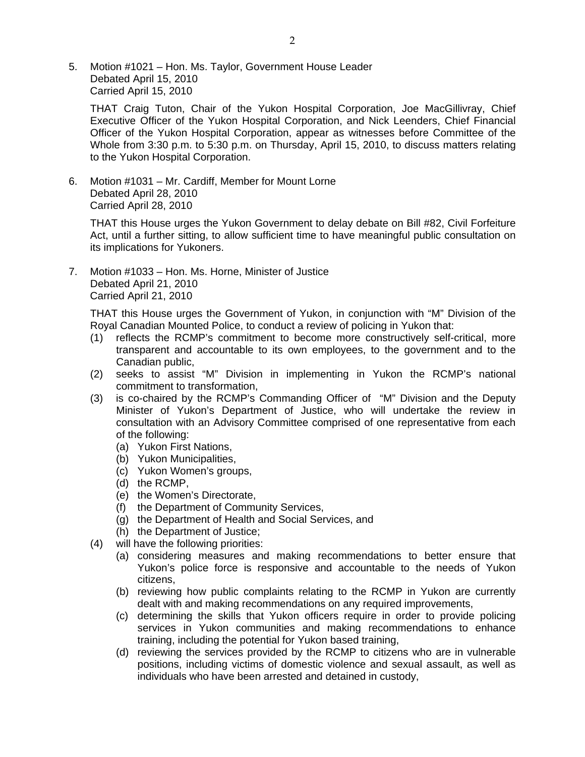5. Motion #1021 – Hon. Ms. Taylor, Government House Leader Debated April 15, 2010 Carried April 15, 2010

 THAT Craig Tuton, Chair of the Yukon Hospital Corporation, Joe MacGillivray, Chief Executive Officer of the Yukon Hospital Corporation, and Nick Leenders, Chief Financial Officer of the Yukon Hospital Corporation, appear as witnesses before Committee of the Whole from 3:30 p.m. to 5:30 p.m. on Thursday, April 15, 2010, to discuss matters relating to the Yukon Hospital Corporation.

6. Motion #1031 – Mr. Cardiff, Member for Mount Lorne Debated April 28, 2010 Carried April 28, 2010

 THAT this House urges the Yukon Government to delay debate on Bill #82, Civil Forfeiture Act, until a further sitting, to allow sufficient time to have meaningful public consultation on its implications for Yukoners.

7. Motion #1033 – Hon. Ms. Horne, Minister of Justice Debated April 21, 2010 Carried April 21, 2010

 THAT this House urges the Government of Yukon, in conjunction with "M" Division of the Royal Canadian Mounted Police, to conduct a review of policing in Yukon that:

- (1) reflects the RCMP's commitment to become more constructively self-critical, more transparent and accountable to its own employees, to the government and to the Canadian public,
- (2) seeks to assist "M" Division in implementing in Yukon the RCMP's national commitment to transformation,
- (3) is co-chaired by the RCMP's Commanding Officer of "M" Division and the Deputy Minister of Yukon's Department of Justice, who will undertake the review in consultation with an Advisory Committee comprised of one representative from each of the following:
	- (a) Yukon First Nations,
	- (b) Yukon Municipalities,
	- (c) Yukon Women's groups,
	- (d) the RCMP,
	- (e) the Women's Directorate,
	- (f) the Department of Community Services,
	- (g) the Department of Health and Social Services, and
	- (h) the Department of Justice;
- (4) will have the following priorities:
	- (a) considering measures and making recommendations to better ensure that Yukon's police force is responsive and accountable to the needs of Yukon citizens,
	- (b) reviewing how public complaints relating to the RCMP in Yukon are currently dealt with and making recommendations on any required improvements,
	- (c) determining the skills that Yukon officers require in order to provide policing services in Yukon communities and making recommendations to enhance training, including the potential for Yukon based training,
	- (d) reviewing the services provided by the RCMP to citizens who are in vulnerable positions, including victims of domestic violence and sexual assault, as well as individuals who have been arrested and detained in custody,